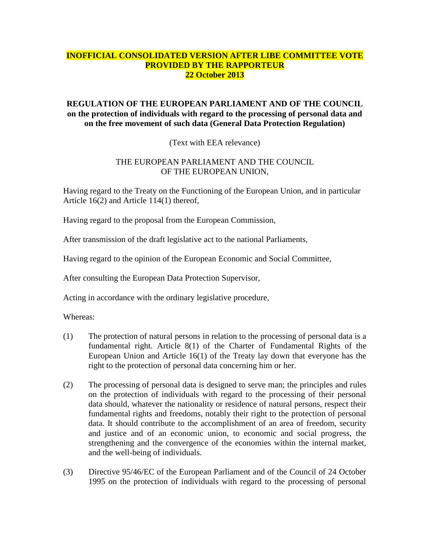#### **INOFFICIAL CONSOLIDATED VERSION AFTER LIBE COMMITTEE VOTE PROVIDED BY THE RAPPORTEUR 22 October 2013**

#### **REGULATION OF THE EUROPEAN PARLIAMENT AND OF THE COUNCIL on the protection of individuals with regard to the processing of personal data and on the free movement of such data (General Data Protection Regulation)**

#### (Text with EEA relevance)

#### THE EUROPEAN PARLIAMENT AND THE COUNCIL OF THE EUROPEAN UNION,

Having regard to the Treaty on the Functioning of the European Union, and in particular Article 16(2) and Article 114(1) thereof,

Having regard to the proposal from the European Commission,

After transmission of the draft legislative act to the national Parliaments,

Having regard to the opinion of the European Economic and Social Committee,

After consulting the European Data Protection Supervisor,

Acting in accordance with the ordinary legislative procedure,

Whereas:

- (1) The protection of natural persons in relation to the processing of personal data is a fundamental right. Article 8(1) of the Charter of Fundamental Rights of the European Union and Article 16(1) of the Treaty lay down that everyone has the right to the protection of personal data concerning him or her.
- (2) The processing of personal data is designed to serve man; the principles and rules on the protection of individuals with regard to the processing of their personal data should, whatever the nationality or residence of natural persons, respect their fundamental rights and freedoms, notably their right to the protection of personal data. It should contribute to the accomplishment of an area of freedom, security and justice and of an economic union, to economic and social progress, the strengthening and the convergence of the economies within the internal market, and the well-being of individuals.
- (3) Directive 95/46/EC of the European Parliament and of the Council of 24 October 1995 on the protection of individuals with regard to the processing of personal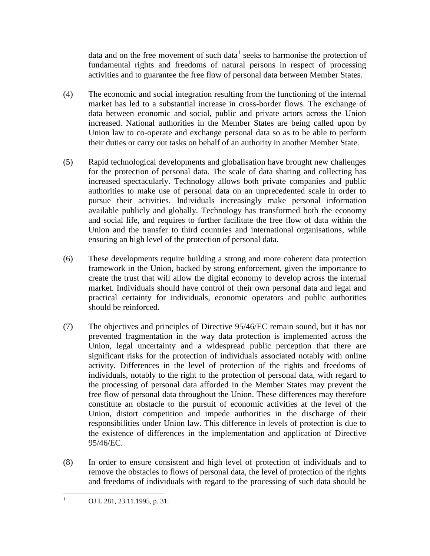data and on the free movement of such data<sup>1</sup> seeks to harmonise the protection of fundamental rights and freedoms of natural persons in respect of processing activities and to guarantee the free flow of personal data between Member States.

- (4) The economic and social integration resulting from the functioning of the internal market has led to a substantial increase in cross-border flows. The exchange of data between economic and social, public and private actors across the Union increased. National authorities in the Member States are being called upon by Union law to co-operate and exchange personal data so as to be able to perform their duties or carry out tasks on behalf of an authority in another Member State.
- (5) Rapid technological developments and globalisation have brought new challenges for the protection of personal data. The scale of data sharing and collecting has increased spectacularly. Technology allows both private companies and public authorities to make use of personal data on an unprecedented scale in order to pursue their activities. Individuals increasingly make personal information available publicly and globally. Technology has transformed both the economy and social life, and requires to further facilitate the free flow of data within the Union and the transfer to third countries and international organisations, while ensuring an high level of the protection of personal data.
- (6) These developments require building a strong and more coherent data protection framework in the Union, backed by strong enforcement, given the importance to create the trust that will allow the digital economy to develop across the internal market. Individuals should have control of their own personal data and legal and practical certainty for individuals, economic operators and public authorities should be reinforced.
- (7) The objectives and principles of Directive 95/46/EC remain sound, but it has not prevented fragmentation in the way data protection is implemented across the Union, legal uncertainty and a widespread public perception that there are significant risks for the protection of individuals associated notably with online activity. Differences in the level of protection of the rights and freedoms of individuals, notably to the right to the protection of personal data, with regard to the processing of personal data afforded in the Member States may prevent the free flow of personal data throughout the Union. These differences may therefore constitute an obstacle to the pursuit of economic activities at the level of the Union, distort competition and impede authorities in the discharge of their responsibilities under Union law. This difference in levels of protection is due to the existence of differences in the implementation and application of Directive 95/46/EC.
- (8) In order to ensure consistent and high level of protection of individuals and to remove the obstacles to flows of personal data, the level of protection of the rights and freedoms of individuals with regard to the processing of such data should be

<sup>&</sup>lt;sup>1</sup> OJ L 281, 23.11.1995, p. 31.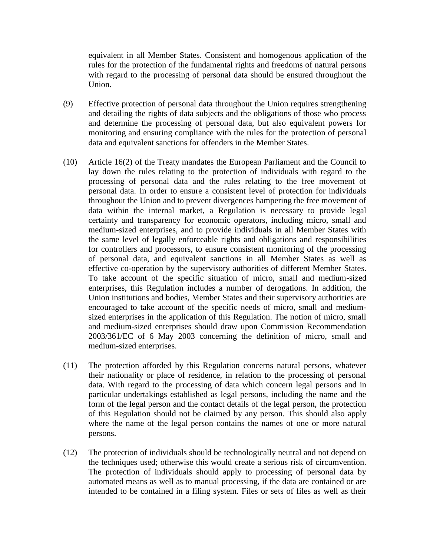equivalent in all Member States. Consistent and homogenous application of the rules for the protection of the fundamental rights and freedoms of natural persons with regard to the processing of personal data should be ensured throughout the Union.

- (9) Effective protection of personal data throughout the Union requires strengthening and detailing the rights of data subjects and the obligations of those who process and determine the processing of personal data, but also equivalent powers for monitoring and ensuring compliance with the rules for the protection of personal data and equivalent sanctions for offenders in the Member States.
- (10) Article 16(2) of the Treaty mandates the European Parliament and the Council to lay down the rules relating to the protection of individuals with regard to the processing of personal data and the rules relating to the free movement of personal data. In order to ensure a consistent level of protection for individuals throughout the Union and to prevent divergences hampering the free movement of data within the internal market, a Regulation is necessary to provide legal certainty and transparency for economic operators, including micro, small and medium-sized enterprises, and to provide individuals in all Member States with the same level of legally enforceable rights and obligations and responsibilities for controllers and processors, to ensure consistent monitoring of the processing of personal data, and equivalent sanctions in all Member States as well as effective co-operation by the supervisory authorities of different Member States. To take account of the specific situation of micro, small and medium-sized enterprises, this Regulation includes a number of derogations. In addition, the Union institutions and bodies, Member States and their supervisory authorities are encouraged to take account of the specific needs of micro, small and medium sized enterprises in the application of this Regulation. The notion of micro, small and medium-sized enterprises should draw upon Commission Recommendation 2003/361/EC of 6 May 2003 concerning the definition of micro, small and medium-sized enterprises.
- (11) The protection afforded by this Regulation concerns natural persons, whatever their nationality or place of residence, in relation to the processing of personal data. With regard to the processing of data which concern legal persons and in particular undertakings established as legal persons, including the name and the form of the legal person and the contact details of the legal person, the protection of this Regulation should not be claimed by any person. This should also apply where the name of the legal person contains the names of one or more natural persons.
- (12) The protection of individuals should be technologically neutral and not depend on the techniques used; otherwise this would create a serious risk of circumvention. The protection of individuals should apply to processing of personal data by automated means as well as to manual processing, if the data are contained or are intended to be contained in a filing system. Files or sets of files as well as their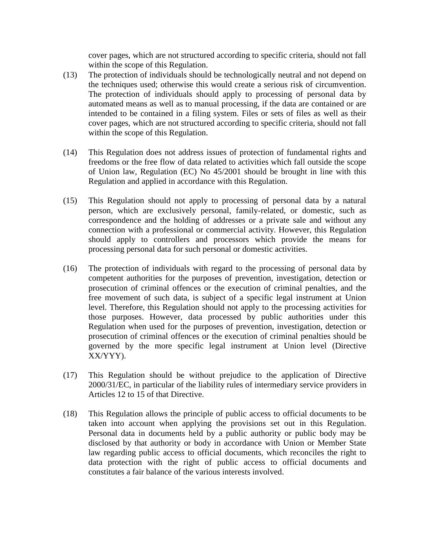cover pages, which are not structured according to specific criteria, should not fall within the scope of this Regulation.

- (13) The protection of individuals should be technologically neutral and not depend on the techniques used; otherwise this would create a serious risk of circumvention. The protection of individuals should apply to processing of personal data by automated means as well as to manual processing, if the data are contained or are intended to be contained in a filing system. Files or sets of files as well as their cover pages, which are not structured according to specific criteria, should not fall within the scope of this Regulation.
- (14) This Regulation does not address issues of protection of fundamental rights and freedoms or the free flow of data related to activities which fall outside the scope of Union law, Regulation (EC) No 45/2001 should be brought in line with this Regulation and applied in accordance with this Regulation.
- (15) This Regulation should not apply to processing of personal data by a natural person, which are exclusively personal, family-related, or domestic, such as correspondence and the holding of addresses or a private sale and without any connection with a professional or commercial activity. However, this Regulation should apply to controllers and processors which provide the means for processing personal data for such personal or domestic activities.
- (16) The protection of individuals with regard to the processing of personal data by competent authorities for the purposes of prevention, investigation, detection or prosecution of criminal offences or the execution of criminal penalties, and the free movement of such data, is subject of a specific legal instrument at Union level. Therefore, this Regulation should not apply to the processing activities for those purposes. However, data processed by public authorities under this Regulation when used for the purposes of prevention, investigation, detection or prosecution of criminal offences or the execution of criminal penalties should be governed by the more specific legal instrument at Union level (Directive XX/YYY).
- (17) This Regulation should be without prejudice to the application of Directive 2000/31/EC, in particular of the liability rules of intermediary service providers in Articles 12 to 15 of that Directive.
- (18) This Regulation allows the principle of public access to official documents to be taken into account when applying the provisions set out in this Regulation. Personal data in documents held by a public authority or public body may be disclosed by that authority or body in accordance with Union or Member State law regarding public access to official documents, which reconciles the right to data protection with the right of public access to official documents and constitutes a fair balance of the various interests involved.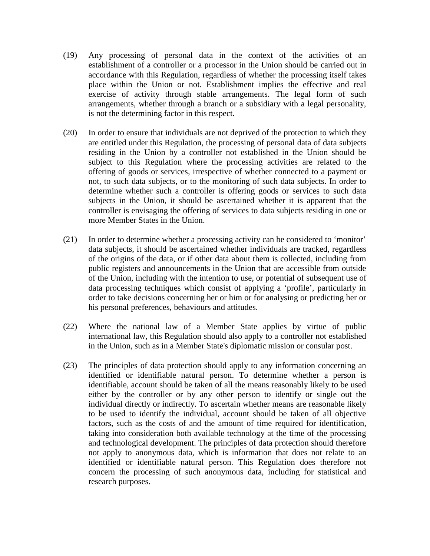- (19) Any processing of personal data in the context of the activities of an establishment of a controller or a processor in the Union should be carried out in accordance with this Regulation, regardless of whether the processing itself takes place within the Union or not. Establishment implies the effective and real exercise of activity through stable arrangements. The legal form of such arrangements, whether through a branch or a subsidiary with a legal personality, is not the determining factor in this respect.
- (20) In order to ensure that individuals are not deprived of the protection to which they are entitled under this Regulation, the processing of personal data of data subjects residing in the Union by a controller not established in the Union should be subject to this Regulation where the processing activities are related to the offering of goods or services, irrespective of whether connected to a payment or not, to such data subjects, or to the monitoring of such data subjects. In order to determine whether such a controller is offering goods or services to such data subjects in the Union, it should be ascertained whether it is apparent that the controller is envisaging the offering of services to data subjects residing in one or more Member States in the Union.
- (21) In order to determine whether a processing activity can be considered to 'monitor' data subjects, it should be ascertained whether individuals are tracked, regardless of the origins of the data, or if other data about them is collected, including from public registers and announcements in the Union that are accessible from outside of the Union, including with the intention to use, or potential of subsequent use of data processing techniques which consist of applying a 'profile', particularly in order to take decisions concerning her or him or for analysing or predicting her or his personal preferences, behaviours and attitudes.
- (22) Where the national law of a Member State applies by virtue of public international law, this Regulation should also apply to a controller not established in the Union, such as in a Member State's diplomatic mission or consular post.
- (23) The principles of data protection should apply to any information concerning an identified or identifiable natural person. To determine whether a person is identifiable, account should be taken of all the means reasonably likely to be used either by the controller or by any other person to identify or single out the individual directly or indirectly. To ascertain whether means are reasonable likely to be used to identify the individual, account should be taken of all objective factors, such as the costs of and the amount of time required for identification, taking into consideration both available technology at the time of the processing and technological development. The principles of data protection should therefore not apply to anonymous data, which is information that does not relate to an identified or identifiable natural person. This Regulation does therefore not concern the processing of such anonymous data, including for statistical and research purposes.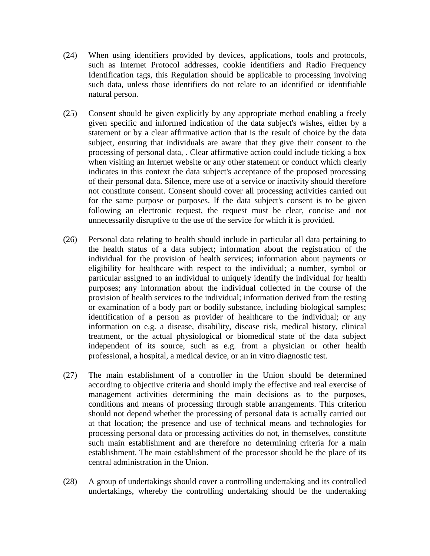- (24) When using identifiers provided by devices, applications, tools and protocols, such as Internet Protocol addresses, cookie identifiers and Radio Frequency Identification tags, this Regulation should be applicable to processing involving such data, unless those identifiers do not relate to an identified or identifiable natural person.
- (25) Consent should be given explicitly by any appropriate method enabling a freely given specific and informed indication of the data subject's wishes, either by a statement or by a clear affirmative action that is the result of choice by the data subject, ensuring that individuals are aware that they give their consent to the processing of personal data, . Clear affirmative action could include ticking a box when visiting an Internet website or any other statement or conduct which clearly indicates in this context the data subject's acceptance of the proposed processing of their personal data. Silence, mere use of a service or inactivity should therefore not constitute consent. Consent should cover all processing activities carried out for the same purpose or purposes. If the data subject's consent is to be given following an electronic request, the request must be clear, concise and not unnecessarily disruptive to the use of the service for which it is provided.
- (26) Personal data relating to health should include in particular all data pertaining to the health status of a data subject; information about the registration of the individual for the provision of health services; information about payments or eligibility for healthcare with respect to the individual; a number, symbol or particular assigned to an individual to uniquely identify the individual for health purposes; any information about the individual collected in the course of the provision of health services to the individual; information derived from the testing or examination of a body part or bodily substance, including biological samples; identification of a person as provider of healthcare to the individual; or any information on e.g. a disease, disability, disease risk, medical history, clinical treatment, or the actual physiological or biomedical state of the data subject independent of its source, such as e.g. from a physician or other health professional, a hospital, a medical device, or an in vitro diagnostic test.
- (27) The main establishment of a controller in the Union should be determined according to objective criteria and should imply the effective and real exercise of management activities determining the main decisions as to the purposes, conditions and means of processing through stable arrangements. This criterion should not depend whether the processing of personal data is actually carried out at that location; the presence and use of technical means and technologies for processing personal data or processing activities do not, in themselves, constitute such main establishment and are therefore no determining criteria for a main establishment. The main establishment of the processor should be the place of its central administration in the Union.
- (28) A group of undertakings should cover a controlling undertaking and its controlled undertakings, whereby the controlling undertaking should be the undertaking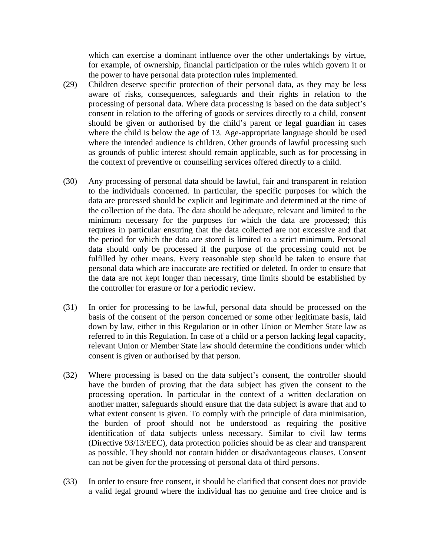which can exercise a dominant influence over the other undertakings by virtue, for example, of ownership, financial participation or the rules which govern it or the power to have personal data protection rules implemented.

- (29) Children deserve specific protection of their personal data, as they may be less aware of risks, consequences, safeguards and their rights in relation to the processing of personal data. Where data processing is based on the data subject's consent in relation to the offering of goods or services directly to a child, consent should be given or authorised by the child's parent or legal guardian in cases where the child is below the age of 13. Age-appropriate language should be used where the intended audience is children. Other grounds of lawful processing such as grounds of public interest should remain applicable, such as for processing in the context of preventive or counselling services offered directly to a child.
- (30) Any processing of personal data should be lawful, fair and transparent in relation to the individuals concerned. In particular, the specific purposes for which the data are processed should be explicit and legitimate and determined at the time of the collection of the data. The data should be adequate, relevant and limited to the minimum necessary for the purposes for which the data are processed; this requires in particular ensuring that the data collected are not excessive and that the period for which the data are stored is limited to a strict minimum. Personal data should only be processed if the purpose of the processing could not be fulfilled by other means. Every reasonable step should be taken to ensure that personal data which are inaccurate are rectified or deleted. In order to ensure that the data are not kept longer than necessary, time limits should be established by the controller for erasure or for a periodic review.
- (31) In order for processing to be lawful, personal data should be processed on the basis of the consent of the person concerned or some other legitimate basis, laid down by law, either in this Regulation or in other Union or Member State law as referred to in this Regulation. In case of a child or a person lacking legal capacity, relevant Union or Member State law should determine the conditions under which consent is given or authorised by that person.
- (32) Where processing is based on the data subject's consent, the controller should have the burden of proving that the data subject has given the consent to the processing operation. In particular in the context of a written declaration on another matter, safeguards should ensure that the data subject is aware that and to what extent consent is given. To comply with the principle of data minimisation, the burden of proof should not be understood as requiring the positive identification of data subjects unless necessary. Similar to civil law terms (Directive 93/13/EEC), data protection policies should be as clear and transparent as possible. They should not contain hidden or disadvantageous clauses. Consent can not be given for the processing of personal data of third persons.
- (33) In order to ensure free consent, it should be clarified that consent does not provide a valid legal ground where the individual has no genuine and free choice and is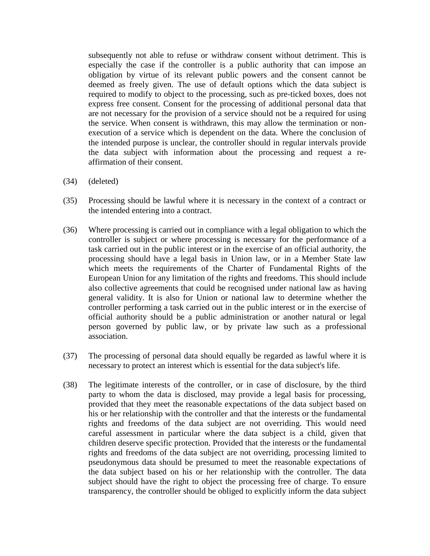subsequently not able to refuse or withdraw consent without detriment. This is especially the case if the controller is a public authority that can impose an obligation by virtue of its relevant public powers and the consent cannot be deemed as freely given. The use of default options which the data subject is required to modify to object to the processing, such as pre-ticked boxes, does not express free consent. Consent for the processing of additional personal data that are not necessary for the provision of a service should not be a required for using the service. When consent is withdrawn, this may allow the termination or non execution of a service which is dependent on the data. Where the conclusion of the intended purpose is unclear, the controller should in regular intervals provide the data subject with information about the processing and request a re affirmation of their consent.

- (34) (deleted)
- (35) Processing should be lawful where it is necessary in the context of a contract or the intended entering into a contract.
- (36) Where processing is carried out in compliance with a legal obligation to which the controller is subject or where processing is necessary for the performance of a task carried out in the public interest or in the exercise of an official authority, the processing should have a legal basis in Union law, or in a Member State law which meets the requirements of the Charter of Fundamental Rights of the European Union for any limitation of the rights and freedoms. This should include also collective agreements that could be recognised under national law as having general validity. It is also for Union or national law to determine whether the controller performing a task carried out in the public interest or in the exercise of official authority should be a public administration or another natural or legal person governed by public law, or by private law such as a professional association.
- (37) The processing of personal data should equally be regarded as lawful where it is necessary to protect an interest which is essential for the data subject's life.
- (38) The legitimate interests of the controller, or in case of disclosure, by the third party to whom the data is disclosed, may provide a legal basis for processing, provided that they meet the reasonable expectations of the data subject based on his or her relationship with the controller and that the interests or the fundamental rights and freedoms of the data subject are not overriding. This would need careful assessment in particular where the data subject is a child, given that children deserve specific protection. Provided that the interests or the fundamental rights and freedoms of the data subject are not overriding, processing limited to pseudonymous data should be presumed to meet the reasonable expectations of the data subject based on his or her relationship with the controller. The data subject should have the right to object the processing free of charge. To ensure transparency, the controller should be obliged to explicitly inform the data subject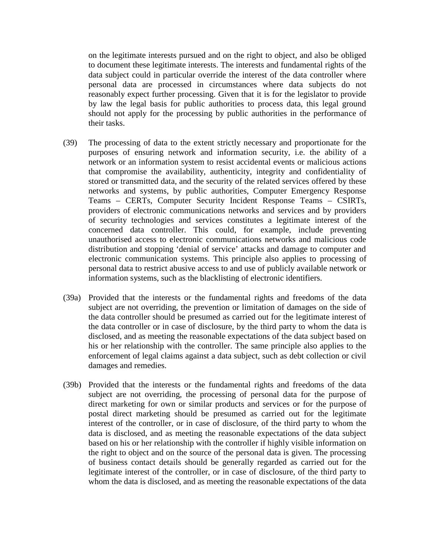on the legitimate interests pursued and on the right to object, and also be obliged to document these legitimate interests. The interests and fundamental rights of the data subject could in particular override the interest of the data controller where personal data are processed in circumstances where data subjects do not reasonably expect further processing. Given that it is for the legislator to provide by law the legal basis for public authorities to process data, this legal ground should not apply for the processing by public authorities in the performance of their tasks.

- (39) The processing of data to the extent strictly necessary and proportionate for the purposes of ensuring network and information security, i.e. the ability of a network or an information system to resist accidental events or malicious actions that compromise the availability, authenticity, integrity and confidentiality of stored or transmitted data, and the security of the related services offered by these networks and systems, by public authorities, Computer Emergency Response Teams – CERTs, Computer Security Incident Response Teams – CSIRTs, providers of electronic communications networks and services and by providers of security technologies and services constitutes a legitimate interest of the concerned data controller. This could, for example, include preventing unauthorised access to electronic communications networks and malicious code distribution and stopping 'denial of service' attacks and damage to computer and electronic communication systems. This principle also applies to processing of personal data to restrict abusive access to and use of publicly available network or information systems, such as the blacklisting of electronic identifiers.
- (39a) Provided that the interests or the fundamental rights and freedoms of the data subject are not overriding, the prevention or limitation of damages on the side of the data controller should be presumed as carried out for the legitimate interest of the data controller or in case of disclosure, by the third party to whom the data is disclosed, and as meeting the reasonable expectations of the data subject based on his or her relationship with the controller. The same principle also applies to the enforcement of legal claims against a data subject, such as debt collection or civil damages and remedies.
- (39b) Provided that the interests or the fundamental rights and freedoms of the data subject are not overriding, the processing of personal data for the purpose of direct marketing for own or similar products and services or for the purpose of postal direct marketing should be presumed as carried out for the legitimate interest of the controller, or in case of disclosure, of the third party to whom the data is disclosed, and as meeting the reasonable expectations of the data subject based on his or her relationship with the controller if highly visible information on the right to object and on the source of the personal data is given. The processing of business contact details should be generally regarded as carried out for the legitimate interest of the controller, or in case of disclosure, of the third party to whom the data is disclosed, and as meeting the reasonable expectations of the data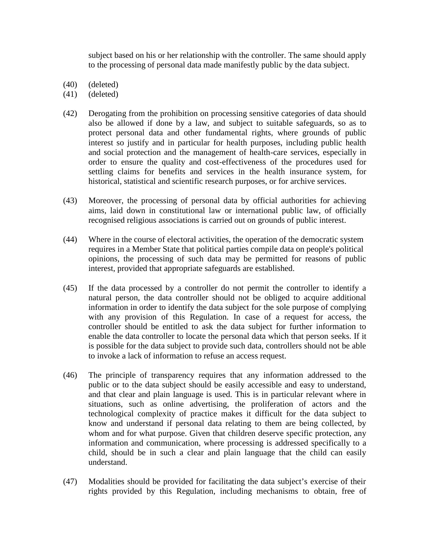subject based on his or her relationship with the controller. The same should apply to the processing of personal data made manifestly public by the data subject.

- (40) (deleted)
- (41) (deleted)
- (42) Derogating from the prohibition on processing sensitive categories of data should also be allowed if done by a law, and subject to suitable safeguards, so as to protect personal data and other fundamental rights, where grounds of public interest so justify and in particular for health purposes, including public health and social protection and the management of health-care services, especially in order to ensure the quality and cost-effectiveness of the procedures used for settling claims for benefits and services in the health insurance system, for historical, statistical and scientific research purposes, or for archive services.
- (43) Moreover, the processing of personal data by official authorities for achieving aims, laid down in constitutional law or international public law, of officially recognised religious associations is carried out on grounds of public interest.
- (44) Where in the course of electoral activities, the operation of the democratic system requires in a Member State that political parties compile data on people's political opinions, the processing of such data may be permitted for reasons of public interest, provided that appropriate safeguards are established.
- (45) If the data processed by a controller do not permit the controller to identify a natural person, the data controller should not be obliged to acquire additional information in order to identify the data subject for the sole purpose of complying with any provision of this Regulation. In case of a request for access, the controller should be entitled to ask the data subject for further information to enable the data controller to locate the personal data which that person seeks. If it is possible for the data subject to provide such data, controllers should not be able to invoke a lack of information to refuse an access request.
- (46) The principle of transparency requires that any information addressed to the public or to the data subject should be easily accessible and easy to understand, and that clear and plain language is used. This is in particular relevant where in situations, such as online advertising, the proliferation of actors and the technological complexity of practice makes it difficult for the data subject to know and understand if personal data relating to them are being collected, by whom and for what purpose. Given that children deserve specific protection, any information and communication, where processing is addressed specifically to a child, should be in such a clear and plain language that the child can easily understand.
- (47) Modalities should be provided for facilitating the data subject's exercise of their rights provided by this Regulation, including mechanisms to obtain, free of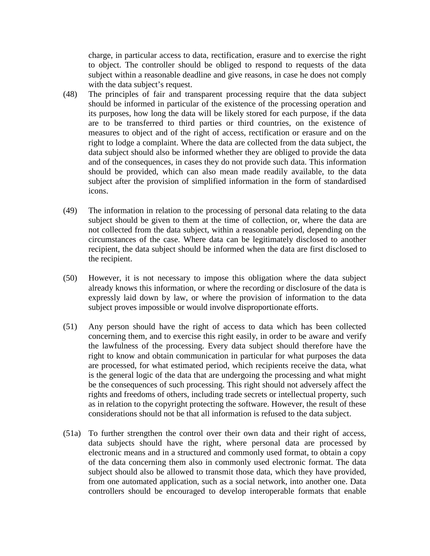charge, in particular access to data, rectification, erasure and to exercise the right to object. The controller should be obliged to respond to requests of the data subject within a reasonable deadline and give reasons, in case he does not comply with the data subject's request.

- (48) The principles of fair and transparent processing require that the data subject should be informed in particular of the existence of the processing operation and its purposes, how long the data will be likely stored for each purpose, if the data are to be transferred to third parties or third countries, on the existence of measures to object and of the right of access, rectification or erasure and on the right to lodge a complaint. Where the data are collected from the data subject, the data subject should also be informed whether they are obliged to provide the data and of the consequences, in cases they do not provide such data. This information should be provided, which can also mean made readily available, to the data subject after the provision of simplified information in the form of standardised icons.
- (49) The information in relation to the processing of personal data relating to the data subject should be given to them at the time of collection, or, where the data are not collected from the data subject, within a reasonable period, depending on the circumstances of the case. Where data can be legitimately disclosed to another recipient, the data subject should be informed when the data are first disclosed to the recipient.
- (50) However, it is not necessary to impose this obligation where the data subject already knows this information, or where the recording or disclosure of the data is expressly laid down by law, or where the provision of information to the data subject proves impossible or would involve disproportionate efforts.
- (51) Any person should have the right of access to data which has been collected concerning them, and to exercise this right easily, in order to be aware and verify the lawfulness of the processing. Every data subject should therefore have the right to know and obtain communication in particular for what purposes the data are processed, for what estimated period, which recipients receive the data, what is the general logic of the data that are undergoing the processing and what might be the consequences of such processing. This right should not adversely affect the rights and freedoms of others, including trade secrets or intellectual property, such as in relation to the copyright protecting the software. However, the result of these considerations should not be that all information is refused to the data subject.
- (51a) To further strengthen the control over their own data and their right of access, data subjects should have the right, where personal data are processed by electronic means and in a structured and commonly used format, to obtain a copy of the data concerning them also in commonly used electronic format. The data subject should also be allowed to transmit those data, which they have provided, from one automated application, such as a social network, into another one. Data controllers should be encouraged to develop interoperable formats that enable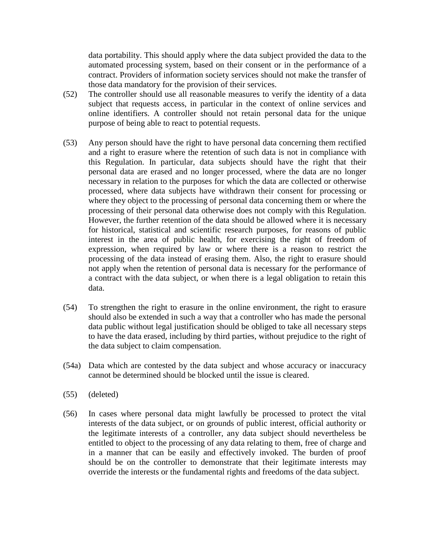data portability. This should apply where the data subject provided the data to the automated processing system, based on their consent or in the performance of a contract. Providers of information society services should not make the transfer of those data mandatory for the provision of their services.

- (52) The controller should use all reasonable measures to verify the identity of a data subject that requests access, in particular in the context of online services and online identifiers. A controller should not retain personal data for the unique purpose of being able to react to potential requests.
- (53) Any person should have the right to have personal data concerning them rectified and a right to erasure where the retention of such data is not in compliance with this Regulation. In particular, data subjects should have the right that their personal data are erased and no longer processed, where the data are no longer necessary in relation to the purposes for which the data are collected or otherwise processed, where data subjects have withdrawn their consent for processing or where they object to the processing of personal data concerning them or where the processing of their personal data otherwise does not comply with this Regulation. However, the further retention of the data should be allowed where it is necessary for historical, statistical and scientific research purposes, for reasons of public interest in the area of public health, for exercising the right of freedom of expression, when required by law or where there is a reason to restrict the processing of the data instead of erasing them. Also, the right to erasure should not apply when the retention of personal data is necessary for the performance of a contract with the data subject, or when there is a legal obligation to retain this data.
- (54) To strengthen the right to erasure in the online environment, the right to erasure should also be extended in such a way that a controller who has made the personal data public without legal justification should be obliged to take all necessary steps to have the data erased, including by third parties, without prejudice to the right of the data subject to claim compensation.
- (54a) Data which are contested by the data subject and whose accuracy or inaccuracy cannot be determined should be blocked until the issue is cleared.
- (55) (deleted)
- (56) In cases where personal data might lawfully be processed to protect the vital interests of the data subject, or on grounds of public interest, official authority or the legitimate interests of a controller, any data subject should nevertheless be entitled to object to the processing of any data relating to them, free of charge and in a manner that can be easily and effectively invoked. The burden of proof should be on the controller to demonstrate that their legitimate interests may override the interests or the fundamental rights and freedoms of the data subject.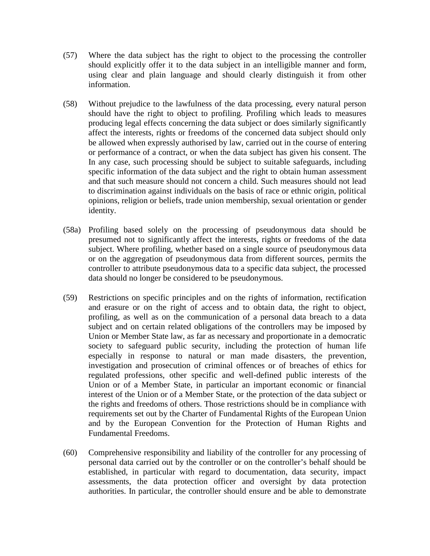- (57) Where the data subject has the right to object to the processing the controller should explicitly offer it to the data subject in an intelligible manner and form, using clear and plain language and should clearly distinguish it from other information.
- (58) Without prejudice to the lawfulness of the data processing, every natural person should have the right to object to profiling. Profiling which leads to measures producing legal effects concerning the data subject or does similarly significantly affect the interests, rights or freedoms of the concerned data subject should only be allowed when expressly authorised by law, carried out in the course of entering or performance of a contract, or when the data subject has given his consent. The In any case, such processing should be subject to suitable safeguards, including specific information of the data subject and the right to obtain human assessment and that such measure should not concern a child. Such measures should not lead to discrimination against individuals on the basis of race or ethnic origin, political opinions, religion or beliefs, trade union membership, sexual orientation or gender identity.
- (58a) Profiling based solely on the processing of pseudonymous data should be presumed not to significantly affect the interests, rights or freedoms of the data subject. Where profiling, whether based on a single source of pseudonymous data or on the aggregation of pseudonymous data from different sources, permits the controller to attribute pseudonymous data to a specific data subject, the processed data should no longer be considered to be pseudonymous.
- (59) Restrictions on specific principles and on the rights of information, rectification and erasure or on the right of access and to obtain data, the right to object, profiling, as well as on the communication of a personal data breach to a data subject and on certain related obligations of the controllers may be imposed by Union or Member State law, as far as necessary and proportionate in a democratic society to safeguard public security, including the protection of human life especially in response to natural or man made disasters, the prevention, investigation and prosecution of criminal offences or of breaches of ethics for regulated professions, other specific and well-defined public interests of the Union or of a Member State, in particular an important economic or financial interest of the Union or of a Member State, or the protection of the data subject or the rights and freedoms of others. Those restrictions should be in compliance with requirements set out by the Charter of Fundamental Rights of the European Union and by the European Convention for the Protection of Human Rights and Fundamental Freedoms.
- (60) Comprehensive responsibility and liability of the controller for any processing of personal data carried out by the controller or on the controller's behalf should be established, in particular with regard to documentation, data security, impact assessments, the data protection officer and oversight by data protection authorities. In particular, the controller should ensure and be able to demonstrate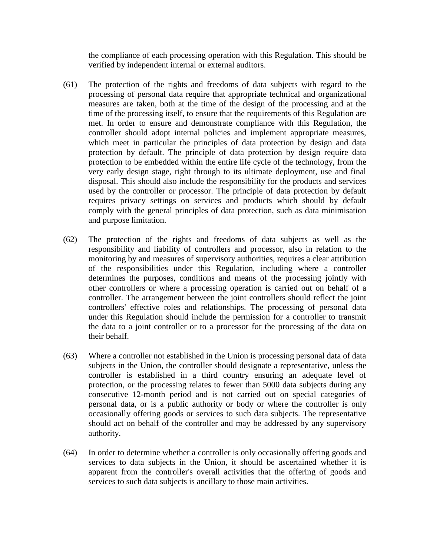the compliance of each processing operation with this Regulation. This should be verified by independent internal or external auditors.

- (61) The protection of the rights and freedoms of data subjects with regard to the processing of personal data require that appropriate technical and organizational measures are taken, both at the time of the design of the processing and at the time of the processing itself, to ensure that the requirements of this Regulation are met. In order to ensure and demonstrate compliance with this Regulation, the controller should adopt internal policies and implement appropriate measures, which meet in particular the principles of data protection by design and data protection by default. The principle of data protection by design require data protection to be embedded within the entire life cycle of the technology, from the very early design stage, right through to its ultimate deployment, use and final disposal. This should also include the responsibility for the products and services used by the controller or processor. The principle of data protection by default requires privacy settings on services and products which should by default comply with the general principles of data protection, such as data minimisation and purpose limitation.
- (62) The protection of the rights and freedoms of data subjects as well as the responsibility and liability of controllers and processor, also in relation to the monitoring by and measures of supervisory authorities, requires a clear attribution of the responsibilities under this Regulation, including where a controller determines the purposes, conditions and means of the processing jointly with other controllers or where a processing operation is carried out on behalf of a controller. The arrangement between the joint controllers should reflect the joint controllers' effective roles and relationships. The processing of personal data under this Regulation should include the permission for a controller to transmit the data to a joint controller or to a processor for the processing of the data on their behalf.
- (63) Where a controller not established in the Union is processing personal data of data subjects in the Union, the controller should designate a representative, unless the controller is established in a third country ensuring an adequate level of protection, or the processing relates to fewer than 5000 data subjects during any consecutive 12-month period and is not carried out on special categories of personal data, or is a public authority or body or where the controller is only occasionally offering goods or services to such data subjects. The representative should act on behalf of the controller and may be addressed by any supervisory authority.
- (64) In order to determine whether a controller is only occasionally offering goods and services to data subjects in the Union, it should be ascertained whether it is apparent from the controller's overall activities that the offering of goods and services to such data subjects is ancillary to those main activities.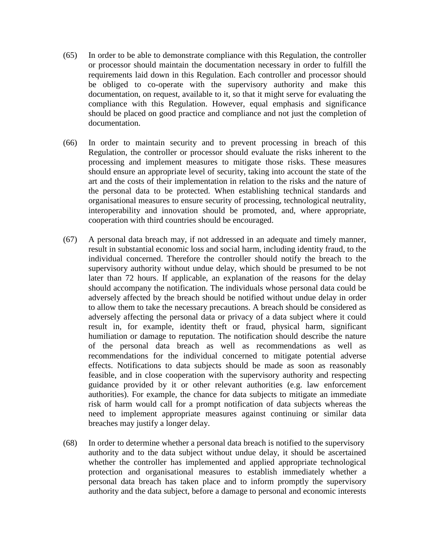- (65) In order to be able to demonstrate compliance with this Regulation, the controller or processor should maintain the documentation necessary in order to fulfill the requirements laid down in this Regulation. Each controller and processor should be obliged to co-operate with the supervisory authority and make this documentation, on request, available to it, so that it might serve for evaluating the compliance with this Regulation. However, equal emphasis and significance should be placed on good practice and compliance and not just the completion of documentation.
- (66) In order to maintain security and to prevent processing in breach of this Regulation, the controller or processor should evaluate the risks inherent to the processing and implement measures to mitigate those risks. These measures should ensure an appropriate level of security, taking into account the state of the art and the costs of their implementation in relation to the risks and the nature of the personal data to be protected. When establishing technical standards and organisational measures to ensure security of processing, technological neutrality, interoperability and innovation should be promoted, and, where appropriate, cooperation with third countries should be encouraged.
- (67) A personal data breach may, if not addressed in an adequate and timely manner, result in substantial economic loss and social harm, including identity fraud, to the individual concerned. Therefore the controller should notify the breach to the supervisory authority without undue delay, which should be presumed to be not later than 72 hours. If applicable, an explanation of the reasons for the delay should accompany the notification. The individuals whose personal data could be adversely affected by the breach should be notified without undue delay in order to allow them to take the necessary precautions. A breach should be considered as adversely affecting the personal data or privacy of a data subject where it could result in, for example, identity theft or fraud, physical harm, significant humiliation or damage to reputation. The notification should describe the nature of the personal data breach as well as recommendations as well as recommendations for the individual concerned to mitigate potential adverse effects. Notifications to data subjects should be made as soon as reasonably feasible, and in close cooperation with the supervisory authority and respecting guidance provided by it or other relevant authorities (e.g. law enforcement authorities). For example, the chance for data subjects to mitigate an immediate risk of harm would call for a prompt notification of data subjects whereas the need to implement appropriate measures against continuing or similar data breaches may justify a longer delay.
- (68) In order to determine whether a personal data breach is notified to the supervisory authority and to the data subject without undue delay, it should be ascertained whether the controller has implemented and applied appropriate technological protection and organisational measures to establish immediately whether a personal data breach has taken place and to inform promptly the supervisory authority and the data subject, before a damage to personal and economic interests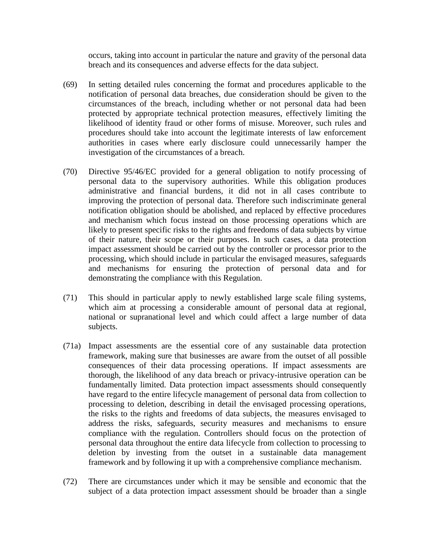occurs, taking into account in particular the nature and gravity of the personal data breach and its consequences and adverse effects for the data subject.

- (69) In setting detailed rules concerning the format and procedures applicable to the notification of personal data breaches, due consideration should be given to the circumstances of the breach, including whether or not personal data had been protected by appropriate technical protection measures, effectively limiting the likelihood of identity fraud or other forms of misuse. Moreover, such rules and procedures should take into account the legitimate interests of law enforcement authorities in cases where early disclosure could unnecessarily hamper the investigation of the circumstances of a breach.
- (70) Directive 95/46/EC provided for a general obligation to notify processing of personal data to the supervisory authorities. While this obligation produces administrative and financial burdens, it did not in all cases contribute to improving the protection of personal data. Therefore such indiscriminate general notification obligation should be abolished, and replaced by effective procedures and mechanism which focus instead on those processing operations which are likely to present specific risks to the rights and freedoms of data subjects by virtue of their nature, their scope or their purposes. In such cases, a data protection impact assessment should be carried out by the controller or processor prior to the processing, which should include in particular the envisaged measures, safeguards and mechanisms for ensuring the protection of personal data and for demonstrating the compliance with this Regulation.
- (71) This should in particular apply to newly established large scale filing systems, which aim at processing a considerable amount of personal data at regional, national or supranational level and which could affect a large number of data subjects.
- (71a) Impact assessments are the essential core of any sustainable data protection framework, making sure that businesses are aware from the outset of all possible consequences of their data processing operations. If impact assessments are thorough, the likelihood of any data breach or privacy-intrusive operation can be fundamentally limited. Data protection impact assessments should consequently have regard to the entire lifecycle management of personal data from collection to processing to deletion, describing in detail the envisaged processing operations, the risks to the rights and freedoms of data subjects, the measures envisaged to address the risks, safeguards, security measures and mechanisms to ensure compliance with the regulation. Controllers should focus on the protection of personal data throughout the entire data lifecycle from collection to processing to deletion by investing from the outset in a sustainable data management framework and by following it up with a comprehensive compliance mechanism.
- (72) There are circumstances under which it may be sensible and economic that the subject of a data protection impact assessment should be broader than a single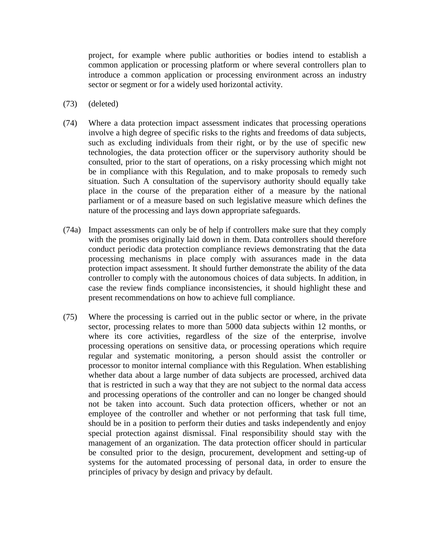project, for example where public authorities or bodies intend to establish a common application or processing platform or where several controllers plan to introduce a common application or processing environment across an industry sector or segment or for a widely used horizontal activity.

- (73) (deleted)
- (74) Where a data protection impact assessment indicates that processing operations involve a high degree of specific risks to the rights and freedoms of data subjects, such as excluding individuals from their right, or by the use of specific new technologies, the data protection officer or the supervisory authority should be consulted, prior to the start of operations, on a risky processing which might not be in compliance with this Regulation, and to make proposals to remedy such situation. Such A consultation of the supervisory authority should equally take place in the course of the preparation either of a measure by the national parliament or of a measure based on such legislative measure which defines the nature of the processing and lays down appropriate safeguards.
- (74a) Impact assessments can only be of help if controllers make sure that they comply with the promises originally laid down in them. Data controllers should therefore conduct periodic data protection compliance reviews demonstrating that the data processing mechanisms in place comply with assurances made in the data protection impact assessment. It should further demonstrate the ability of the data controller to comply with the autonomous choices of data subjects. In addition, in case the review finds compliance inconsistencies, it should highlight these and present recommendations on how to achieve full compliance.
- (75) Where the processing is carried out in the public sector or where, in the private sector, processing relates to more than 5000 data subjects within 12 months, or where its core activities, regardless of the size of the enterprise, involve processing operations on sensitive data, or processing operations which require regular and systematic monitoring, a person should assist the controller or processor to monitor internal compliance with this Regulation. When establishing whether data about a large number of data subjects are processed, archived data that is restricted in such a way that they are not subject to the normal data access and processing operations of the controller and can no longer be changed should not be taken into account. Such data protection officers, whether or not an employee of the controller and whether or not performing that task full time, should be in a position to perform their duties and tasks independently and enjoy special protection against dismissal. Final responsibility should stay with the management of an organization. The data protection officer should in particular be consulted prior to the design, procurement, development and setting-up of systems for the automated processing of personal data, in order to ensure the principles of privacy by design and privacy by default.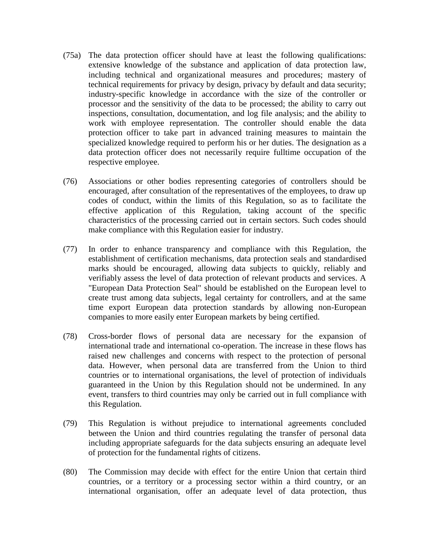- (75a) The data protection officer should have at least the following qualifications: extensive knowledge of the substance and application of data protection law, including technical and organizational measures and procedures; mastery of technical requirements for privacy by design, privacy by default and data security; industry-specific knowledge in accordance with the size of the controller or processor and the sensitivity of the data to be processed; the ability to carry out inspections, consultation, documentation, and log file analysis; and the ability to work with employee representation. The controller should enable the data protection officer to take part in advanced training measures to maintain the specialized knowledge required to perform his or her duties. The designation as a data protection officer does not necessarily require fulltime occupation of the respective employee.
- (76) Associations or other bodies representing categories of controllers should be encouraged, after consultation of the representatives of the employees, to draw up codes of conduct, within the limits of this Regulation, so as to facilitate the effective application of this Regulation, taking account of the specific characteristics of the processing carried out in certain sectors. Such codes should make compliance with this Regulation easier for industry.
- (77) In order to enhance transparency and compliance with this Regulation, the establishment of certification mechanisms, data protection seals and standardised marks should be encouraged, allowing data subjects to quickly, reliably and verifiably assess the level of data protection of relevant products and services. A "European Data Protection Seal" should be established on the European level to create trust among data subjects, legal certainty for controllers, and at the same time export European data protection standards by allowing non-European companies to more easily enter European markets by being certified.
- (78) Cross-border flows of personal data are necessary for the expansion of international trade and international co-operation. The increase in these flows has raised new challenges and concerns with respect to the protection of personal data. However, when personal data are transferred from the Union to third countries or to international organisations, the level of protection of individuals guaranteed in the Union by this Regulation should not be undermined. In any event, transfers to third countries may only be carried out in full compliance with this Regulation.
- (79) This Regulation is without prejudice to international agreements concluded between the Union and third countries regulating the transfer of personal data including appropriate safeguards for the data subjects ensuring an adequate level of protection for the fundamental rights of citizens.
- (80) The Commission may decide with effect for the entire Union that certain third countries, or a territory or a processing sector within a third country, or an international organisation, offer an adequate level of data protection, thus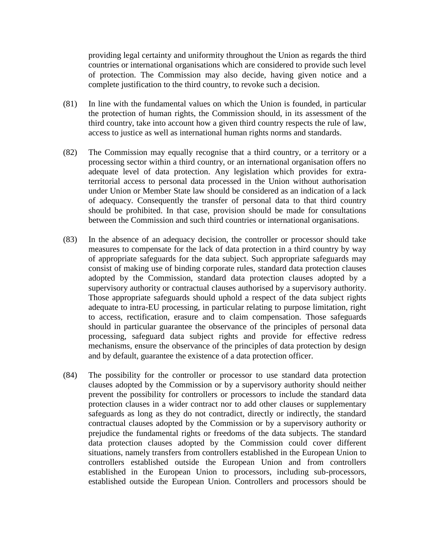providing legal certainty and uniformity throughout the Union as regards the third countries or international organisations which are considered to provide such level of protection. The Commission may also decide, having given notice and a complete justification to the third country, to revoke such a decision.

- (81) In line with the fundamental values on which the Union is founded, in particular the protection of human rights, the Commission should, in its assessment of the third country, take into account how a given third country respects the rule of law, access to justice as well as international human rights norms and standards.
- (82) The Commission may equally recognise that a third country, or a territory or a processing sector within a third country, or an international organisation offers no adequate level of data protection. Any legislation which provides for extraterritorial access to personal data processed in the Union without authorisation under Union or Member State law should be considered as an indication of a lack of adequacy. Consequently the transfer of personal data to that third country should be prohibited. In that case, provision should be made for consultations between the Commission and such third countries or international organisations.
- (83) In the absence of an adequacy decision, the controller or processor should take measures to compensate for the lack of data protection in a third country by way of appropriate safeguards for the data subject. Such appropriate safeguards may consist of making use of binding corporate rules, standard data protection clauses adopted by the Commission, standard data protection clauses adopted by a supervisory authority or contractual clauses authorised by a supervisory authority. Those appropriate safeguards should uphold a respect of the data subject rights adequate to intra-EU processing, in particular relating to purpose limitation, right to access, rectification, erasure and to claim compensation. Those safeguards should in particular guarantee the observance of the principles of personal data processing, safeguard data subject rights and provide for effective redress mechanisms, ensure the observance of the principles of data protection by design and by default, guarantee the existence of a data protection officer.
- (84) The possibility for the controller or processor to use standard data protection clauses adopted by the Commission or by a supervisory authority should neither prevent the possibility for controllers or processors to include the standard data protection clauses in a wider contract nor to add other clauses or supplementary safeguards as long as they do not contradict, directly or indirectly, the standard contractual clauses adopted by the Commission or by a supervisory authority or prejudice the fundamental rights or freedoms of the data subjects. The standard data protection clauses adopted by the Commission could cover different situations, namely transfers from controllers established in the European Union to controllers established outside the European Union and from controllers established in the European Union to processors, including sub-processors, established outside the European Union. Controllers and processors should be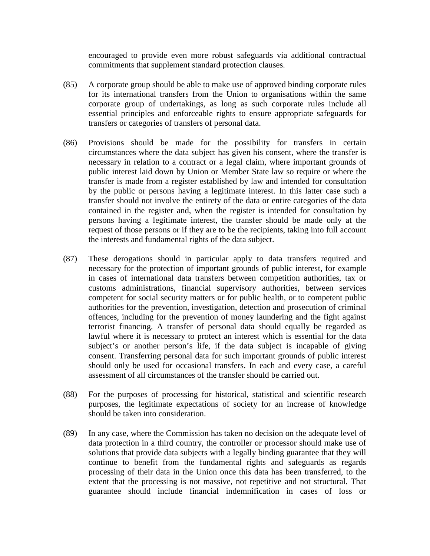encouraged to provide even more robust safeguards via additional contractual commitments that supplement standard protection clauses.

- (85) A corporate group should be able to make use of approved binding corporate rules for its international transfers from the Union to organisations within the same corporate group of undertakings, as long as such corporate rules include all essential principles and enforceable rights to ensure appropriate safeguards for transfers or categories of transfers of personal data.
- (86) Provisions should be made for the possibility for transfers in certain circumstances where the data subject has given his consent, where the transfer is necessary in relation to a contract or a legal claim, where important grounds of public interest laid down by Union or Member State law so require or where the transfer is made from a register established by law and intended for consultation by the public or persons having a legitimate interest. In this latter case such a transfer should not involve the entirety of the data or entire categories of the data contained in the register and, when the register is intended for consultation by persons having a legitimate interest, the transfer should be made only at the request of those persons or if they are to be the recipients, taking into full account the interests and fundamental rights of the data subject.
- (87) These derogations should in particular apply to data transfers required and necessary for the protection of important grounds of public interest, for example in cases of international data transfers between competition authorities, tax or customs administrations, financial supervisory authorities, between services competent for social security matters or for public health, or to competent public authorities for the prevention, investigation, detection and prosecution of criminal offences, including for the prevention of money laundering and the fight against terrorist financing. A transfer of personal data should equally be regarded as lawful where it is necessary to protect an interest which is essential for the data subject's or another person's life, if the data subject is incapable of giving consent. Transferring personal data for such important grounds of public interest should only be used for occasional transfers. In each and every case, a careful assessment of all circumstances of the transfer should be carried out.
- (88) For the purposes of processing for historical, statistical and scientific research purposes, the legitimate expectations of society for an increase of knowledge should be taken into consideration.
- (89) In any case, where the Commission has taken no decision on the adequate level of data protection in a third country, the controller or processor should make use of solutions that provide data subjects with a legally binding guarantee that they will continue to benefit from the fundamental rights and safeguards as regards processing of their data in the Union once this data has been transferred, to the extent that the processing is not massive, not repetitive and not structural. That guarantee should include financial indemnification in cases of loss or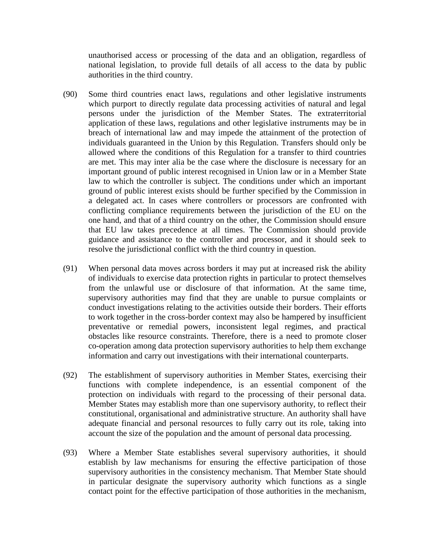unauthorised access or processing of the data and an obligation, regardless of national legislation, to provide full details of all access to the data by public authorities in the third country.

- (90) Some third countries enact laws, regulations and other legislative instruments which purport to directly regulate data processing activities of natural and legal persons under the jurisdiction of the Member States. The extraterritorial application of these laws, regulations and other legislative instruments may be in breach of international law and may impede the attainment of the protection of individuals guaranteed in the Union by this Regulation. Transfers should only be allowed where the conditions of this Regulation for a transfer to third countries are met. This may inter alia be the case where the disclosure is necessary for an important ground of public interest recognised in Union law or in a Member State law to which the controller is subject. The conditions under which an important ground of public interest exists should be further specified by the Commission in a delegated act. In cases where controllers or processors are confronted with conflicting compliance requirements between the jurisdiction of the EU on the one hand, and that of a third country on the other, the Commission should ensure that EU law takes precedence at all times. The Commission should provide guidance and assistance to the controller and processor, and it should seek to resolve the jurisdictional conflict with the third country in question.
- (91) When personal data moves across borders it may put at increased risk the ability of individuals to exercise data protection rights in particular to protect themselves from the unlawful use or disclosure of that information. At the same time, supervisory authorities may find that they are unable to pursue complaints or conduct investigations relating to the activities outside their borders. Their efforts to work together in the cross-border context may also be hampered by insufficient preventative or remedial powers, inconsistent legal regimes, and practical obstacles like resource constraints. Therefore, there is a need to promote closer co-operation among data protection supervisory authorities to help them exchange information and carry out investigations with their international counterparts.
- (92) The establishment of supervisory authorities in Member States, exercising their functions with complete independence, is an essential component of the protection on individuals with regard to the processing of their personal data. Member States may establish more than one supervisory authority, to reflect their constitutional, organisational and administrative structure. An authority shall have adequate financial and personal resources to fully carry out its role, taking into account the size of the population and the amount of personal data processing.
- (93) Where a Member State establishes several supervisory authorities, it should establish by law mechanisms for ensuring the effective participation of those supervisory authorities in the consistency mechanism. That Member State should in particular designate the supervisory authority which functions as a single contact point for the effective participation of those authorities in the mechanism,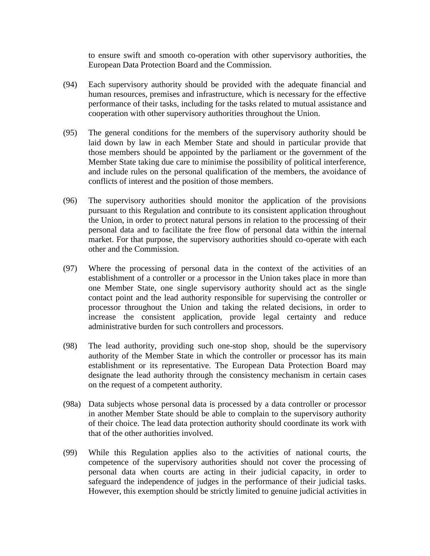to ensure swift and smooth co-operation with other supervisory authorities, the European Data Protection Board and the Commission.

- (94) Each supervisory authority should be provided with the adequate financial and human resources, premises and infrastructure, which is necessary for the effective performance of their tasks, including for the tasks related to mutual assistance and cooperation with other supervisory authorities throughout the Union.
- (95) The general conditions for the members of the supervisory authority should be laid down by law in each Member State and should in particular provide that those members should be appointed by the parliament or the government of the Member State taking due care to minimise the possibility of political interference, and include rules on the personal qualification of the members, the avoidance of conflicts of interest and the position of those members.
- (96) The supervisory authorities should monitor the application of the provisions pursuant to this Regulation and contribute to its consistent application throughout the Union, in order to protect natural persons in relation to the processing of their personal data and to facilitate the free flow of personal data within the internal market. For that purpose, the supervisory authorities should co-operate with each other and the Commission.
- (97) Where the processing of personal data in the context of the activities of an establishment of a controller or a processor in the Union takes place in more than one Member State, one single supervisory authority should act as the single contact point and the lead authority responsible for supervising the controller or processor throughout the Union and taking the related decisions, in order to increase the consistent application, provide legal certainty and reduce administrative burden for such controllers and processors.
- (98) The lead authority, providing such one-stop shop, should be the supervisory authority of the Member State in which the controller or processor has its main establishment or its representative. The European Data Protection Board may designate the lead authority through the consistency mechanism in certain cases on the request of a competent authority.
- (98a) Data subjects whose personal data is processed by a data controller or processor in another Member State should be able to complain to the supervisory authority of their choice. The lead data protection authority should coordinate its work with that of the other authorities involved.
- (99) While this Regulation applies also to the activities of national courts, the competence of the supervisory authorities should not cover the processing of personal data when courts are acting in their judicial capacity, in order to safeguard the independence of judges in the performance of their judicial tasks. However, this exemption should be strictly limited to genuine judicial activities in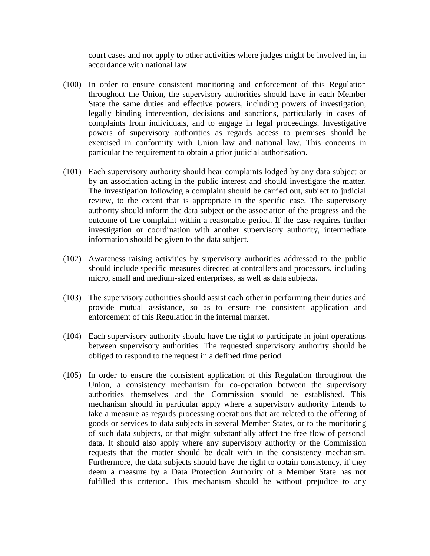court cases and not apply to other activities where judges might be involved in, in accordance with national law.

- (100) In order to ensure consistent monitoring and enforcement of this Regulation throughout the Union, the supervisory authorities should have in each Member State the same duties and effective powers, including powers of investigation, legally binding intervention, decisions and sanctions, particularly in cases of complaints from individuals, and to engage in legal proceedings. Investigative powers of supervisory authorities as regards access to premises should be exercised in conformity with Union law and national law. This concerns in particular the requirement to obtain a prior judicial authorisation.
- (101) Each supervisory authority should hear complaints lodged by any data subject or by an association acting in the public interest and should investigate the matter. The investigation following a complaint should be carried out, subject to judicial review, to the extent that is appropriate in the specific case. The supervisory authority should inform the data subject or the association of the progress and the outcome of the complaint within a reasonable period. If the case requires further investigation or coordination with another supervisory authority, intermediate information should be given to the data subject.
- (102) Awareness raising activities by supervisory authorities addressed to the public should include specific measures directed at controllers and processors, including micro, small and medium-sized enterprises, as well as data subjects.
- (103) The supervisory authorities should assist each other in performing their duties and provide mutual assistance, so as to ensure the consistent application and enforcement of this Regulation in the internal market.
- (104) Each supervisory authority should have the right to participate in joint operations between supervisory authorities. The requested supervisory authority should be obliged to respond to the request in a defined time period.
- (105) In order to ensure the consistent application of this Regulation throughout the Union, a consistency mechanism for co-operation between the supervisory authorities themselves and the Commission should be established. This mechanism should in particular apply where a supervisory authority intends to take a measure as regards processing operations that are related to the offering of goods or services to data subjects in several Member States, or to the monitoring of such data subjects, or that might substantially affect the free flow of personal data. It should also apply where any supervisory authority or the Commission requests that the matter should be dealt with in the consistency mechanism. Furthermore, the data subjects should have the right to obtain consistency, if they deem a measure by a Data Protection Authority of a Member State has not fulfilled this criterion. This mechanism should be without prejudice to any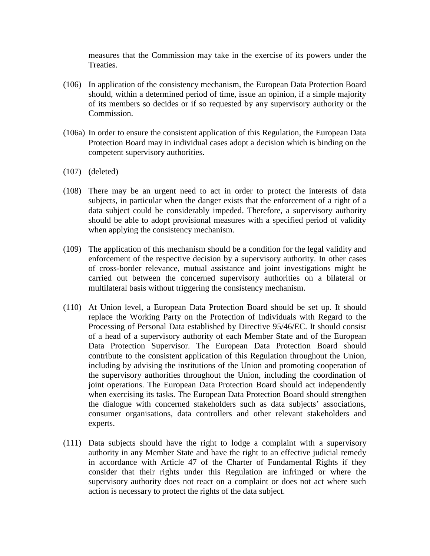measures that the Commission may take in the exercise of its powers under the Treaties.

- (106) In application of the consistency mechanism, the European Data Protection Board should, within a determined period of time, issue an opinion, if a simple majority of its members so decides or if so requested by any supervisory authority or the Commission.
- (106a) In order to ensure the consistent application of this Regulation, the European Data Protection Board may in individual cases adopt a decision which is binding on the competent supervisory authorities.
- (107) (deleted)
- (108) There may be an urgent need to act in order to protect the interests of data subjects, in particular when the danger exists that the enforcement of a right of a data subject could be considerably impeded. Therefore, a supervisory authority should be able to adopt provisional measures with a specified period of validity when applying the consistency mechanism.
- (109) The application of this mechanism should be a condition for the legal validity and enforcement of the respective decision by a supervisory authority. In other cases of cross-border relevance, mutual assistance and joint investigations might be carried out between the concerned supervisory authorities on a bilateral or multilateral basis without triggering the consistency mechanism.
- (110) At Union level, a European Data Protection Board should be set up. It should replace the Working Party on the Protection of Individuals with Regard to the Processing of Personal Data established by Directive 95/46/EC. It should consist of a head of a supervisory authority of each Member State and of the European Data Protection Supervisor. The European Data Protection Board should contribute to the consistent application of this Regulation throughout the Union, including by advising the institutions of the Union and promoting cooperation of the supervisory authorities throughout the Union, including the coordination of joint operations. The European Data Protection Board should act independently when exercising its tasks. The European Data Protection Board should strengthen the dialogue with concerned stakeholders such as data subjects' associations, consumer organisations, data controllers and other relevant stakeholders and experts.
- (111) Data subjects should have the right to lodge a complaint with a supervisory authority in any Member State and have the right to an effective judicial remedy in accordance with Article 47 of the Charter of Fundamental Rights if they consider that their rights under this Regulation are infringed or where the supervisory authority does not react on a complaint or does not act where such action is necessary to protect the rights of the data subject.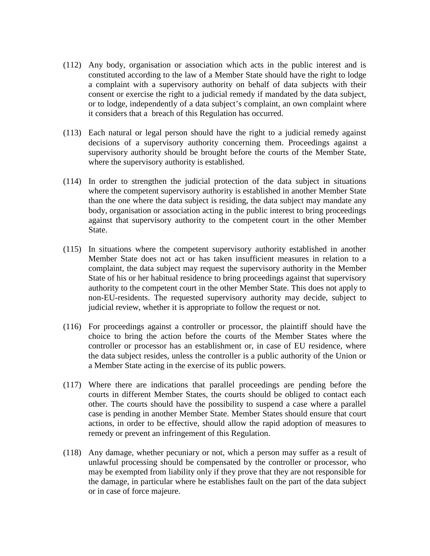- (112) Any body, organisation or association which acts in the public interest and is constituted according to the law of a Member State should have the right to lodge a complaint with a supervisory authority on behalf of data subjects with their consent or exercise the right to a judicial remedy if mandated by the data subject, or to lodge, independently of a data subject's complaint, an own complaint where it considers that a breach of this Regulation has occurred.
- (113) Each natural or legal person should have the right to a judicial remedy against decisions of a supervisory authority concerning them. Proceedings against a supervisory authority should be brought before the courts of the Member State, where the supervisory authority is established.
- (114) In order to strengthen the judicial protection of the data subject in situations where the competent supervisory authority is established in another Member State than the one where the data subject is residing, the data subject may mandate any body, organisation or association acting in the public interest to bring proceedings against that supervisory authority to the competent court in the other Member State.
- (115) In situations where the competent supervisory authority established in another Member State does not act or has taken insufficient measures in relation to a complaint, the data subject may request the supervisory authority in the Member State of his or her habitual residence to bring proceedings against that supervisory authority to the competent court in the other Member State. This does not apply to non-EU-residents. The requested supervisory authority may decide, subject to judicial review, whether it is appropriate to follow the request or not.
- (116) For proceedings against a controller or processor, the plaintiff should have the choice to bring the action before the courts of the Member States where the controller or processor has an establishment or, in case of EU residence, where the data subject resides, unless the controller is a public authority of the Union or a Member State acting in the exercise of its public powers.
- (117) Where there are indications that parallel proceedings are pending before the courts in different Member States, the courts should be obliged to contact each other. The courts should have the possibility to suspend a case where a parallel case is pending in another Member State. Member States should ensure that court actions, in order to be effective, should allow the rapid adoption of measures to remedy or prevent an infringement of this Regulation.
- (118) Any damage, whether pecuniary or not, which a person may suffer as a result of unlawful processing should be compensated by the controller or processor, who may be exempted from liability only if they prove that they are not responsible for the damage, in particular where he establishes fault on the part of the data subject or in case of force majeure.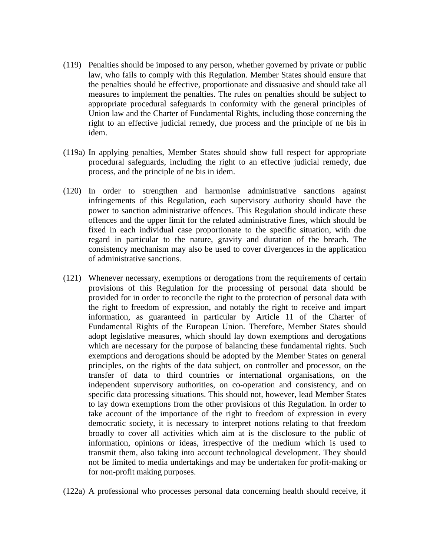- (119) Penalties should be imposed to any person, whether governed by private or public law, who fails to comply with this Regulation. Member States should ensure that the penalties should be effective, proportionate and dissuasive and should take all measures to implement the penalties. The rules on penalties should be subject to appropriate procedural safeguards in conformity with the general principles of Union law and the Charter of Fundamental Rights, including those concerning the right to an effective judicial remedy, due process and the principle of ne bis in idem.
- (119a) In applying penalties, Member States should show full respect for appropriate procedural safeguards, including the right to an effective judicial remedy, due process, and the principle of ne bis in idem.
- (120) In order to strengthen and harmonise administrative sanctions against infringements of this Regulation, each supervisory authority should have the power to sanction administrative offences. This Regulation should indicate these offences and the upper limit for the related administrative fines, which should be fixed in each individual case proportionate to the specific situation, with due regard in particular to the nature, gravity and duration of the breach. The consistency mechanism may also be used to cover divergences in the application of administrative sanctions.
- (121) Whenever necessary, exemptions or derogations from the requirements of certain provisions of this Regulation for the processing of personal data should be provided for in order to reconcile the right to the protection of personal data with the right to freedom of expression, and notably the right to receive and impart information, as guaranteed in particular by Article 11 of the Charter of Fundamental Rights of the European Union. Therefore, Member States should adopt legislative measures, which should lay down exemptions and derogations which are necessary for the purpose of balancing these fundamental rights. Such exemptions and derogations should be adopted by the Member States on general principles, on the rights of the data subject, on controller and processor, on the transfer of data to third countries or international organisations, on the independent supervisory authorities, on co-operation and consistency, and on specific data processing situations. This should not, however, lead Member States to lay down exemptions from the other provisions of this Regulation. In order to take account of the importance of the right to freedom of expression in every democratic society, it is necessary to interpret notions relating to that freedom broadly to cover all activities which aim at is the disclosure to the public of information, opinions or ideas, irrespective of the medium which is used to transmit them, also taking into account technological development. They should not be limited to media undertakings and may be undertaken for profit-making or for non-profit making purposes.
- (122a) A professional who processes personal data concerning health should receive, if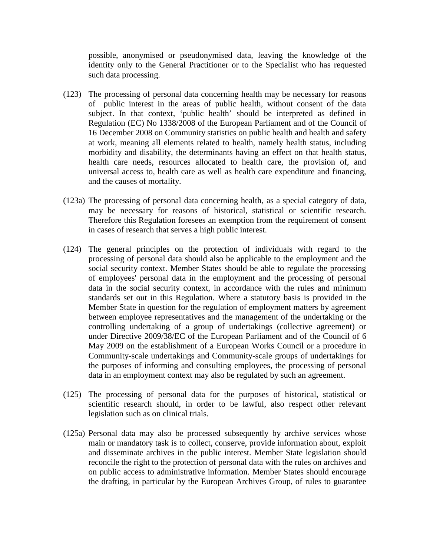possible, anonymised or pseudonymised data, leaving the knowledge of the identity only to the General Practitioner or to the Specialist who has requested such data processing.

- (123) The processing of personal data concerning health may be necessary for reasons of public interest in the areas of public health, without consent of the data subject. In that context, 'public health' should be interpreted as defined in Regulation (EC) No 1338/2008 of the European Parliament and of the Council of 16 December 2008 on Community statistics on public health and health and safety at work, meaning all elements related to health, namely health status, including morbidity and disability, the determinants having an effect on that health status, health care needs, resources allocated to health care, the provision of, and universal access to, health care as well as health care expenditure and financing, and the causes of mortality.
- (123a) The processing of personal data concerning health, as a special category of data, may be necessary for reasons of historical, statistical or scientific research. Therefore this Regulation foresees an exemption from the requirement of consent in cases of research that serves a high public interest.
- (124) The general principles on the protection of individuals with regard to the processing of personal data should also be applicable to the employment and the social security context. Member States should be able to regulate the processing of employees' personal data in the employment and the processing of personal data in the social security context, in accordance with the rules and minimum standards set out in this Regulation. Where a statutory basis is provided in the Member State in question for the regulation of employment matters by agreement between employee representatives and the management of the undertaking or the controlling undertaking of a group of undertakings (collective agreement) or under Directive 2009/38/EC of the European Parliament and of the Council of 6 May 2009 on the establishment of a European Works Council or a procedure in Community-scale undertakings and Community-scale groups of undertakings for the purposes of informing and consulting employees, the processing of personal data in an employment context may also be regulated by such an agreement.
- (125) The processing of personal data for the purposes of historical, statistical or scientific research should, in order to be lawful, also respect other relevant legislation such as on clinical trials.
- (125a) Personal data may also be processed subsequently by archive services whose main or mandatory task is to collect, conserve, provide information about, exploit and disseminate archives in the public interest. Member State legislation should reconcile the right to the protection of personal data with the rules on archives and on public access to administrative information. Member States should encourage the drafting, in particular by the European Archives Group, of rules to guarantee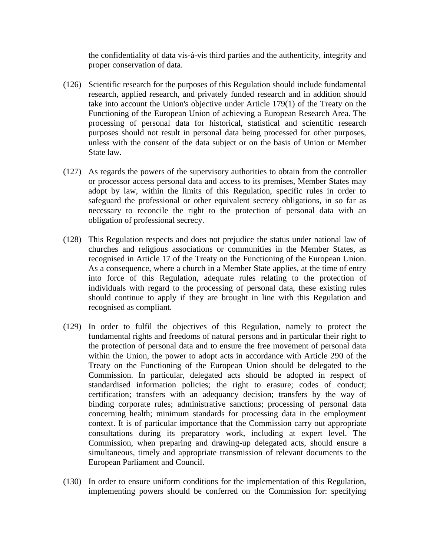the confidentiality of data vis-à-vis third parties and the authenticity, integrity and proper conservation of data.

- (126) Scientific research for the purposes of this Regulation should include fundamental research, applied research, and privately funded research and in addition should take into account the Union's objective under Article 179(1) of the Treaty on the Functioning of the European Union of achieving a European Research Area. The processing of personal data for historical, statistical and scientific research purposes should not result in personal data being processed for other purposes, unless with the consent of the data subject or on the basis of Union or Member State law.
- (127) As regards the powers of the supervisory authorities to obtain from the controller or processor access personal data and access to its premises, Member States may adopt by law, within the limits of this Regulation, specific rules in order to safeguard the professional or other equivalent secrecy obligations, in so far as necessary to reconcile the right to the protection of personal data with an obligation of professional secrecy.
- (128) This Regulation respects and does not prejudice the status under national law of churches and religious associations or communities in the Member States, as recognised in Article 17 of the Treaty on the Functioning of the European Union. As a consequence, where a church in a Member State applies, at the time of entry into force of this Regulation, adequate rules relating to the protection of individuals with regard to the processing of personal data, these existing rules should continue to apply if they are brought in line with this Regulation and recognised as compliant.
- (129) In order to fulfil the objectives of this Regulation, namely to protect the fundamental rights and freedoms of natural persons and in particular their right to the protection of personal data and to ensure the free movement of personal data within the Union, the power to adopt acts in accordance with Article 290 of the Treaty on the Functioning of the European Union should be delegated to the Commission. In particular, delegated acts should be adopted in respect of standardised information policies; the right to erasure; codes of conduct; certification; transfers with an adequancy decision; transfers by the way of binding corporate rules; administrative sanctions; processing of personal data concerning health; minimum standards for processing data in the employment context. It is of particular importance that the Commission carry out appropriate consultations during its preparatory work, including at expert level. The Commission, when preparing and drawing-up delegated acts, should ensure a simultaneous, timely and appropriate transmission of relevant documents to the European Parliament and Council.
- (130) In order to ensure uniform conditions for the implementation of this Regulation, implementing powers should be conferred on the Commission for: specifying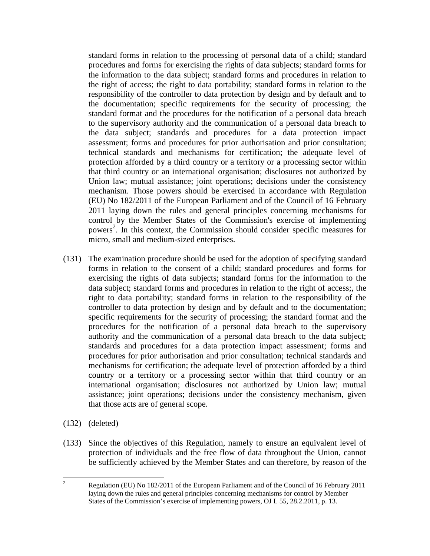standard forms in relation to the processing of personal data of a child; standard procedures and forms for exercising the rights of data subjects; standard forms for the information to the data subject; standard forms and procedures in relation to the right of access; the right to data portability; standard forms in relation to the responsibility of the controller to data protection by design and by default and to the documentation; specific requirements for the security of processing; the standard format and the procedures for the notification of a personal data breach to the supervisory authority and the communication of a personal data breach to the data subject; standards and procedures for a data protection impact assessment; forms and procedures for prior authorisation and prior consultation; technical standards and mechanisms for certification; the adequate level of protection afforded by a third country or a territory or a processing sector within that third country or an international organisation; disclosures not authorized by Union law; mutual assistance; joint operations; decisions under the consistency mechanism. Those powers should be exercised in accordance with Regulation (EU) No 182/2011 of the European Parliament and of the Council of 16 February 2011 laying down the rules and general principles concerning mechanisms for control by the Member States of the Commission's exercise of implementing powers 2 . In this context, the Commission should consider specific measures for micro, small and medium-sized enterprises.

- (131) The examination procedure should be used for the adoption of specifying standard forms in relation to the consent of a child; standard procedures and forms for exercising the rights of data subjects; standard forms for the information to the data subject; standard forms and procedures in relation to the right of access;, the right to data portability; standard forms in relation to the responsibility of the controller to data protection by design and by default and to the documentation; specific requirements for the security of processing; the standard format and the procedures for the notification of a personal data breach to the supervisory authority and the communication of a personal data breach to the data subject; standards and procedures for a data protection impact assessment; forms and procedures for prior authorisation and prior consultation; technical standards and mechanisms for certification; the adequate level of protection afforded by a third country or a territory or a processing sector within that third country or an international organisation; disclosures not authorized by Union law; mutual assistance; joint operations; decisions under the consistency mechanism, given that those acts are of general scope.
- (132) (deleted)
- (133) Since the objectives of this Regulation, namely to ensure an equivalent level of protection of individuals and the free flow of data throughout the Union, cannot be sufficiently achieved by the Member States and can therefore, by reason of the

<sup>&</sup>lt;sup>2</sup> Regulation (EU) No 182/2011 of the European Parliament and of the Council of 16 February 2011 laying down the rules and general principles concerning mechanisms for control by Member States of the Commission's exercise of implementing powers, OJ L 55, 28.2.2011, p. 13.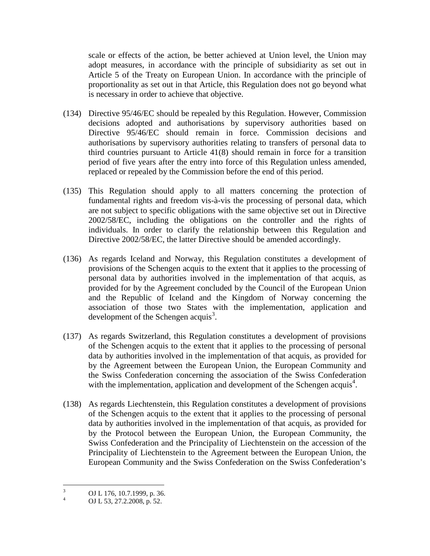scale or effects of the action, be better achieved at Union level, the Union may adopt measures, in accordance with the principle of subsidiarity as set out in Article 5 of the Treaty on European Union. In accordance with the principle of proportionality as set out in that Article, this Regulation does not go beyond what is necessary in order to achieve that objective.

- (134) Directive 95/46/EC should be repealed by this Regulation. However, Commission decisions adopted and authorisations by supervisory authorities based on Directive 95/46/EC should remain in force. Commission decisions and authorisations by supervisory authorities relating to transfers of personal data to third countries pursuant to Article 41(8) should remain in force for a transition period of five years after the entry into force of this Regulation unless amended, replaced or repealed by the Commission before the end of this period.
- (135) This Regulation should apply to all matters concerning the protection of fundamental rights and freedom vis-à-vis the processing of personal data, which are not subject to specific obligations with the same objective set out in Directive 2002/58/EC, including the obligations on the controller and the rights of individuals. In order to clarify the relationship between this Regulation and Directive 2002/58/EC, the latter Directive should be amended accordingly.
- (136) As regards Iceland and Norway, this Regulation constitutes a development of provisions of the Schengen acquis to the extent that it applies to the processing of personal data by authorities involved in the implementation of that acquis, as provided for by the Agreement concluded by the Council of the European Union and the Republic of Iceland and the Kingdom of Norway concerning the association of those two States with the implementation, application and development of the Schengen acquis<sup>3</sup>.
- (137) As regards Switzerland, this Regulation constitutes a development of provisions of the Schengen acquis to the extent that it applies to the processing of personal data by authorities involved in the implementation of that acquis, as provided for by the Agreement between the European Union, the European Community and the Swiss Confederation concerning the association of the Swiss Confederation with the implementation, application and development of the Schengen acquis<sup>4</sup>.
- (138) As regards Liechtenstein, this Regulation constitutes a development of provisions of the Schengen acquis to the extent that it applies to the processing of personal data by authorities involved in the implementation of that acquis, as provided for by the Protocol between the European Union, the European Community, the Swiss Confederation and the Principality of Liechtenstein on the accession of the Principality of Liechtenstein to the Agreement between the European Union, the European Community and the Swiss Confederation on the Swiss Confederation's

<sup>&</sup>lt;sup>3</sup> OJ L 176, 10.7.1999, p. 36.<br>
OJ L 53, 27.2.2008, p. 52.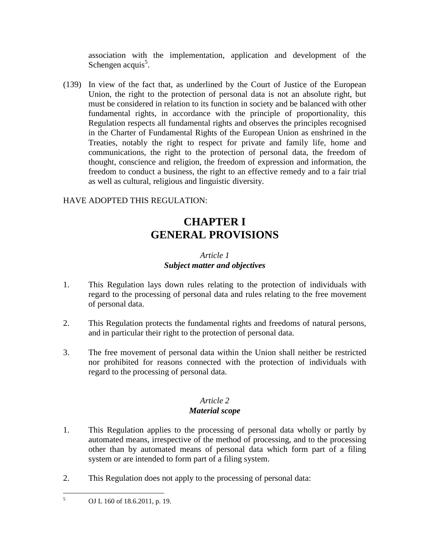association with the implementation, application and development of the Schengen acquis<sup>5</sup>.

(139) In view of the fact that, as underlined by the Court of Justice of the European Union, the right to the protection of personal data is not an absolute right, but must be considered in relation to its function in society and be balanced with other fundamental rights, in accordance with the principle of proportionality, this Regulation respects all fundamental rights and observes the principles recognised in the Charter of Fundamental Rights of the European Union as enshrined in the Treaties, notably the right to respect for private and family life, home and communications, the right to the protection of personal data, the freedom of thought, conscience and religion, the freedom of expression and information, the freedom to conduct a business, the right to an effective remedy and to a fair trial as well as cultural, religious and linguistic diversity.

# HAVE ADOPTED THIS REGULATION:

# **CHAPTER I GENERAL PROVISIONS**

#### *Article 1 Subject matter and objectives*

- 1. This Regulation lays down rules relating to the protection of individuals with regard to the processing of personal data and rules relating to the free movement of personal data.
- 2. This Regulation protects the fundamental rights and freedoms of natural persons, and in particular their right to the protection of personal data.
- 3. The free movement of personal data within the Union shall neither be restricted nor prohibited for reasons connected with the protection of individuals with regard to the processing of personal data.

#### *Article 2 Material scope*

- 1. This Regulation applies to the processing of personal data wholly or partly by automated means, irrespective of the method of processing, and to the processing other than by automated means of personal data which form part of a filing system or are intended to form part of a filing system.
- 2. This Regulation does not apply to the processing of personal data:

<sup>5</sup> OJ L 160 of 18.6.2011, p. 19.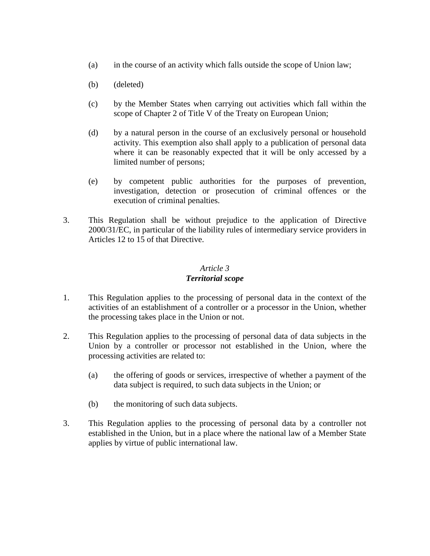- (a) in the course of an activity which falls outside the scope of Union law;
- (b) (deleted)
- (c) by the Member States when carrying out activities which fall within the scope of Chapter 2 of Title V of the Treaty on European Union;
- (d) by a natural person in the course of an exclusively personal or household activity. This exemption also shall apply to a publication of personal data where it can be reasonably expected that it will be only accessed by a limited number of persons;
- (e) by competent public authorities for the purposes of prevention, investigation, detection or prosecution of criminal offences or the execution of criminal penalties.
- 3. This Regulation shall be without prejudice to the application of Directive 2000/31/EC, in particular of the liability rules of intermediary service providers in Articles 12 to 15 of that Directive.

# *Article 3*

#### *Territorial scope*

- 1. This Regulation applies to the processing of personal data in the context of the activities of an establishment of a controller or a processor in the Union, whether the processing takes place in the Union or not.
- 2. This Regulation applies to the processing of personal data of data subjects in the Union by a controller or processor not established in the Union, where the processing activities are related to:
	- (a) the offering of goods or services, irrespective of whether a payment of the data subject is required, to such data subjects in the Union; or
	- (b) the monitoring of such data subjects.
- 3. This Regulation applies to the processing of personal data by a controller not established in the Union, but in a place where the national law of a Member State applies by virtue of public international law.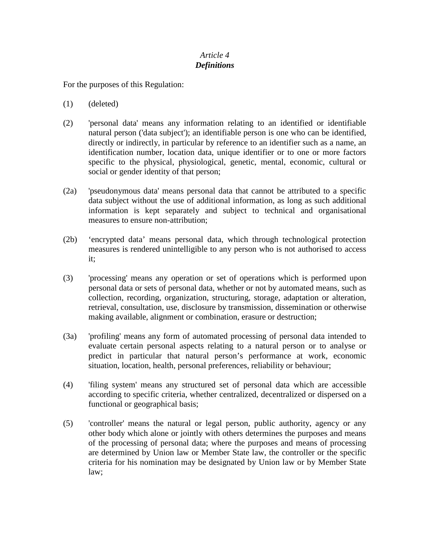## *Article 4 Definitions*

For the purposes of this Regulation:

- (1) (deleted)
- (2) 'personal data' means any information relating to an identified or identifiable natural person ('data subject'); an identifiable person is one who can be identified, directly or indirectly, in particular by reference to an identifier such as a name, an identification number, location data, unique identifier or to one or more factors specific to the physical, physiological, genetic, mental, economic, cultural or social or gender identity of that person;
- (2a) 'pseudonymous data' means personal data that cannot be attributed to a specific data subject without the use of additional information, as long as such additional information is kept separately and subject to technical and organisational measures to ensure non-attribution;
- (2b) 'encrypted data' means personal data, which through technological protection measures is rendered unintelligible to any person who is not authorised to access it;
- (3) 'processing' means any operation or set of operations which is performed upon personal data or sets of personal data, whether or not by automated means, such as collection, recording, organization, structuring, storage, adaptation or alteration, retrieval, consultation, use, disclosure by transmission, dissemination or otherwise making available, alignment or combination, erasure or destruction;
- (3a) 'profiling' means any form of automated processing of personal data intended to evaluate certain personal aspects relating to a natural person or to analyse or predict in particular that natural person's performance at work, economic situation, location, health, personal preferences, reliability or behaviour;
- (4) 'filing system' means any structured set of personal data which are accessible according to specific criteria, whether centralized, decentralized or dispersed on a functional or geographical basis;
- (5) 'controller' means the natural or legal person, public authority, agency or any other body which alone or jointly with others determines the purposes and means of the processing of personal data; where the purposes and means of processing are determined by Union law or Member State law, the controller or the specific criteria for his nomination may be designated by Union law or by Member State law;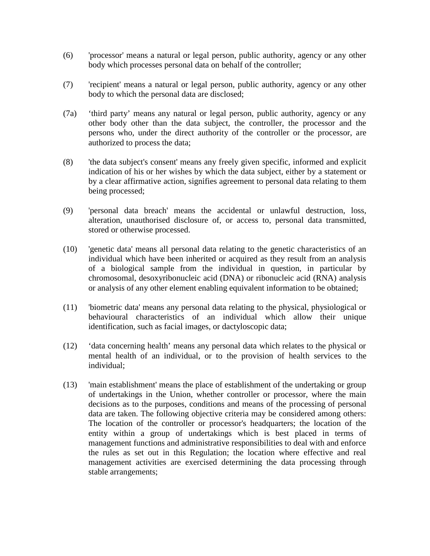- (6) 'processor' means a natural or legal person, public authority, agency or any other body which processes personal data on behalf of the controller;
- (7) 'recipient' means a natural or legal person, public authority, agency or any other body to which the personal data are disclosed;
- (7a) 'third party' means any natural or legal person, public authority, agency or any other body other than the data subject, the controller, the processor and the persons who, under the direct authority of the controller or the processor, are authorized to process the data;
- (8) 'the data subject's consent' means any freely given specific, informed and explicit indication of his or her wishes by which the data subject, either by a statement or by a clear affirmative action, signifies agreement to personal data relating to them being processed;
- (9) 'personal data breach' means the accidental or unlawful destruction, loss, alteration, unauthorised disclosure of, or access to, personal data transmitted, stored or otherwise processed.
- (10) 'genetic data' means all personal data relating to the genetic characteristics of an individual which have been inherited or acquired as they result from an analysis of a biological sample from the individual in question, in particular by chromosomal, desoxyribonucleic acid (DNA) or ribonucleic acid (RNA) analysis or analysis of any other element enabling equivalent information to be obtained;
- (11) 'biometric data' means any personal data relating to the physical, physiological or behavioural characteristics of an individual which allow their unique identification, such as facial images, or dactyloscopic data;
- (12) 'data concerning health' means any personal data which relates to the physical or mental health of an individual, or to the provision of health services to the individual;
- (13) 'main establishment' means the place of establishment of the undertaking or group of undertakings in the Union, whether controller or processor, where the main decisions as to the purposes, conditions and means of the processing of personal data are taken. The following objective criteria may be considered among others: The location of the controller or processor's headquarters; the location of the entity within a group of undertakings which is best placed in terms of management functions and administrative responsibilities to deal with and enforce the rules as set out in this Regulation; the location where effective and real management activities are exercised determining the data processing through stable arrangements;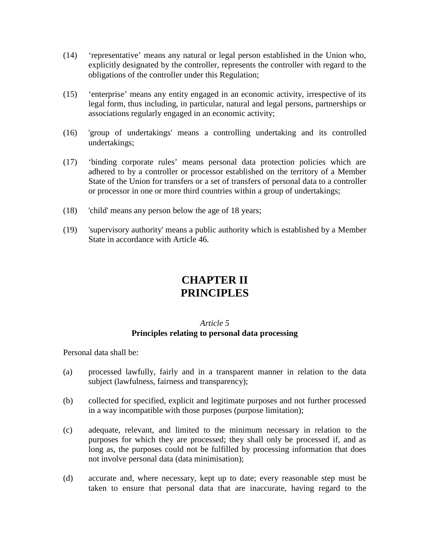- (14) 'representative' means any natural or legal person established in the Union who, explicitly designated by the controller, represents the controller with regard to the obligations of the controller under this Regulation;
- (15) 'enterprise' means any entity engaged in an economic activity, irrespective of its legal form, thus including, in particular, natural and legal persons, partnerships or associations regularly engaged in an economic activity;
- (16) 'group of undertakings' means a controlling undertaking and its controlled undertakings;
- (17) 'binding corporate rules' means personal data protection policies which are adhered to by a controller or processor established on the territory of a Member State of the Union for transfers or a set of transfers of personal data to a controller or processor in one or more third countries within a group of undertakings;
- (18) 'child' means any person below the age of 18 years;
- (19) 'supervisory authority' means a public authority which is established by a Member State in accordance with Article 46.

# **CHAPTER II PRINCIPLES**

## *Article 5* **Principles relating to personal data processing**

Personal data shall be:

- (a) processed lawfully, fairly and in a transparent manner in relation to the data subject (lawfulness, fairness and transparency);
- (b) collected for specified, explicit and legitimate purposes and not further processed in a way incompatible with those purposes (purpose limitation);
- (c) adequate, relevant, and limited to the minimum necessary in relation to the purposes for which they are processed; they shall only be processed if, and as long as, the purposes could not be fulfilled by processing information that does not involve personal data (data minimisation);
- (d) accurate and, where necessary, kept up to date; every reasonable step must be taken to ensure that personal data that are inaccurate, having regard to the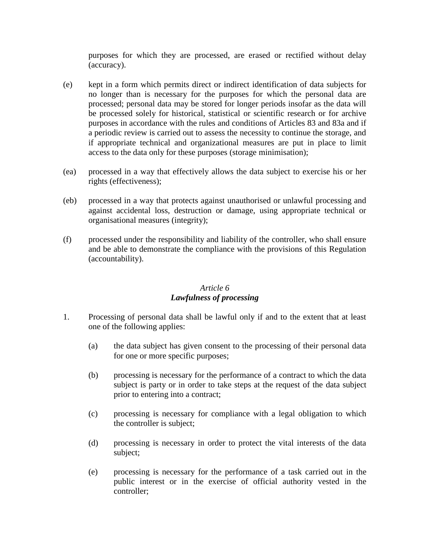purposes for which they are processed, are erased or rectified without delay (accuracy).

- (e) kept in a form which permits direct or indirect identification of data subjects for no longer than is necessary for the purposes for which the personal data are processed; personal data may be stored for longer periods insofar as the data will be processed solely for historical, statistical or scientific research or for archive purposes in accordance with the rules and conditions of Articles 83 and 83a and if a periodic review is carried out to assess the necessity to continue the storage, and if appropriate technical and organizational measures are put in place to limit access to the data only for these purposes (storage minimisation);
- (ea) processed in a way that effectively allows the data subject to exercise his or her rights (effectiveness);
- (eb) processed in a way that protects against unauthorised or unlawful processing and against accidental loss, destruction or damage, using appropriate technical or organisational measures (integrity);
- (f) processed under the responsibility and liability of the controller, who shall ensure and be able to demonstrate the compliance with the provisions of this Regulation (accountability).

## *Article 6 Lawfulness of processing*

- 1. Processing of personal data shall be lawful only if and to the extent that at least one of the following applies:
	- (a) the data subject has given consent to the processing of their personal data for one or more specific purposes;
	- (b) processing is necessary for the performance of a contract to which the data subject is party or in order to take steps at the request of the data subject prior to entering into a contract;
	- (c) processing is necessary for compliance with a legal obligation to which the controller is subject;
	- (d) processing is necessary in order to protect the vital interests of the data subject;
	- (e) processing is necessary for the performance of a task carried out in the public interest or in the exercise of official authority vested in the controller;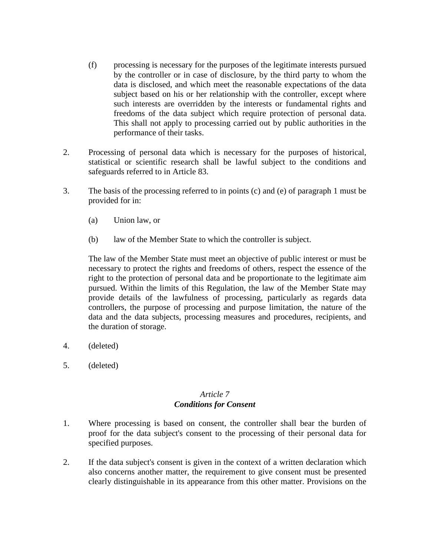- (f) processing is necessary for the purposes of the legitimate interests pursued by the controller or in case of disclosure, by the third party to whom the data is disclosed, and which meet the reasonable expectations of the data subject based on his or her relationship with the controller, except where such interests are overridden by the interests or fundamental rights and freedoms of the data subject which require protection of personal data. This shall not apply to processing carried out by public authorities in the performance of their tasks.
- 2. Processing of personal data which is necessary for the purposes of historical, statistical or scientific research shall be lawful subject to the conditions and safeguards referred to in Article 83.
- 3. The basis of the processing referred to in points (c) and (e) of paragraph 1 must be provided for in:
	- (a) Union law, or
	- (b) law of the Member State to which the controller is subject.

The law of the Member State must meet an objective of public interest or must be necessary to protect the rights and freedoms of others, respect the essence of the right to the protection of personal data and be proportionate to the legitimate aim pursued. Within the limits of this Regulation, the law of the Member State may provide details of the lawfulness of processing, particularly as regards data controllers, the purpose of processing and purpose limitation, the nature of the data and the data subjects, processing measures and procedures, recipients, and the duration of storage.

- 4. (deleted)
- 5. (deleted)

### *Article 7 Conditions for Consent*

- 1. Where processing is based on consent, the controller shall bear the burden of proof for the data subject's consent to the processing of their personal data for specified purposes.
- 2. If the data subject's consent is given in the context of a written declaration which also concerns another matter, the requirement to give consent must be presented clearly distinguishable in its appearance from this other matter. Provisions on the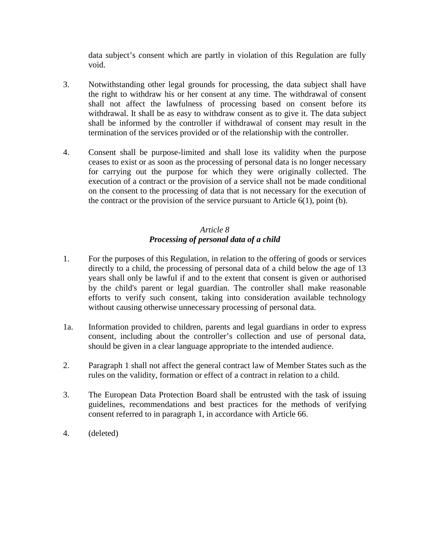data subject's consent which are partly in violation of this Regulation are fully void.

- 3. Notwithstanding other legal grounds for processing, the data subject shall have the right to withdraw his or her consent at any time. The withdrawal of consent shall not affect the lawfulness of processing based on consent before its withdrawal. It shall be as easy to withdraw consent as to give it. The data subject shall be informed by the controller if withdrawal of consent may result in the termination of the services provided or of the relationship with the controller.
- 4. Consent shall be purpose-limited and shall lose its validity when the purpose ceases to exist or as soon as the processing of personal data is no longer necessary for carrying out the purpose for which they were originally collected. The execution of a contract or the provision of a service shall not be made conditional on the consent to the processing of data that is not necessary for the execution of the contract or the provision of the service pursuant to Article  $6(1)$ , point (b).

## *Article 8 Processing of personal data of a child*

- 1. For the purposes of this Regulation, in relation to the offering of goods or services directly to a child, the processing of personal data of a child below the age of 13 years shall only be lawful if and to the extent that consent is given or authorised by the child's parent or legal guardian. The controller shall make reasonable efforts to verify such consent, taking into consideration available technology without causing otherwise unnecessary processing of personal data.
- 1a. Information provided to children, parents and legal guardians in order to express consent, including about the controller's collection and use of personal data, should be given in a clear language appropriate to the intended audience.
- 2. Paragraph 1 shall not affect the general contract law of Member States such as the rules on the validity, formation or effect of a contract in relation to a child.
- 3. The European Data Protection Board shall be entrusted with the task of issuing guidelines, recommendations and best practices for the methods of verifying consent referred to in paragraph 1, in accordance with Article 66.
- 4. (deleted)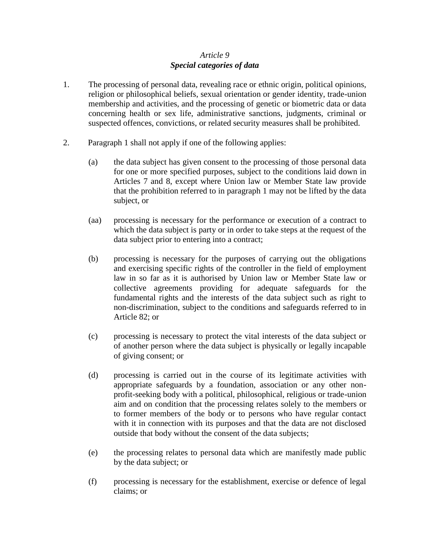## *Article 9 Special categories of data*

- 1. The processing of personal data, revealing race or ethnic origin, political opinions, religion or philosophical beliefs, sexual orientation or gender identity, trade-union membership and activities, and the processing of genetic or biometric data or data concerning health or sex life, administrative sanctions, judgments, criminal or suspected offences, convictions, or related security measures shall be prohibited.
- 2. Paragraph 1 shall not apply if one of the following applies:
	- (a) the data subject has given consent to the processing of those personal data for one or more specified purposes, subject to the conditions laid down in Articles 7 and 8, except where Union law or Member State law provide that the prohibition referred to in paragraph 1 may not be lifted by the data subject, or
	- (aa) processing is necessary for the performance or execution of a contract to which the data subject is party or in order to take steps at the request of the data subject prior to entering into a contract;
	- (b) processing is necessary for the purposes of carrying out the obligations and exercising specific rights of the controller in the field of employment law in so far as it is authorised by Union law or Member State law or collective agreements providing for adequate safeguards for the fundamental rights and the interests of the data subject such as right to non-discrimination, subject to the conditions and safeguards referred to in Article 82; or
	- (c) processing is necessary to protect the vital interests of the data subject or of another person where the data subject is physically or legally incapable of giving consent; or
	- (d) processing is carried out in the course of its legitimate activities with appropriate safeguards by a foundation, association or any other non profit-seeking body with a political, philosophical, religious or trade-union aim and on condition that the processing relates solely to the members or to former members of the body or to persons who have regular contact with it in connection with its purposes and that the data are not disclosed outside that body without the consent of the data subjects;
	- (e) the processing relates to personal data which are manifestly made public by the data subject; or
	- (f) processing is necessary for the establishment, exercise or defence of legal claims; or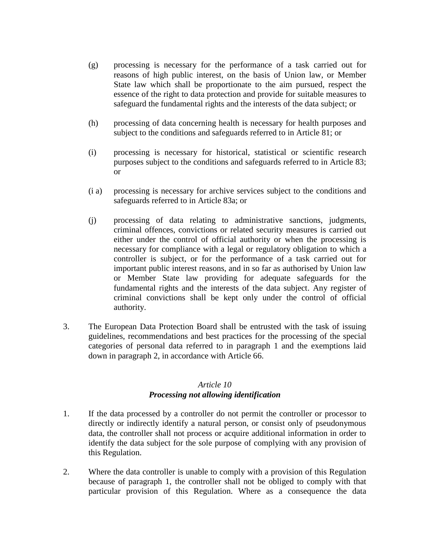- (g) processing is necessary for the performance of a task carried out for reasons of high public interest, on the basis of Union law, or Member State law which shall be proportionate to the aim pursued, respect the essence of the right to data protection and provide for suitable measures to safeguard the fundamental rights and the interests of the data subject; or
- (h) processing of data concerning health is necessary for health purposes and subject to the conditions and safeguards referred to in Article 81; or
- (i) processing is necessary for historical, statistical or scientific research purposes subject to the conditions and safeguards referred to in Article 83; or
- (i a) processing is necessary for archive services subject to the conditions and safeguards referred to in Article 83a; or
- (j) processing of data relating to administrative sanctions, judgments, criminal offences, convictions or related security measures is carried out either under the control of official authority or when the processing is necessary for compliance with a legal or regulatory obligation to which a controller is subject, or for the performance of a task carried out for important public interest reasons, and in so far as authorised by Union law or Member State law providing for adequate safeguards for the fundamental rights and the interests of the data subject. Any register of criminal convictions shall be kept only under the control of official authority.
- 3. The European Data Protection Board shall be entrusted with the task of issuing guidelines, recommendations and best practices for the processing of the special categories of personal data referred to in paragraph 1 and the exemptions laid down in paragraph 2, in accordance with Article 66.

#### *Article 10*

#### *Processing not allowing identification*

- 1. If the data processed by a controller do not permit the controller or processor to directly or indirectly identify a natural person, or consist only of pseudonymous data, the controller shall not process or acquire additional information in order to identify the data subject for the sole purpose of complying with any provision of this Regulation.
- 2. Where the data controller is unable to comply with a provision of this Regulation because of paragraph 1, the controller shall not be obliged to comply with that particular provision of this Regulation. Where as a consequence the data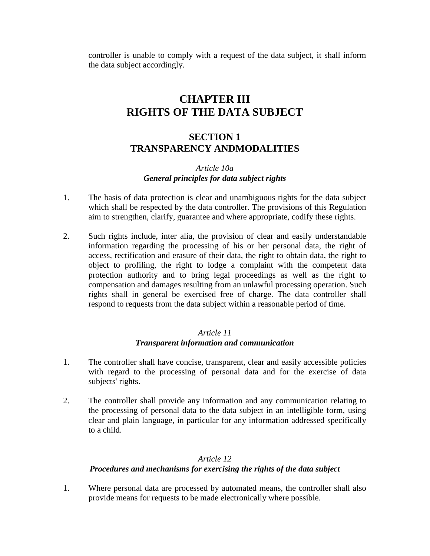controller is unable to comply with a request of the data subject, it shall inform the data subject accordingly.

# **CHAPTER III RIGHTS OF THE DATA SUBJECT**

## **SECTION 1 TRANSPARENCY ANDMODALITIES**

#### *Article 10a General principles for data subject rights*

- 1. The basis of data protection is clear and unambiguous rights for the data subject which shall be respected by the data controller. The provisions of this Regulation aim to strengthen, clarify, guarantee and where appropriate, codify these rights.
- 2. Such rights include, inter alia, the provision of clear and easily understandable information regarding the processing of his or her personal data, the right of access, rectification and erasure of their data, the right to obtain data, the right to object to profiling, the right to lodge a complaint with the competent data protection authority and to bring legal proceedings as well as the right to compensation and damages resulting from an unlawful processing operation. Such rights shall in general be exercised free of charge. The data controller shall respond to requests from the data subject within a reasonable period of time.

#### *Article 11 Transparent information and communication*

- 1. The controller shall have concise, transparent, clear and easily accessible policies with regard to the processing of personal data and for the exercise of data subjects' rights.
- 2. The controller shall provide any information and any communication relating to the processing of personal data to the data subject in an intelligible form, using clear and plain language, in particular for any information addressed specifically to a child.

#### *Article 12*

## *Procedures and mechanisms for exercising the rights of the data subject*

1. Where personal data are processed by automated means, the controller shall also provide means for requests to be made electronically where possible.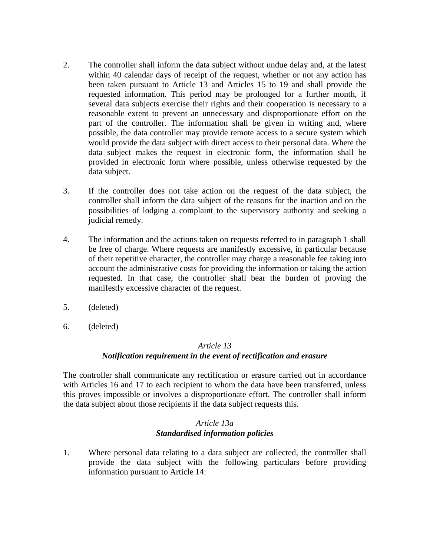- 2. The controller shall inform the data subject without undue delay and, at the latest within 40 calendar days of receipt of the request, whether or not any action has been taken pursuant to Article 13 and Articles 15 to 19 and shall provide the requested information. This period may be prolonged for a further month, if several data subjects exercise their rights and their cooperation is necessary to a reasonable extent to prevent an unnecessary and disproportionate effort on the part of the controller. The information shall be given in writing and, where possible, the data controller may provide remote access to a secure system which would provide the data subject with direct access to their personal data. Where the data subject makes the request in electronic form, the information shall be provided in electronic form where possible, unless otherwise requested by the data subject.
- 3. If the controller does not take action on the request of the data subject, the controller shall inform the data subject of the reasons for the inaction and on the possibilities of lodging a complaint to the supervisory authority and seeking a judicial remedy.
- 4. The information and the actions taken on requests referred to in paragraph 1 shall be free of charge. Where requests are manifestly excessive, in particular because of their repetitive character, the controller may charge a reasonable fee taking into account the administrative costs for providing the information or taking the action requested. In that case, the controller shall bear the burden of proving the manifestly excessive character of the request.
- 5. (deleted)
- 6. (deleted)

## *Article 13 Notification requirement in the event of rectification and erasure*

The controller shall communicate any rectification or erasure carried out in accordance with Articles 16 and 17 to each recipient to whom the data have been transferred, unless this proves impossible or involves a disproportionate effort. The controller shall inform the data subject about those recipients if the data subject requests this.

#### *Article 13a Standardised information policies*

1. Where personal data relating to a data subject are collected, the controller shall provide the data subject with the following particulars before providing information pursuant to Article 14: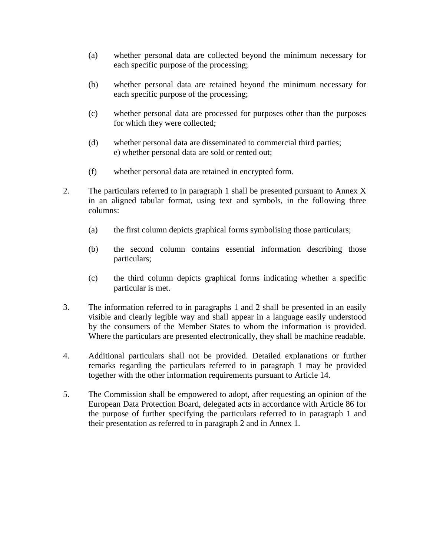- (a) whether personal data are collected beyond the minimum necessary for each specific purpose of the processing;
- (b) whether personal data are retained beyond the minimum necessary for each specific purpose of the processing;
- (c) whether personal data are processed for purposes other than the purposes for which they were collected;
- (d) whether personal data are disseminated to commercial third parties; e) whether personal data are sold or rented out;
- (f) whether personal data are retained in encrypted form.
- 2. The particulars referred to in paragraph 1 shall be presented pursuant to Annex X in an aligned tabular format, using text and symbols, in the following three columns:
	- (a) the first column depicts graphical forms symbolising those particulars;
	- (b) the second column contains essential information describing those particulars;
	- (c) the third column depicts graphical forms indicating whether a specific particular is met.
- 3. The information referred to in paragraphs 1 and 2 shall be presented in an easily visible and clearly legible way and shall appear in a language easily understood by the consumers of the Member States to whom the information is provided. Where the particulars are presented electronically, they shall be machine readable.
- 4. Additional particulars shall not be provided. Detailed explanations or further remarks regarding the particulars referred to in paragraph 1 may be provided together with the other information requirements pursuant to Article 14.
- 5. The Commission shall be empowered to adopt, after requesting an opinion of the European Data Protection Board, delegated acts in accordance with Article 86 for the purpose of further specifying the particulars referred to in paragraph 1 and their presentation as referred to in paragraph 2 and in Annex 1.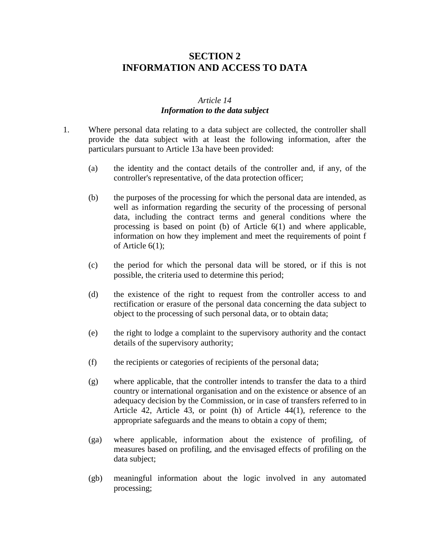## **SECTION 2 INFORMATION AND ACCESS TO DATA**

### *Article 14 Information to the data subject*

- 1. Where personal data relating to a data subject are collected, the controller shall provide the data subject with at least the following information, after the particulars pursuant to Article 13a have been provided:
	- (a) the identity and the contact details of the controller and, if any, of the controller's representative, of the data protection officer;
	- (b) the purposes of the processing for which the personal data are intended, as well as information regarding the security of the processing of personal data, including the contract terms and general conditions where the processing is based on point (b) of Article 6(1) and where applicable, information on how they implement and meet the requirements of point f of Article 6(1);
	- (c) the period for which the personal data will be stored, or if this is not possible, the criteria used to determine this period;
	- (d) the existence of the right to request from the controller access to and rectification or erasure of the personal data concerning the data subject to object to the processing of such personal data, or to obtain data;
	- (e) the right to lodge a complaint to the supervisory authority and the contact details of the supervisory authority;
	- (f) the recipients or categories of recipients of the personal data;
	- (g) where applicable, that the controller intends to transfer the data to a third country or international organisation and on the existence or absence of an adequacy decision by the Commission, or in case of transfers referred to in Article 42, Article 43, or point (h) of Article 44(1), reference to the appropriate safeguards and the means to obtain a copy of them;
	- (ga) where applicable, information about the existence of profiling, of measures based on profiling, and the envisaged effects of profiling on the data subject;
	- (gb) meaningful information about the logic involved in any automated processing;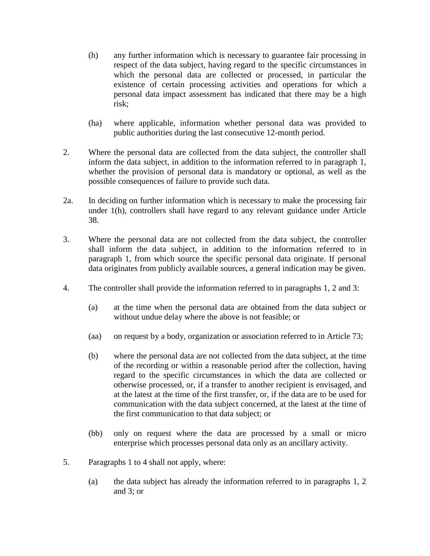- (h) any further information which is necessary to guarantee fair processing in respect of the data subject, having regard to the specific circumstances in which the personal data are collected or processed, in particular the existence of certain processing activities and operations for which a personal data impact assessment has indicated that there may be a high risk;
- (ha) where applicable, information whether personal data was provided to public authorities during the last consecutive 12-month period.
- 2. Where the personal data are collected from the data subject, the controller shall inform the data subject, in addition to the information referred to in paragraph 1, whether the provision of personal data is mandatory or optional, as well as the possible consequences of failure to provide such data.
- 2a. In deciding on further information which is necessary to make the processing fair under 1(h), controllers shall have regard to any relevant guidance under Article 38.
- 3. Where the personal data are not collected from the data subject, the controller shall inform the data subject, in addition to the information referred to in paragraph 1, from which source the specific personal data originate. If personal data originates from publicly available sources, a general indication may be given.
- 4. The controller shall provide the information referred to in paragraphs 1, 2 and 3:
	- (a) at the time when the personal data are obtained from the data subject or without undue delay where the above is not feasible; or
	- (aa) on request by a body, organization or association referred to in Article 73;
	- (b) where the personal data are not collected from the data subject, at the time of the recording or within a reasonable period after the collection, having regard to the specific circumstances in which the data are collected or otherwise processed, or, if a transfer to another recipient is envisaged, and at the latest at the time of the first transfer, or, if the data are to be used for communication with the data subject concerned, at the latest at the time of the first communication to that data subject; or
	- (bb) only on request where the data are processed by a small or micro enterprise which processes personal data only as an ancillary activity.
- 5. Paragraphs 1 to 4 shall not apply, where:
	- (a) the data subject has already the information referred to in paragraphs 1, 2 and 3; or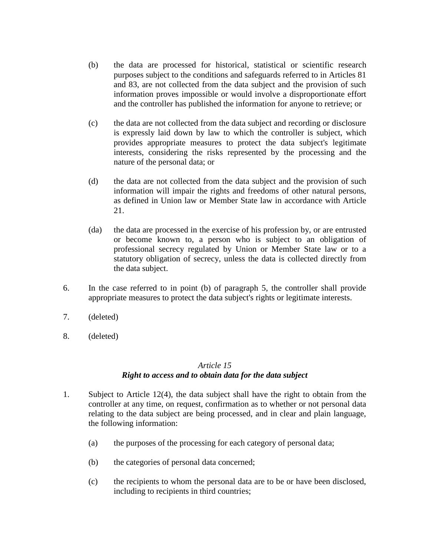- (b) the data are processed for historical, statistical or scientific research purposes subject to the conditions and safeguards referred to in Articles 81 and 83, are not collected from the data subject and the provision of such information proves impossible or would involve a disproportionate effort and the controller has published the information for anyone to retrieve; or
- (c) the data are not collected from the data subject and recording or disclosure is expressly laid down by law to which the controller is subject, which provides appropriate measures to protect the data subject's legitimate interests, considering the risks represented by the processing and the nature of the personal data; or
- (d) the data are not collected from the data subject and the provision of such information will impair the rights and freedoms of other natural persons, as defined in Union law or Member State law in accordance with Article 21.
- (da) the data are processed in the exercise of his profession by, or are entrusted or become known to, a person who is subject to an obligation of professional secrecy regulated by Union or Member State law or to a statutory obligation of secrecy, unless the data is collected directly from the data subject.
- 6. In the case referred to in point (b) of paragraph 5, the controller shall provide appropriate measures to protect the data subject's rights or legitimate interests.
- 7. (deleted)
- 8. (deleted)

#### *Article 15*

#### *Right to access and to obtain data for the data subject*

- 1. Subject to Article 12(4), the data subject shall have the right to obtain from the controller at any time, on request, confirmation as to whether or not personal data relating to the data subject are being processed, and in clear and plain language, the following information:
	- (a) the purposes of the processing for each category of personal data;
	- (b) the categories of personal data concerned;
	- (c) the recipients to whom the personal data are to be or have been disclosed, including to recipients in third countries;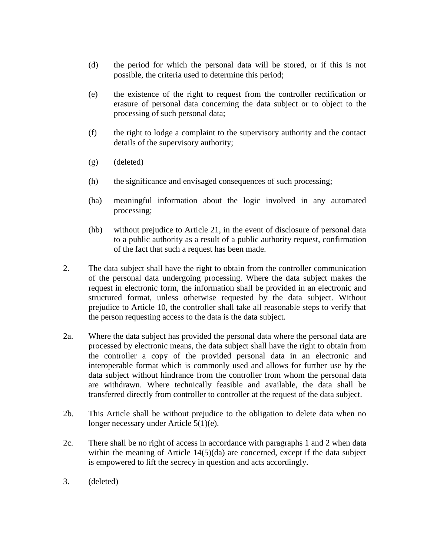- (d) the period for which the personal data will be stored, or if this is not possible, the criteria used to determine this period;
- (e) the existence of the right to request from the controller rectification or erasure of personal data concerning the data subject or to object to the processing of such personal data;
- (f) the right to lodge a complaint to the supervisory authority and the contact details of the supervisory authority;
- (g) (deleted)
- (h) the significance and envisaged consequences of such processing;
- (ha) meaningful information about the logic involved in any automated processing;
- (hb) without prejudice to Article 21, in the event of disclosure of personal data to a public authority as a result of a public authority request, confirmation of the fact that such a request has been made.
- 2. The data subject shall have the right to obtain from the controller communication of the personal data undergoing processing. Where the data subject makes the request in electronic form, the information shall be provided in an electronic and structured format, unless otherwise requested by the data subject. Without prejudice to Article 10, the controller shall take all reasonable steps to verify that the person requesting access to the data is the data subject.
- 2a. Where the data subject has provided the personal data where the personal data are processed by electronic means, the data subject shall have the right to obtain from the controller a copy of the provided personal data in an electronic and interoperable format which is commonly used and allows for further use by the data subject without hindrance from the controller from whom the personal data are withdrawn. Where technically feasible and available, the data shall be transferred directly from controller to controller at the request of the data subject.
- 2b. This Article shall be without prejudice to the obligation to delete data when no longer necessary under Article 5(1)(e).
- 2c. There shall be no right of access in accordance with paragraphs 1 and 2 when data within the meaning of Article 14(5)(da) are concerned, except if the data subject is empowered to lift the secrecy in question and acts accordingly.
- 3. (deleted)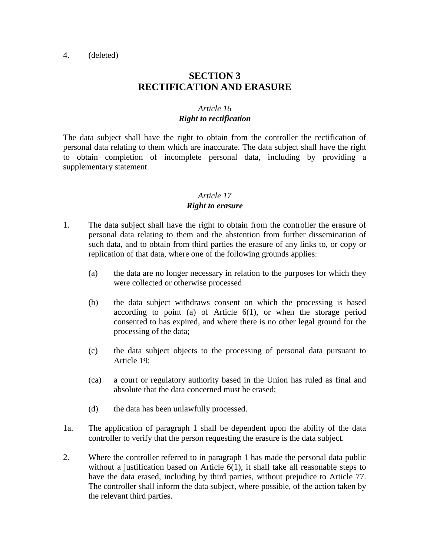## **SECTION 3 RECTIFICATION AND ERASURE**

## *Article 16 Right to rectification*

The data subject shall have the right to obtain from the controller the rectification of personal data relating to them which are inaccurate. The data subject shall have the right to obtain completion of incomplete personal data, including by providing a supplementary statement.

## *Article 17 Right to erasure*

- 1. The data subject shall have the right to obtain from the controller the erasure of personal data relating to them and the abstention from further dissemination of such data, and to obtain from third parties the erasure of any links to, or copy or replication of that data, where one of the following grounds applies:
	- (a) the data are no longer necessary in relation to the purposes for which they were collected or otherwise processed
	- (b) the data subject withdraws consent on which the processing is based according to point (a) of Article 6(1), or when the storage period consented to has expired, and where there is no other legal ground for the processing of the data;
	- (c) the data subject objects to the processing of personal data pursuant to Article 19;
	- (ca) a court or regulatory authority based in the Union has ruled as final and absolute that the data concerned must be erased;
	- (d) the data has been unlawfully processed.
- 1a. The application of paragraph 1 shall be dependent upon the ability of the data controller to verify that the person requesting the erasure is the data subject.
- 2. Where the controller referred to in paragraph 1 has made the personal data public without a justification based on Article 6(1), it shall take all reasonable steps to have the data erased, including by third parties, without prejudice to Article 77. The controller shall inform the data subject, where possible, of the action taken by the relevant third parties.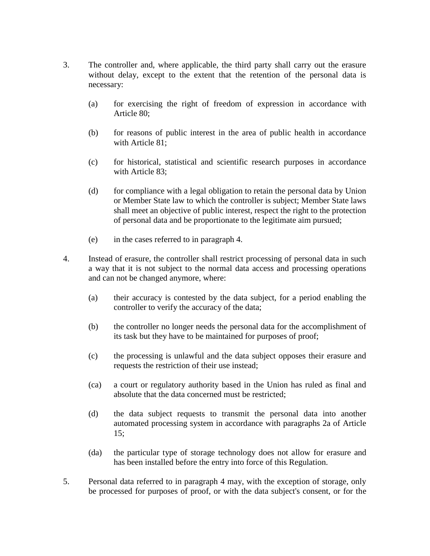- 3. The controller and, where applicable, the third party shall carry out the erasure without delay, except to the extent that the retention of the personal data is necessary:
	- (a) for exercising the right of freedom of expression in accordance with Article 80;
	- (b) for reasons of public interest in the area of public health in accordance with Article 81;
	- (c) for historical, statistical and scientific research purposes in accordance with Article 83;
	- (d) for compliance with a legal obligation to retain the personal data by Union or Member State law to which the controller is subject; Member State laws shall meet an objective of public interest, respect the right to the protection of personal data and be proportionate to the legitimate aim pursued;
	- (e) in the cases referred to in paragraph 4.
- 4. Instead of erasure, the controller shall restrict processing of personal data in such a way that it is not subject to the normal data access and processing operations and can not be changed anymore, where:
	- (a) their accuracy is contested by the data subject, for a period enabling the controller to verify the accuracy of the data;
	- (b) the controller no longer needs the personal data for the accomplishment of its task but they have to be maintained for purposes of proof;
	- (c) the processing is unlawful and the data subject opposes their erasure and requests the restriction of their use instead;
	- (ca) a court or regulatory authority based in the Union has ruled as final and absolute that the data concerned must be restricted;
	- (d) the data subject requests to transmit the personal data into another automated processing system in accordance with paragraphs 2a of Article 15;
	- (da) the particular type of storage technology does not allow for erasure and has been installed before the entry into force of this Regulation.
- 5. Personal data referred to in paragraph 4 may, with the exception of storage, only be processed for purposes of proof, or with the data subject's consent, or for the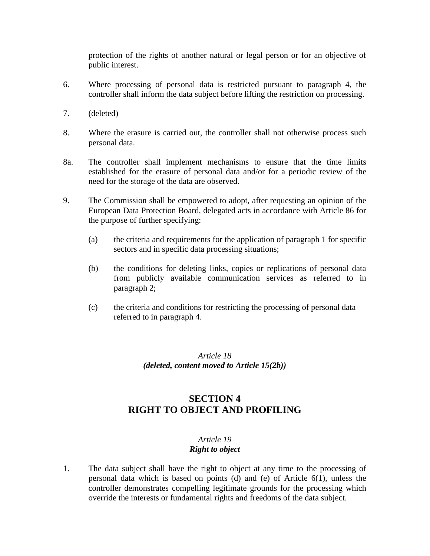protection of the rights of another natural or legal person or for an objective of public interest.

- 6. Where processing of personal data is restricted pursuant to paragraph 4, the controller shall inform the data subject before lifting the restriction on processing.
- 7. (deleted)
- 8. Where the erasure is carried out, the controller shall not otherwise process such personal data.
- 8a. The controller shall implement mechanisms to ensure that the time limits established for the erasure of personal data and/or for a periodic review of the need for the storage of the data are observed.
- 9. The Commission shall be empowered to adopt, after requesting an opinion of the European Data Protection Board, delegated acts in accordance with Article 86 for the purpose of further specifying:
	- (a) the criteria and requirements for the application of paragraph 1 for specific sectors and in specific data processing situations;
	- (b) the conditions for deleting links, copies or replications of personal data from publicly available communication services as referred to in paragraph 2;
	- (c) the criteria and conditions for restricting the processing of personal data referred to in paragraph 4.

*Article 18 (deleted, content moved to Article 15(2b))*

## **SECTION 4 RIGHT TO OBJECT AND PROFILING**

#### *Article 19 Right to object*

1. The data subject shall have the right to object at any time to the processing of personal data which is based on points (d) and (e) of Article 6(1), unless the controller demonstrates compelling legitimate grounds for the processing which override the interests or fundamental rights and freedoms of the data subject.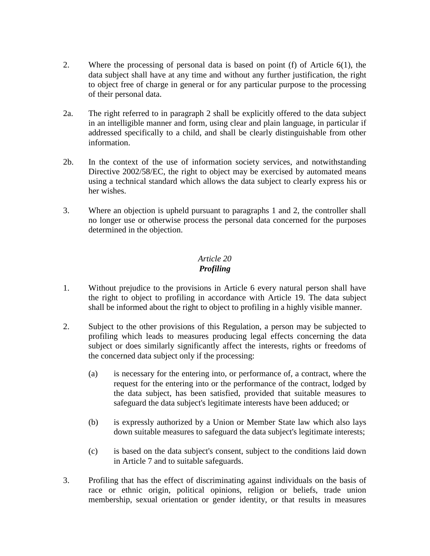- 2. Where the processing of personal data is based on point (f) of Article 6(1), the data subject shall have at any time and without any further justification, the right to object free of charge in general or for any particular purpose to the processing of their personal data.
- 2a. The right referred to in paragraph 2 shall be explicitly offered to the data subject in an intelligible manner and form, using clear and plain language, in particular if addressed specifically to a child, and shall be clearly distinguishable from other information.
- 2b. In the context of the use of information society services, and notwithstanding Directive 2002/58/EC, the right to object may be exercised by automated means using a technical standard which allows the data subject to clearly express his or her wishes.
- 3. Where an objection is upheld pursuant to paragraphs 1 and 2, the controller shall no longer use or otherwise process the personal data concerned for the purposes determined in the objection.

#### *Article 20 Profiling*

- 1. Without prejudice to the provisions in Article 6 every natural person shall have the right to object to profiling in accordance with Article 19. The data subject shall be informed about the right to object to profiling in a highly visible manner.
- 2. Subject to the other provisions of this Regulation, a person may be subjected to profiling which leads to measures producing legal effects concerning the data subject or does similarly significantly affect the interests, rights or freedoms of the concerned data subject only if the processing:
	- (a) is necessary for the entering into, or performance of, a contract, where the request for the entering into or the performance of the contract, lodged by the data subject, has been satisfied, provided that suitable measures to safeguard the data subject's legitimate interests have been adduced; or
	- (b) is expressly authorized by a Union or Member State law which also lays down suitable measures to safeguard the data subject's legitimate interests;
	- (c) is based on the data subject's consent, subject to the conditions laid down in Article 7 and to suitable safeguards.
- 3. Profiling that has the effect of discriminating against individuals on the basis of race or ethnic origin, political opinions, religion or beliefs, trade union membership, sexual orientation or gender identity, or that results in measures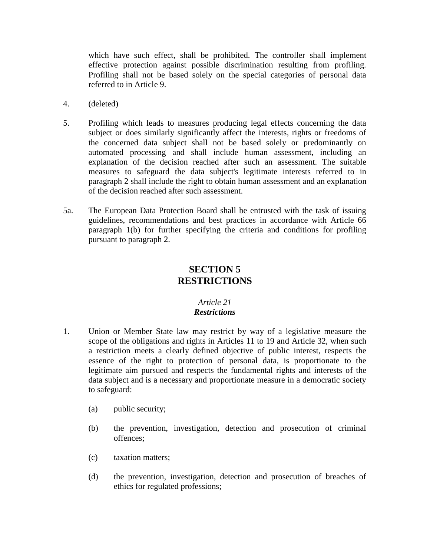which have such effect, shall be prohibited. The controller shall implement effective protection against possible discrimination resulting from profiling. Profiling shall not be based solely on the special categories of personal data referred to in Article 9.

- 4. (deleted)
- 5. Profiling which leads to measures producing legal effects concerning the data subject or does similarly significantly affect the interests, rights or freedoms of the concerned data subject shall not be based solely or predominantly on automated processing and shall include human assessment, including an explanation of the decision reached after such an assessment. The suitable measures to safeguard the data subject's legitimate interests referred to in paragraph 2 shall include the right to obtain human assessment and an explanation of the decision reached after such assessment.
- 5a. The European Data Protection Board shall be entrusted with the task of issuing guidelines, recommendations and best practices in accordance with Article 66 paragraph 1(b) for further specifying the criteria and conditions for profiling pursuant to paragraph 2.

## **SECTION 5 RESTRICTIONS**

#### *Article 21 Restrictions*

- 1. Union or Member State law may restrict by way of a legislative measure the scope of the obligations and rights in Articles 11 to 19 and Article 32, when such a restriction meets a clearly defined objective of public interest, respects the essence of the right to protection of personal data, is proportionate to the legitimate aim pursued and respects the fundamental rights and interests of the data subject and is a necessary and proportionate measure in a democratic society to safeguard:
	- (a) public security;
	- (b) the prevention, investigation, detection and prosecution of criminal offences;
	- (c) taxation matters;
	- (d) the prevention, investigation, detection and prosecution of breaches of ethics for regulated professions;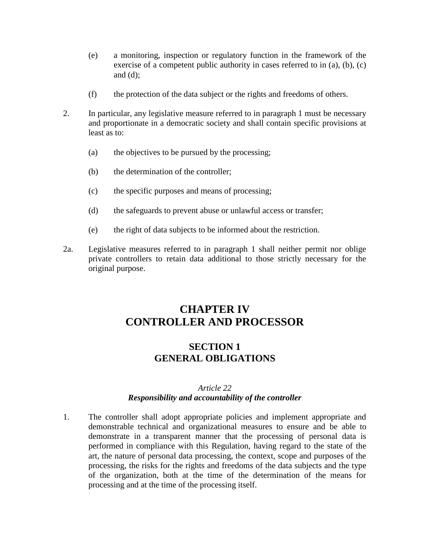- (e) a monitoring, inspection or regulatory function in the framework of the exercise of a competent public authority in cases referred to in (a), (b), (c) and (d);
- (f) the protection of the data subject or the rights and freedoms of others.
- 2. In particular, any legislative measure referred to in paragraph 1 must be necessary and proportionate in a democratic society and shall contain specific provisions at least as to:
	- (a) the objectives to be pursued by the processing;
	- (b) the determination of the controller;
	- (c) the specific purposes and means of processing;
	- (d) the safeguards to prevent abuse or unlawful access or transfer;
	- (e) the right of data subjects to be informed about the restriction.
- 2a. Legislative measures referred to in paragraph 1 shall neither permit nor oblige private controllers to retain data additional to those strictly necessary for the original purpose.

# **CHAPTER IV CONTROLLER AND PROCESSOR**

## **SECTION 1 GENERAL OBLIGATIONS**

## *Article 22 Responsibility and accountability of the controller*

1. The controller shall adopt appropriate policies and implement appropriate and demonstrable technical and organizational measures to ensure and be able to demonstrate in a transparent manner that the processing of personal data is performed in compliance with this Regulation, having regard to the state of the art, the nature of personal data processing, the context, scope and purposes of the processing, the risks for the rights and freedoms of the data subjects and the type of the organization, both at the time of the determination of the means for processing and at the time of the processing itself.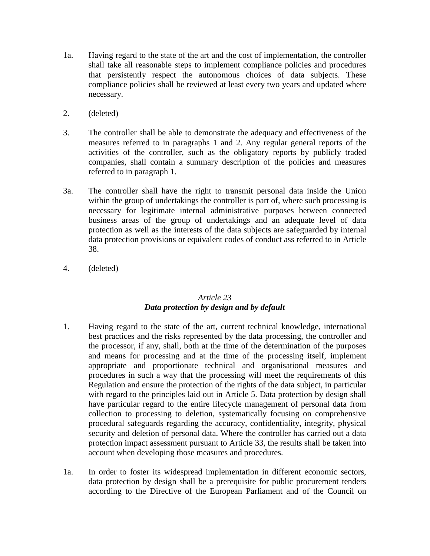- 1a. Having regard to the state of the art and the cost of implementation, the controller shall take all reasonable steps to implement compliance policies and procedures that persistently respect the autonomous choices of data subjects. These compliance policies shall be reviewed at least every two years and updated where necessary.
- 2. (deleted)
- 3. The controller shall be able to demonstrate the adequacy and effectiveness of the measures referred to in paragraphs 1 and 2. Any regular general reports of the activities of the controller, such as the obligatory reports by publicly traded companies, shall contain a summary description of the policies and measures referred to in paragraph 1.
- 3a. The controller shall have the right to transmit personal data inside the Union within the group of undertakings the controller is part of, where such processing is necessary for legitimate internal administrative purposes between connected business areas of the group of undertakings and an adequate level of data protection as well as the interests of the data subjects are safeguarded by internal data protection provisions or equivalent codes of conduct ass referred to in Article 38.
- 4. (deleted)

## *Article 23 Data protection by design and by default*

- 1. Having regard to the state of the art, current technical knowledge, international best practices and the risks represented by the data processing, the controller and the processor, if any, shall, both at the time of the determination of the purposes and means for processing and at the time of the processing itself, implement appropriate and proportionate technical and organisational measures and procedures in such a way that the processing will meet the requirements of this Regulation and ensure the protection of the rights of the data subject, in particular with regard to the principles laid out in Article 5. Data protection by design shall have particular regard to the entire lifecycle management of personal data from collection to processing to deletion, systematically focusing on comprehensive procedural safeguards regarding the accuracy, confidentiality, integrity, physical security and deletion of personal data. Where the controller has carried out a data protection impact assessment pursuant to Article 33, the results shall be taken into account when developing those measures and procedures.
- 1a. In order to foster its widespread implementation in different economic sectors, data protection by design shall be a prerequisite for public procurement tenders according to the Directive of the European Parliament and of the Council on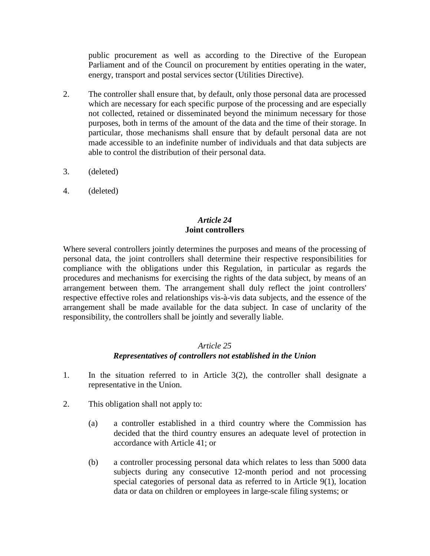public procurement as well as according to the Directive of the European Parliament and of the Council on procurement by entities operating in the water, energy, transport and postal services sector (Utilities Directive).

- 2. The controller shall ensure that, by default, only those personal data are processed which are necessary for each specific purpose of the processing and are especially not collected, retained or disseminated beyond the minimum necessary for those purposes, both in terms of the amount of the data and the time of their storage. In particular, those mechanisms shall ensure that by default personal data are not made accessible to an indefinite number of individuals and that data subjects are able to control the distribution of their personal data.
- 3. (deleted)
- 4. (deleted)

#### *Article 24* **Joint controllers**

Where several controllers jointly determines the purposes and means of the processing of personal data, the joint controllers shall determine their respective responsibilities for compliance with the obligations under this Regulation, in particular as regards the procedures and mechanisms for exercising the rights of the data subject, by means of an arrangement between them. The arrangement shall duly reflect the joint controllers' respective effective roles and relationships vis-à-vis data subjects, and the essence of the arrangement shall be made available for the data subject. In case of unclarity of the responsibility, the controllers shall be jointly and severally liable.

#### *Article 25 Representatives of controllers not established in the Union*

- 1. In the situation referred to in Article 3(2), the controller shall designate a representative in the Union.
- 2. This obligation shall not apply to:
	- (a) a controller established in a third country where the Commission has decided that the third country ensures an adequate level of protection in accordance with Article 41; or
	- (b) a controller processing personal data which relates to less than 5000 data subjects during any consecutive 12-month period and not processing special categories of personal data as referred to in Article 9(1), location data or data on children or employees in large-scale filing systems; or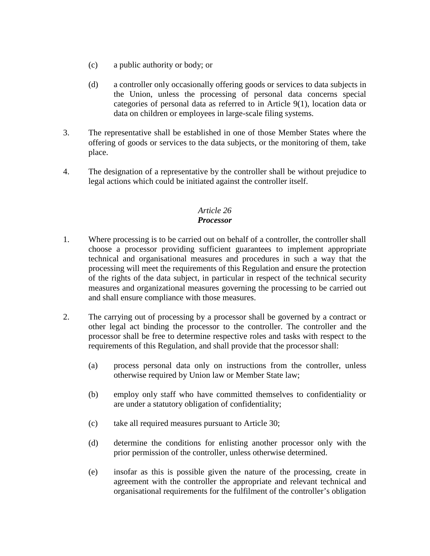- (c) a public authority or body; or
- (d) a controller only occasionally offering goods or services to data subjects in the Union, unless the processing of personal data concerns special categories of personal data as referred to in Article 9(1), location data or data on children or employees in large-scale filing systems.
- 3. The representative shall be established in one of those Member States where the offering of goods or services to the data subjects, or the monitoring of them, take place.
- 4. The designation of a representative by the controller shall be without prejudice to legal actions which could be initiated against the controller itself.

## *Article 26 Processor*

- 1. Where processing is to be carried out on behalf of a controller, the controller shall choose a processor providing sufficient guarantees to implement appropriate technical and organisational measures and procedures in such a way that the processing will meet the requirements of this Regulation and ensure the protection of the rights of the data subject, in particular in respect of the technical security measures and organizational measures governing the processing to be carried out and shall ensure compliance with those measures.
- 2. The carrying out of processing by a processor shall be governed by a contract or other legal act binding the processor to the controller. The controller and the processor shall be free to determine respective roles and tasks with respect to the requirements of this Regulation, and shall provide that the processor shall:
	- (a) process personal data only on instructions from the controller, unless otherwise required by Union law or Member State law;
	- (b) employ only staff who have committed themselves to confidentiality or are under a statutory obligation of confidentiality;
	- (c) take all required measures pursuant to Article 30;
	- (d) determine the conditions for enlisting another processor only with the prior permission of the controller, unless otherwise determined.
	- (e) insofar as this is possible given the nature of the processing, create in agreement with the controller the appropriate and relevant technical and organisational requirements for the fulfilment of the controller's obligation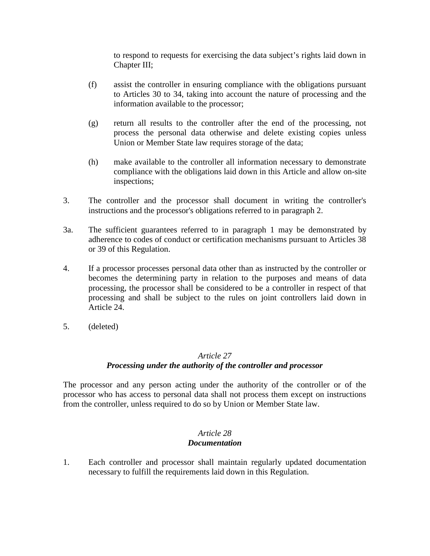to respond to requests for exercising the data subject's rights laid down in Chapter III;

- (f) assist the controller in ensuring compliance with the obligations pursuant to Articles 30 to 34, taking into account the nature of processing and the information available to the processor;
- (g) return all results to the controller after the end of the processing, not process the personal data otherwise and delete existing copies unless Union or Member State law requires storage of the data;
- (h) make available to the controller all information necessary to demonstrate compliance with the obligations laid down in this Article and allow on-site inspections;
- 3. The controller and the processor shall document in writing the controller's instructions and the processor's obligations referred to in paragraph 2.
- 3a. The sufficient guarantees referred to in paragraph 1 may be demonstrated by adherence to codes of conduct or certification mechanisms pursuant to Articles 38 or 39 of this Regulation.
- 4. If a processor processes personal data other than as instructed by the controller or becomes the determining party in relation to the purposes and means of data processing, the processor shall be considered to be a controller in respect of that processing and shall be subject to the rules on joint controllers laid down in Article 24.
- 5. (deleted)

## *Article 27*

## *Processing under the authority of the controller and processor*

The processor and any person acting under the authority of the controller or of the processor who has access to personal data shall not process them except on instructions from the controller, unless required to do so by Union or Member State law.

## *Article 28 Documentation*

1. Each controller and processor shall maintain regularly updated documentation necessary to fulfill the requirements laid down in this Regulation.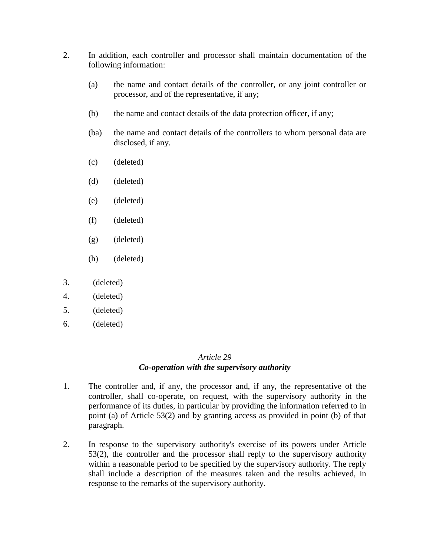- 2. In addition, each controller and processor shall maintain documentation of the following information:
	- (a) the name and contact details of the controller, or any joint controller or processor, and of the representative, if any;
	- (b) the name and contact details of the data protection officer, if any;
	- (ba) the name and contact details of the controllers to whom personal data are disclosed, if any.
	- (c) (deleted)
	- (d) (deleted)
	- (e) (deleted)
	- (f) (deleted)
	- (g) (deleted)
	- (h) (deleted)
- 3. (deleted)
- 4. (deleted)
- 5. (deleted)
- 6. (deleted)

## *Article 29 Co-operation with the supervisory authority*

- 1. The controller and, if any, the processor and, if any, the representative of the controller, shall co-operate, on request, with the supervisory authority in the performance of its duties, in particular by providing the information referred to in point (a) of Article 53(2) and by granting access as provided in point (b) of that paragraph.
- 2. In response to the supervisory authority's exercise of its powers under Article 53(2), the controller and the processor shall reply to the supervisory authority within a reasonable period to be specified by the supervisory authority. The reply shall include a description of the measures taken and the results achieved, in response to the remarks of the supervisory authority.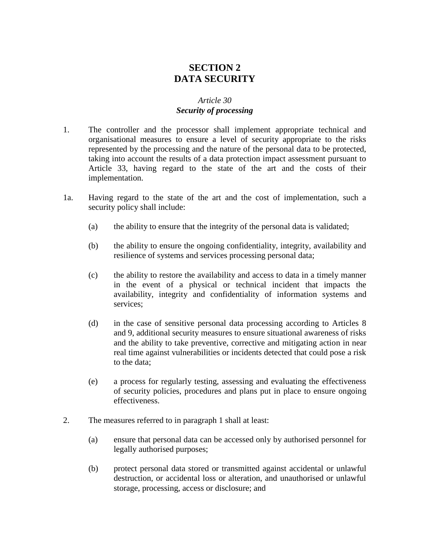## **SECTION 2 DATA SECURITY**

## *Article 30 Security of processing*

- 1. The controller and the processor shall implement appropriate technical and organisational measures to ensure a level of security appropriate to the risks represented by the processing and the nature of the personal data to be protected, taking into account the results of a data protection impact assessment pursuant to Article 33, having regard to the state of the art and the costs of their implementation.
- 1a. Having regard to the state of the art and the cost of implementation, such a security policy shall include:
	- (a) the ability to ensure that the integrity of the personal data is validated;
	- (b) the ability to ensure the ongoing confidentiality, integrity, availability and resilience of systems and services processing personal data;
	- (c) the ability to restore the availability and access to data in a timely manner in the event of a physical or technical incident that impacts the availability, integrity and confidentiality of information systems and services;
	- (d) in the case of sensitive personal data processing according to Articles 8 and 9, additional security measures to ensure situational awareness of risks and the ability to take preventive, corrective and mitigating action in near real time against vulnerabilities or incidents detected that could pose a risk to the data;
	- (e) a process for regularly testing, assessing and evaluating the effectiveness of security policies, procedures and plans put in place to ensure ongoing effectiveness.
- 2. The measures referred to in paragraph 1 shall at least:
	- (a) ensure that personal data can be accessed only by authorised personnel for legally authorised purposes;
	- (b) protect personal data stored or transmitted against accidental or unlawful destruction, or accidental loss or alteration, and unauthorised or unlawful storage, processing, access or disclosure; and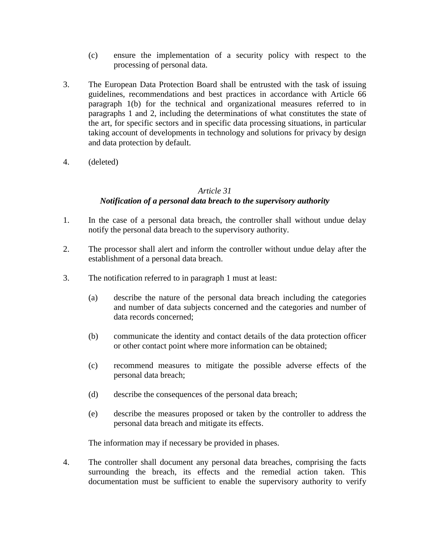- (c) ensure the implementation of a security policy with respect to the processing of personal data.
- 3. The European Data Protection Board shall be entrusted with the task of issuing guidelines, recommendations and best practices in accordance with Article 66 paragraph 1(b) for the technical and organizational measures referred to in paragraphs 1 and 2, including the determinations of what constitutes the state of the art, for specific sectors and in specific data processing situations, in particular taking account of developments in technology and solutions for privacy by design and data protection by default.
- 4. (deleted)

## *Article 31*

## *Notification of a personal data breach to the supervisory authority*

- 1. In the case of a personal data breach, the controller shall without undue delay notify the personal data breach to the supervisory authority.
- 2. The processor shall alert and inform the controller without undue delay after the establishment of a personal data breach.
- 3. The notification referred to in paragraph 1 must at least:
	- (a) describe the nature of the personal data breach including the categories and number of data subjects concerned and the categories and number of data records concerned;
	- (b) communicate the identity and contact details of the data protection officer or other contact point where more information can be obtained;
	- (c) recommend measures to mitigate the possible adverse effects of the personal data breach;
	- (d) describe the consequences of the personal data breach;
	- (e) describe the measures proposed or taken by the controller to address the personal data breach and mitigate its effects.

The information may if necessary be provided in phases.

4. The controller shall document any personal data breaches, comprising the facts surrounding the breach, its effects and the remedial action taken. This documentation must be sufficient to enable the supervisory authority to verify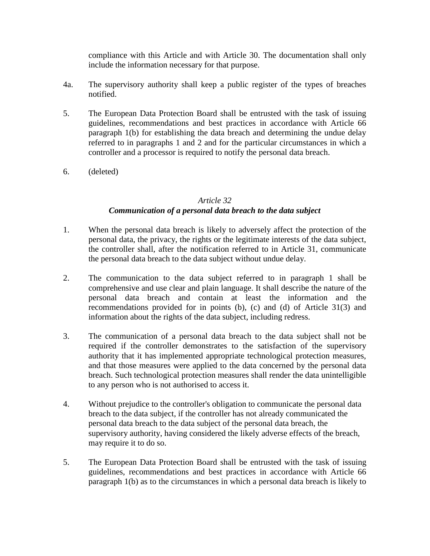compliance with this Article and with Article 30. The documentation shall only include the information necessary for that purpose.

- 4a. The supervisory authority shall keep a public register of the types of breaches notified.
- 5. The European Data Protection Board shall be entrusted with the task of issuing guidelines, recommendations and best practices in accordance with Article 66 paragraph 1(b) for establishing the data breach and determining the undue delay referred to in paragraphs 1 and 2 and for the particular circumstances in which a controller and a processor is required to notify the personal data breach.
- 6. (deleted)

#### *Article 32*

#### *Communication of a personal data breach to the data subject*

- 1. When the personal data breach is likely to adversely affect the protection of the personal data, the privacy, the rights or the legitimate interests of the data subject, the controller shall, after the notification referred to in Article 31, communicate the personal data breach to the data subject without undue delay.
- 2. The communication to the data subject referred to in paragraph 1 shall be comprehensive and use clear and plain language. It shall describe the nature of the personal data breach and contain at least the information and the recommendations provided for in points (b), (c) and (d) of Article 31(3) and information about the rights of the data subject, including redress.
- 3. The communication of a personal data breach to the data subject shall not be required if the controller demonstrates to the satisfaction of the supervisory authority that it has implemented appropriate technological protection measures, and that those measures were applied to the data concerned by the personal data breach. Such technological protection measures shall render the data unintelligible to any person who is not authorised to access it.
- 4. Without prejudice to the controller's obligation to communicate the personal data breach to the data subject, if the controller has not already communicated the personal data breach to the data subject of the personal data breach, the supervisory authority, having considered the likely adverse effects of the breach, may require it to do so.
- 5. The European Data Protection Board shall be entrusted with the task of issuing guidelines, recommendations and best practices in accordance with Article 66 paragraph 1(b) as to the circumstances in which a personal data breach is likely to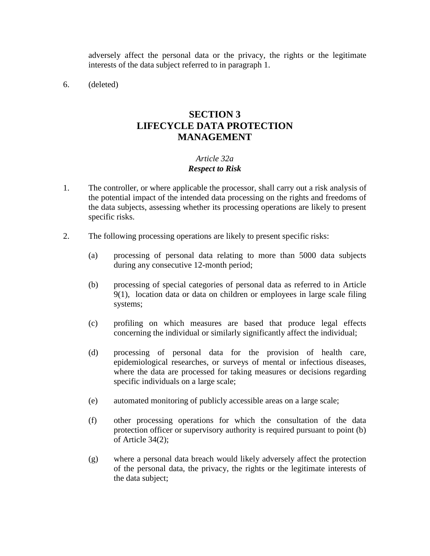adversely affect the personal data or the privacy, the rights or the legitimate interests of the data subject referred to in paragraph 1.

6. (deleted)

## **SECTION 3 LIFECYCLE DATA PROTECTION MANAGEMENT**

### *Article 32a Respect to Risk*

- 1. The controller, or where applicable the processor, shall carry out a risk analysis of the potential impact of the intended data processing on the rights and freedoms of the data subjects, assessing whether its processing operations are likely to present specific risks.
- 2. The following processing operations are likely to present specific risks:
	- (a) processing of personal data relating to more than 5000 data subjects during any consecutive 12-month period;
	- (b) processing of special categories of personal data as referred to in Article 9(1), location data or data on children or employees in large scale filing systems;
	- (c) profiling on which measures are based that produce legal effects concerning the individual or similarly significantly affect the individual;
	- (d) processing of personal data for the provision of health care, epidemiological researches, or surveys of mental or infectious diseases, where the data are processed for taking measures or decisions regarding specific individuals on a large scale;
	- (e) automated monitoring of publicly accessible areas on a large scale;
	- (f) other processing operations for which the consultation of the data protection officer or supervisory authority is required pursuant to point (b) of Article 34(2);
	- (g) where a personal data breach would likely adversely affect the protection of the personal data, the privacy, the rights or the legitimate interests of the data subject;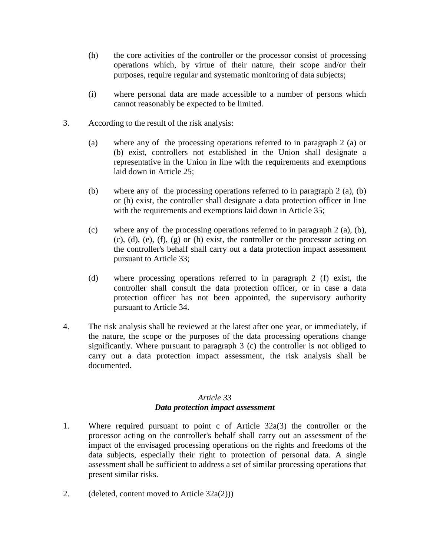- (h) the core activities of the controller or the processor consist of processing operations which, by virtue of their nature, their scope and/or their purposes, require regular and systematic monitoring of data subjects;
- (i) where personal data are made accessible to a number of persons which cannot reasonably be expected to be limited.
- 3. According to the result of the risk analysis:
	- (a) where any of the processing operations referred to in paragraph 2 (a) or (b) exist, controllers not established in the Union shall designate a representative in the Union in line with the requirements and exemptions laid down in Article 25;
	- (b) where any of the processing operations referred to in paragraph  $2(a)$ , (b) or (h) exist, the controller shall designate a data protection officer in line with the requirements and exemptions laid down in Article 35;
	- (c) where any of the processing operations referred to in paragraph 2 (a), (b), (c), (d), (e), (f), (g) or (h) exist, the controller or the processor acting on the controller's behalf shall carry out a data protection impact assessment pursuant to Article 33;
	- (d) where processing operations referred to in paragraph 2 (f) exist, the controller shall consult the data protection officer, or in case a data protection officer has not been appointed, the supervisory authority pursuant to Article 34.
- 4. The risk analysis shall be reviewed at the latest after one year, or immediately, if the nature, the scope or the purposes of the data processing operations change significantly. Where pursuant to paragraph 3 (c) the controller is not obliged to carry out a data protection impact assessment, the risk analysis shall be documented.

#### *Article 33 Data protection impact assessment*

- 1. Where required pursuant to point c of Article 32a(3) the controller or the processor acting on the controller's behalf shall carry out an assessment of the impact of the envisaged processing operations on the rights and freedoms of the data subjects, especially their right to protection of personal data. A single assessment shall be sufficient to address a set of similar processing operations that present similar risks.
- 2. (deleted, content moved to Article  $32a(2)$ ))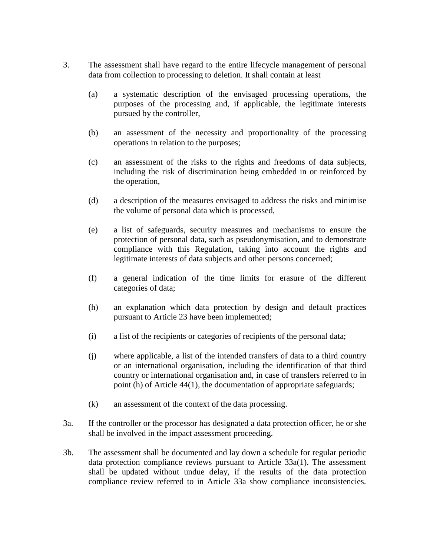- 3. The assessment shall have regard to the entire lifecycle management of personal data from collection to processing to deletion. It shall contain at least
	- (a) a systematic description of the envisaged processing operations, the purposes of the processing and, if applicable, the legitimate interests pursued by the controller,
	- (b) an assessment of the necessity and proportionality of the processing operations in relation to the purposes;
	- (c) an assessment of the risks to the rights and freedoms of data subjects, including the risk of discrimination being embedded in or reinforced by the operation,
	- (d) a description of the measures envisaged to address the risks and minimise the volume of personal data which is processed,
	- (e) a list of safeguards, security measures and mechanisms to ensure the protection of personal data, such as pseudonymisation, and to demonstrate compliance with this Regulation, taking into account the rights and legitimate interests of data subjects and other persons concerned;
	- (f) a general indication of the time limits for erasure of the different categories of data;
	- (h) an explanation which data protection by design and default practices pursuant to Article 23 have been implemented;
	- (i) a list of the recipients or categories of recipients of the personal data;
	- (j) where applicable, a list of the intended transfers of data to a third country or an international organisation, including the identification of that third country or international organisation and, in case of transfers referred to in point (h) of Article 44(1), the documentation of appropriate safeguards;
	- (k) an assessment of the context of the data processing.
- 3a. If the controller or the processor has designated a data protection officer, he or she shall be involved in the impact assessment proceeding.
- 3b. The assessment shall be documented and lay down a schedule for regular periodic data protection compliance reviews pursuant to Article 33a(1). The assessment shall be updated without undue delay, if the results of the data protection compliance review referred to in Article 33a show compliance inconsistencies.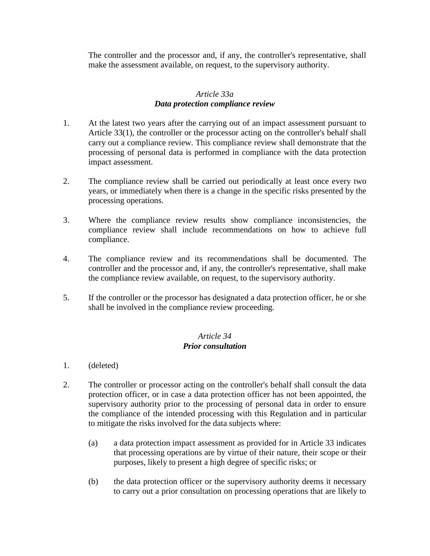The controller and the processor and, if any, the controller's representative, shall make the assessment available, on request, to the supervisory authority.

## *Article 33a Data protection compliance review*

- 1. At the latest two years after the carrying out of an impact assessment pursuant to Article 33(1), the controller or the processor acting on the controller's behalf shall carry out a compliance review. This compliance review shall demonstrate that the processing of personal data is performed in compliance with the data protection impact assessment.
- 2. The compliance review shall be carried out periodically at least once every two years, or immediately when there is a change in the specific risks presented by the processing operations.
- 3. Where the compliance review results show compliance inconsistencies, the compliance review shall include recommendations on how to achieve full compliance.
- 4. The compliance review and its recommendations shall be documented. The controller and the processor and, if any, the controller's representative, shall make the compliance review available, on request, to the supervisory authority.
- 5. If the controller or the processor has designated a data protection officer, he or she shall be involved in the compliance review proceeding.

## *Article 34 Prior consultation*

- 1. (deleted)
- 2. The controller or processor acting on the controller's behalf shall consult the data protection officer, or in case a data protection officer has not been appointed, the supervisory authority prior to the processing of personal data in order to ensure the compliance of the intended processing with this Regulation and in particular to mitigate the risks involved for the data subjects where:
	- (a) a data protection impact assessment as provided for in Article 33 indicates that processing operations are by virtue of their nature, their scope or their purposes, likely to present a high degree of specific risks; or
	- (b) the data protection officer or the supervisory authority deems it necessary to carry out a prior consultation on processing operations that are likely to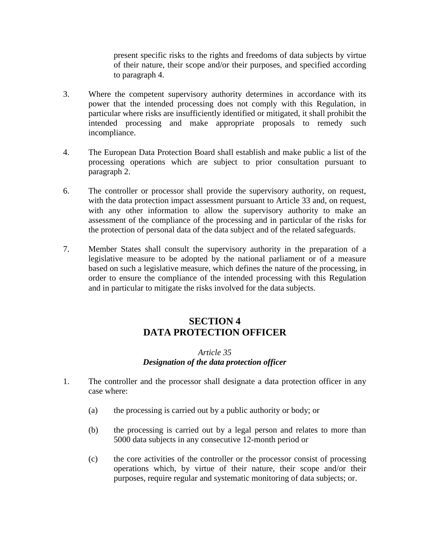present specific risks to the rights and freedoms of data subjects by virtue of their nature, their scope and/or their purposes, and specified according to paragraph 4.

- 3. Where the competent supervisory authority determines in accordance with its power that the intended processing does not comply with this Regulation, in particular where risks are insufficiently identified or mitigated, it shall prohibit the intended processing and make appropriate proposals to remedy such incompliance.
- 4. The European Data Protection Board shall establish and make public a list of the processing operations which are subject to prior consultation pursuant to paragraph 2.
- 6. The controller or processor shall provide the supervisory authority, on request, with the data protection impact assessment pursuant to Article 33 and, on request, with any other information to allow the supervisory authority to make an assessment of the compliance of the processing and in particular of the risks for the protection of personal data of the data subject and of the related safeguards.
- 7. Member States shall consult the supervisory authority in the preparation of a legislative measure to be adopted by the national parliament or of a measure based on such a legislative measure, which defines the nature of the processing, in order to ensure the compliance of the intended processing with this Regulation and in particular to mitigate the risks involved for the data subjects.

## **SECTION 4 DATA PROTECTION OFFICER**

#### *Article 35 Designation of the data protection officer*

- 1. The controller and the processor shall designate a data protection officer in any case where:
	- (a) the processing is carried out by a public authority or body; or
	- (b) the processing is carried out by a legal person and relates to more than 5000 data subjects in any consecutive 12-month period or
	- (c) the core activities of the controller or the processor consist of processing operations which, by virtue of their nature, their scope and/or their purposes, require regular and systematic monitoring of data subjects; or.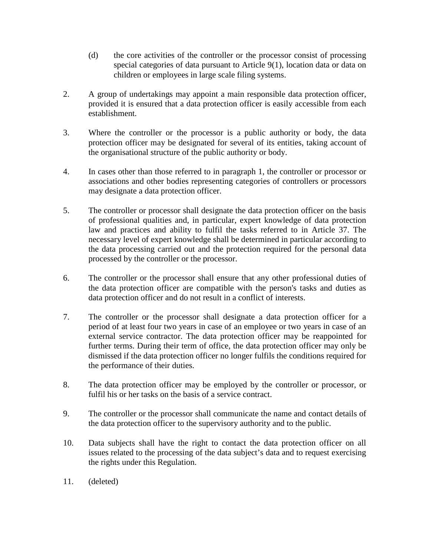- (d) the core activities of the controller or the processor consist of processing special categories of data pursuant to Article 9(1), location data or data on children or employees in large scale filing systems.
- 2. A group of undertakings may appoint a main responsible data protection officer, provided it is ensured that a data protection officer is easily accessible from each establishment.
- 3. Where the controller or the processor is a public authority or body, the data protection officer may be designated for several of its entities, taking account of the organisational structure of the public authority or body.
- 4. In cases other than those referred to in paragraph 1, the controller or processor or associations and other bodies representing categories of controllers or processors may designate a data protection officer.
- 5. The controller or processor shall designate the data protection officer on the basis of professional qualities and, in particular, expert knowledge of data protection law and practices and ability to fulfil the tasks referred to in Article 37. The necessary level of expert knowledge shall be determined in particular according to the data processing carried out and the protection required for the personal data processed by the controller or the processor.
- 6. The controller or the processor shall ensure that any other professional duties of the data protection officer are compatible with the person's tasks and duties as data protection officer and do not result in a conflict of interests.
- 7. The controller or the processor shall designate a data protection officer for a period of at least four two years in case of an employee or two years in case of an external service contractor. The data protection officer may be reappointed for further terms. During their term of office, the data protection officer may only be dismissed if the data protection officer no longer fulfils the conditions required for the performance of their duties.
- 8. The data protection officer may be employed by the controller or processor, or fulfil his or her tasks on the basis of a service contract.
- 9. The controller or the processor shall communicate the name and contact details of the data protection officer to the supervisory authority and to the public.
- 10. Data subjects shall have the right to contact the data protection officer on all issues related to the processing of the data subject's data and to request exercising the rights under this Regulation.
- 11. (deleted)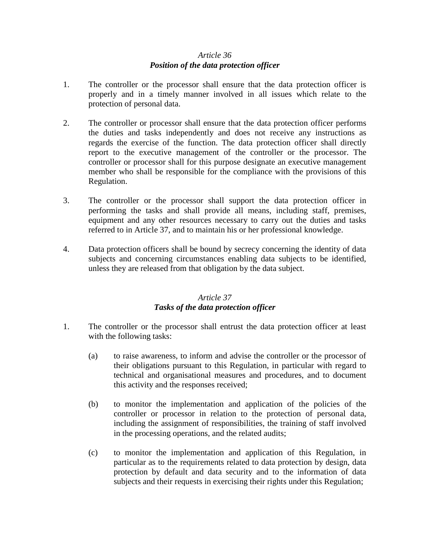#### *Article 36 Position of the data protection officer*

- 1. The controller or the processor shall ensure that the data protection officer is properly and in a timely manner involved in all issues which relate to the protection of personal data.
- 2. The controller or processor shall ensure that the data protection officer performs the duties and tasks independently and does not receive any instructions as regards the exercise of the function. The data protection officer shall directly report to the executive management of the controller or the processor. The controller or processor shall for this purpose designate an executive management member who shall be responsible for the compliance with the provisions of this Regulation.
- 3. The controller or the processor shall support the data protection officer in performing the tasks and shall provide all means, including staff, premises, equipment and any other resources necessary to carry out the duties and tasks referred to in Article 37, and to maintain his or her professional knowledge.
- 4. Data protection officers shall be bound by secrecy concerning the identity of data subjects and concerning circumstances enabling data subjects to be identified, unless they are released from that obligation by the data subject.

## *Article 37 Tasks of the data protection officer*

- 1. The controller or the processor shall entrust the data protection officer at least with the following tasks:
	- (a) to raise awareness, to inform and advise the controller or the processor of their obligations pursuant to this Regulation, in particular with regard to technical and organisational measures and procedures, and to document this activity and the responses received;
	- (b) to monitor the implementation and application of the policies of the controller or processor in relation to the protection of personal data, including the assignment of responsibilities, the training of staff involved in the processing operations, and the related audits;
	- (c) to monitor the implementation and application of this Regulation, in particular as to the requirements related to data protection by design, data protection by default and data security and to the information of data subjects and their requests in exercising their rights under this Regulation;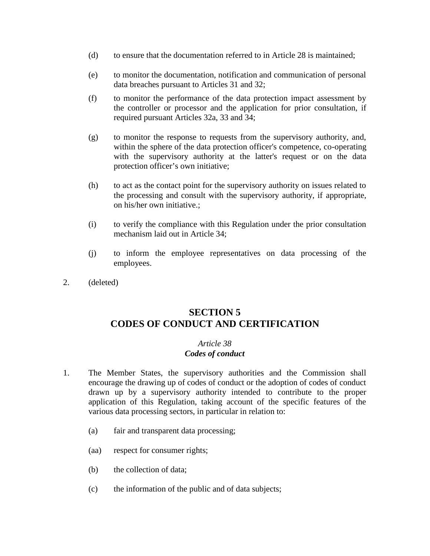- (d) to ensure that the documentation referred to in Article 28 is maintained;
- (e) to monitor the documentation, notification and communication of personal data breaches pursuant to Articles 31 and 32;
- (f) to monitor the performance of the data protection impact assessment by the controller or processor and the application for prior consultation, if required pursuant Articles 32a, 33 and 34;
- (g) to monitor the response to requests from the supervisory authority, and, within the sphere of the data protection officer's competence, co-operating with the supervisory authority at the latter's request or on the data protection officer's own initiative;
- (h) to act as the contact point for the supervisory authority on issues related to the processing and consult with the supervisory authority, if appropriate, on his/her own initiative.;
- (i) to verify the compliance with this Regulation under the prior consultation mechanism laid out in Article 34;
- (j) to inform the employee representatives on data processing of the employees.
- 2. (deleted)

## **SECTION 5 CODES OF CONDUCT AND CERTIFICATION**

#### *Article 38 Codes of conduct*

- 1. The Member States, the supervisory authorities and the Commission shall encourage the drawing up of codes of conduct or the adoption of codes of conduct drawn up by a supervisory authority intended to contribute to the proper application of this Regulation, taking account of the specific features of the various data processing sectors, in particular in relation to:
	- (a) fair and transparent data processing;
	- (aa) respect for consumer rights;
	- (b) the collection of data;
	- (c) the information of the public and of data subjects;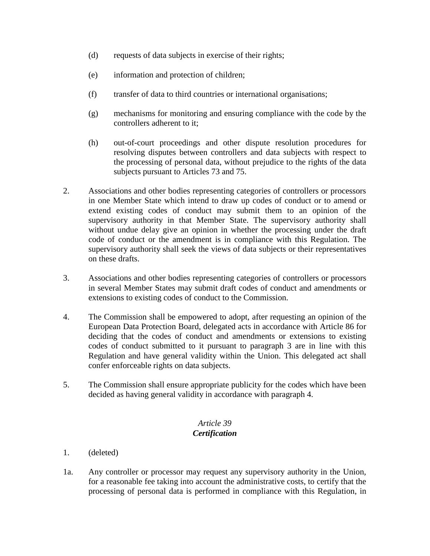- (d) requests of data subjects in exercise of their rights;
- (e) information and protection of children;
- (f) transfer of data to third countries or international organisations;
- (g) mechanisms for monitoring and ensuring compliance with the code by the controllers adherent to it;
- (h) out-of-court proceedings and other dispute resolution procedures for resolving disputes between controllers and data subjects with respect to the processing of personal data, without prejudice to the rights of the data subjects pursuant to Articles 73 and 75.
- 2. Associations and other bodies representing categories of controllers or processors in one Member State which intend to draw up codes of conduct or to amend or extend existing codes of conduct may submit them to an opinion of the supervisory authority in that Member State. The supervisory authority shall without undue delay give an opinion in whether the processing under the draft code of conduct or the amendment is in compliance with this Regulation. The supervisory authority shall seek the views of data subjects or their representatives on these drafts.
- 3. Associations and other bodies representing categories of controllers or processors in several Member States may submit draft codes of conduct and amendments or extensions to existing codes of conduct to the Commission.
- 4. The Commission shall be empowered to adopt, after requesting an opinion of the European Data Protection Board, delegated acts in accordance with Article 86 for deciding that the codes of conduct and amendments or extensions to existing codes of conduct submitted to it pursuant to paragraph 3 are in line with this Regulation and have general validity within the Union. This delegated act shall confer enforceable rights on data subjects.
- 5. The Commission shall ensure appropriate publicity for the codes which have been decided as having general validity in accordance with paragraph 4.

## *Article 39 Certification*

- 1. (deleted)
- 1a. Any controller or processor may request any supervisory authority in the Union, for a reasonable fee taking into account the administrative costs, to certify that the processing of personal data is performed in compliance with this Regulation, in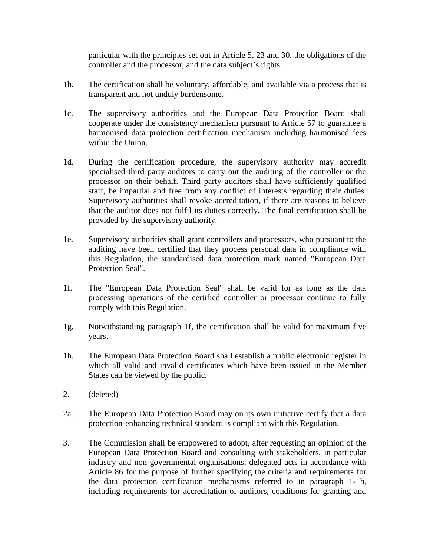particular with the principles set out in Article 5, 23 and 30, the obligations of the controller and the processor, and the data subject's rights.

- 1b. The certification shall be voluntary, affordable, and available via a process that is transparent and not unduly burdensome.
- 1c. The supervisory authorities and the European Data Protection Board shall cooperate under the consistency mechanism pursuant to Article 57 to guarantee a harmonised data protection certification mechanism including harmonised fees within the Union.
- 1d. During the certification procedure, the supervisory authority may accredit specialised third party auditors to carry out the auditing of the controller or the processor on their behalf. Third party auditors shall have sufficiently qualified staff, be impartial and free from any conflict of interests regarding their duties. Supervisory authorities shall revoke accreditation, if there are reasons to believe that the auditor does not fulfil its duties correctly. The final certification shall be provided by the supervisory authority.
- 1e. Supervisory authorities shall grant controllers and processors, who pursuant to the auditing have been certified that they process personal data in compliance with this Regulation, the standardised data protection mark named "European Data Protection Seal".
- 1f. The "European Data Protection Seal" shall be valid for as long as the data processing operations of the certified controller or processor continue to fully comply with this Regulation.
- 1g. Notwithstanding paragraph 1f, the certification shall be valid for maximum five years.
- 1h. The European Data Protection Board shall establish a public electronic register in which all valid and invalid certificates which have been issued in the Member States can be viewed by the public.
- 2. (deleted)
- 2a. The European Data Protection Board may on its own initiative certify that a data protection-enhancing technical standard is compliant with this Regulation.
- 3. The Commission shall be empowered to adopt, after requesting an opinion of the European Data Protection Board and consulting with stakeholders, in particular industry and non-governmental organisations, delegated acts in accordance with Article 86 for the purpose of further specifying the criteria and requirements for the data protection certification mechanisms referred to in paragraph 1-1h, including requirements for accreditation of auditors, conditions for granting and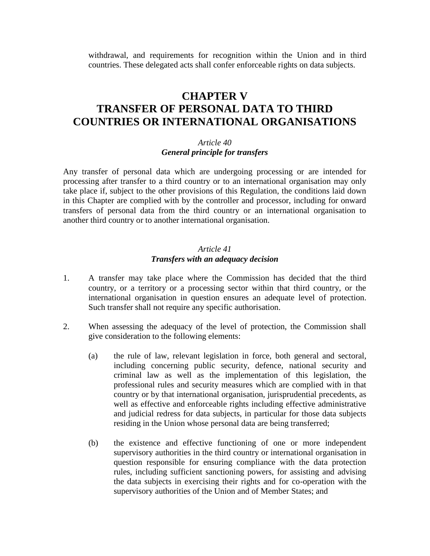withdrawal, and requirements for recognition within the Union and in third countries. These delegated acts shall confer enforceable rights on data subjects.

## **CHAPTER V**

# **TRANSFER OF PERSONAL DATA TO THIRD COUNTRIES OR INTERNATIONAL ORGANISATIONS**

#### *Article 40*

#### *General principle for transfers*

Any transfer of personal data which are undergoing processing or are intended for processing after transfer to a third country or to an international organisation may only take place if, subject to the other provisions of this Regulation, the conditions laid down in this Chapter are complied with by the controller and processor, including for onward transfers of personal data from the third country or an international organisation to another third country or to another international organisation.

#### *Article 41 Transfers with an adequacy decision*

- 1. A transfer may take place where the Commission has decided that the third country, or a territory or a processing sector within that third country, or the international organisation in question ensures an adequate level of protection. Such transfer shall not require any specific authorisation.
- 2. When assessing the adequacy of the level of protection, the Commission shall give consideration to the following elements:
	- (a) the rule of law, relevant legislation in force, both general and sectoral, including concerning public security, defence, national security and criminal law as well as the implementation of this legislation, the professional rules and security measures which are complied with in that country or by that international organisation, jurisprudential precedents, as well as effective and enforceable rights including effective administrative and judicial redress for data subjects, in particular for those data subjects residing in the Union whose personal data are being transferred;
	- (b) the existence and effective functioning of one or more independent supervisory authorities in the third country or international organisation in question responsible for ensuring compliance with the data protection rules, including sufficient sanctioning powers, for assisting and advising the data subjects in exercising their rights and for co-operation with the supervisory authorities of the Union and of Member States; and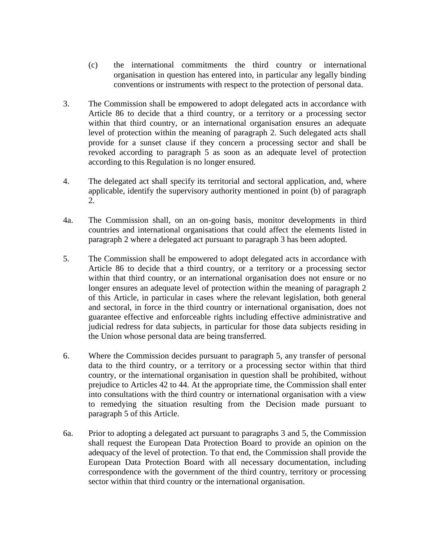- (c) the international commitments the third country or international organisation in question has entered into, in particular any legally binding conventions or instruments with respect to the protection of personal data.
- 3. The Commission shall be empowered to adopt delegated acts in accordance with Article 86 to decide that a third country, or a territory or a processing sector within that third country, or an international organisation ensures an adequate level of protection within the meaning of paragraph 2. Such delegated acts shall provide for a sunset clause if they concern a processing sector and shall be revoked according to paragraph 5 as soon as an adequate level of protection according to this Regulation is no longer ensured.
- 4. The delegated act shall specify its territorial and sectoral application, and, where applicable, identify the supervisory authority mentioned in point (b) of paragraph 2.
- 4a. The Commission shall, on an on-going basis, monitor developments in third countries and international organisations that could affect the elements listed in paragraph 2 where a delegated act pursuant to paragraph 3 has been adopted.
- 5. The Commission shall be empowered to adopt delegated acts in accordance with Article 86 to decide that a third country, or a territory or a processing sector within that third country, or an international organisation does not ensure or no longer ensures an adequate level of protection within the meaning of paragraph 2 of this Article, in particular in cases where the relevant legislation, both general and sectoral, in force in the third country or international organisation, does not guarantee effective and enforceable rights including effective administrative and judicial redress for data subjects, in particular for those data subjects residing in the Union whose personal data are being transferred.
- 6. Where the Commission decides pursuant to paragraph 5, any transfer of personal data to the third country, or a territory or a processing sector within that third country, or the international organisation in question shall be prohibited, without prejudice to Articles 42 to 44. At the appropriate time, the Commission shall enter into consultations with the third country or international organisation with a view to remedying the situation resulting from the Decision made pursuant to paragraph 5 of this Article.
- 6a. Prior to adopting a delegated act pursuant to paragraphs 3 and 5, the Commission shall request the European Data Protection Board to provide an opinion on the adequacy of the level of protection. To that end, the Commission shall provide the European Data Protection Board with all necessary documentation, including correspondence with the government of the third country, territory or processing sector within that third country or the international organisation.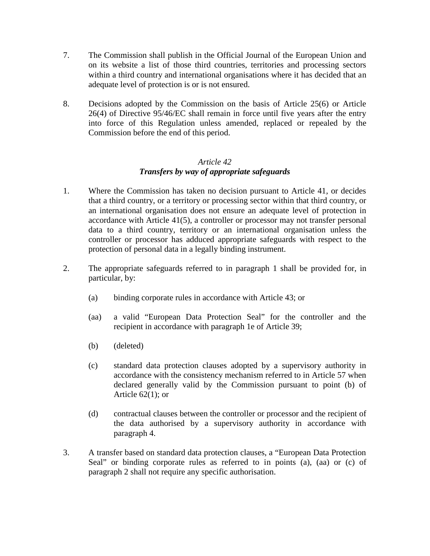- 7. The Commission shall publish in the Official Journal of the European Union and on its website a list of those third countries, territories and processing sectors within a third country and international organisations where it has decided that an adequate level of protection is or is not ensured.
- 8. Decisions adopted by the Commission on the basis of Article 25(6) or Article 26(4) of Directive 95/46/EC shall remain in force until five years after the entry into force of this Regulation unless amended, replaced or repealed by the Commission before the end of this period.

### *Article 42 Transfers by way of appropriate safeguards*

- 1. Where the Commission has taken no decision pursuant to Article 41, or decides that a third country, or a territory or processing sector within that third country, or an international organisation does not ensure an adequate level of protection in accordance with Article 41(5), a controller or processor may not transfer personal data to a third country, territory or an international organisation unless the controller or processor has adduced appropriate safeguards with respect to the protection of personal data in a legally binding instrument.
- 2. The appropriate safeguards referred to in paragraph 1 shall be provided for, in particular, by:
	- (a) binding corporate rules in accordance with Article 43; or
	- (aa) a valid "European Data Protection Seal" for the controller and the recipient in accordance with paragraph 1e of Article 39;
	- (b) (deleted)
	- (c) standard data protection clauses adopted by a supervisory authority in accordance with the consistency mechanism referred to in Article 57 when declared generally valid by the Commission pursuant to point (b) of Article 62(1); or
	- (d) contractual clauses between the controller or processor and the recipient of the data authorised by a supervisory authority in accordance with paragraph 4.
- 3. A transfer based on standard data protection clauses, a "European Data Protection Seal" or binding corporate rules as referred to in points (a), (aa) or (c) of paragraph 2 shall not require any specific authorisation.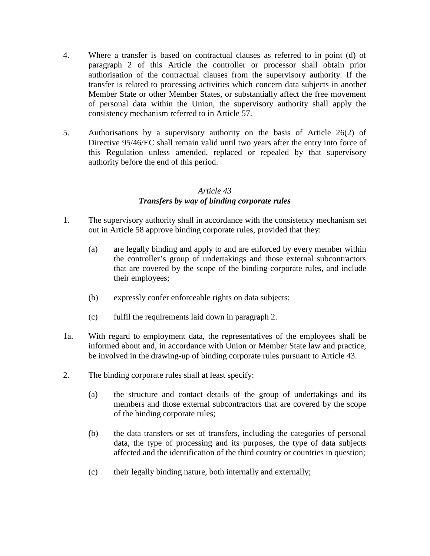- 4. Where a transfer is based on contractual clauses as referred to in point (d) of paragraph 2 of this Article the controller or processor shall obtain prior authorisation of the contractual clauses from the supervisory authority. If the transfer is related to processing activities which concern data subjects in another Member State or other Member States, or substantially affect the free movement of personal data within the Union, the supervisory authority shall apply the consistency mechanism referred to in Article 57.
- 5. Authorisations by a supervisory authority on the basis of Article 26(2) of Directive 95/46/EC shall remain valid until two years after the entry into force of this Regulation unless amended, replaced or repealed by that supervisory authority before the end of this period.

### *Article 43 Transfers by way of binding corporate rules*

- 1. The supervisory authority shall in accordance with the consistency mechanism set out in Article 58 approve binding corporate rules, provided that they:
	- (a) are legally binding and apply to and are enforced by every member within the controller's group of undertakings and those external subcontractors that are covered by the scope of the binding corporate rules, and include their employees;
	- (b) expressly confer enforceable rights on data subjects;
	- (c) fulfil the requirements laid down in paragraph 2.
- 1a. With regard to employment data, the representatives of the employees shall be informed about and, in accordance with Union or Member State law and practice, be involved in the drawing-up of binding corporate rules pursuant to Article 43.
- 2. The binding corporate rules shall at least specify:
	- (a) the structure and contact details of the group of undertakings and its members and those external subcontractors that are covered by the scope of the binding corporate rules;
	- (b) the data transfers or set of transfers, including the categories of personal data, the type of processing and its purposes, the type of data subjects affected and the identification of the third country or countries in question;
	- (c) their legally binding nature, both internally and externally;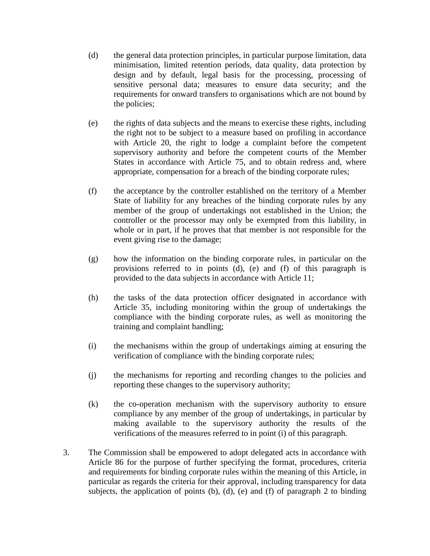- (d) the general data protection principles, in particular purpose limitation, data minimisation, limited retention periods, data quality, data protection by design and by default, legal basis for the processing, processing of sensitive personal data; measures to ensure data security; and the requirements for onward transfers to organisations which are not bound by the policies;
- (e) the rights of data subjects and the means to exercise these rights, including the right not to be subject to a measure based on profiling in accordance with Article 20, the right to lodge a complaint before the competent supervisory authority and before the competent courts of the Member States in accordance with Article 75, and to obtain redress and, where appropriate, compensation for a breach of the binding corporate rules;
- (f) the acceptance by the controller established on the territory of a Member State of liability for any breaches of the binding corporate rules by any member of the group of undertakings not established in the Union; the controller or the processor may only be exempted from this liability, in whole or in part, if he proves that that member is not responsible for the event giving rise to the damage;
- (g) how the information on the binding corporate rules, in particular on the provisions referred to in points (d), (e) and (f) of this paragraph is provided to the data subjects in accordance with Article 11;
- (h) the tasks of the data protection officer designated in accordance with Article 35, including monitoring within the group of undertakings the compliance with the binding corporate rules, as well as monitoring the training and complaint handling;
- (i) the mechanisms within the group of undertakings aiming at ensuring the verification of compliance with the binding corporate rules;
- (j) the mechanisms for reporting and recording changes to the policies and reporting these changes to the supervisory authority;
- (k) the co-operation mechanism with the supervisory authority to ensure compliance by any member of the group of undertakings, in particular by making available to the supervisory authority the results of the verifications of the measures referred to in point (i) of this paragraph.
- 3. The Commission shall be empowered to adopt delegated acts in accordance with Article 86 for the purpose of further specifying the format, procedures, criteria and requirements for binding corporate rules within the meaning of this Article, in particular as regards the criteria for their approval, including transparency for data subjects, the application of points  $(b)$ ,  $(d)$ ,  $(e)$  and  $(f)$  of paragraph 2 to binding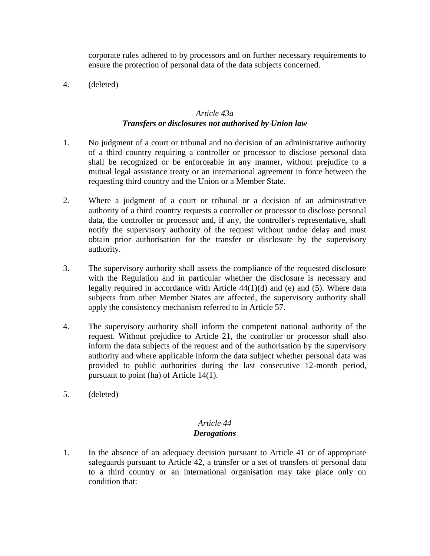corporate rules adhered to by processors and on further necessary requirements to ensure the protection of personal data of the data subjects concerned.

4. (deleted)

### *Article 43a Transfers or disclosures not authorised by Union law*

- 1. No judgment of a court or tribunal and no decision of an administrative authority of a third country requiring a controller or processor to disclose personal data shall be recognized or be enforceable in any manner, without prejudice to a mutual legal assistance treaty or an international agreement in force between the requesting third country and the Union or a Member State.
- 2. Where a judgment of a court or tribunal or a decision of an administrative authority of a third country requests a controller or processor to disclose personal data, the controller or processor and, if any, the controller's representative, shall notify the supervisory authority of the request without undue delay and must obtain prior authorisation for the transfer or disclosure by the supervisory authority.
- 3. The supervisory authority shall assess the compliance of the requested disclosure with the Regulation and in particular whether the disclosure is necessary and legally required in accordance with Article 44(1)(d) and (e) and (5). Where data subjects from other Member States are affected, the supervisory authority shall apply the consistency mechanism referred to in Article 57.
- 4. The supervisory authority shall inform the competent national authority of the request. Without prejudice to Article 21, the controller or processor shall also inform the data subjects of the request and of the authorisation by the supervisory authority and where applicable inform the data subject whether personal data was provided to public authorities during the last consecutive 12-month period, pursuant to point (ha) of Article 14(1).
- 5. (deleted)

#### *Article 44 Derogations*

1. In the absence of an adequacy decision pursuant to Article 41 or of appropriate safeguards pursuant to Article 42, a transfer or a set of transfers of personal data to a third country or an international organisation may take place only on condition that: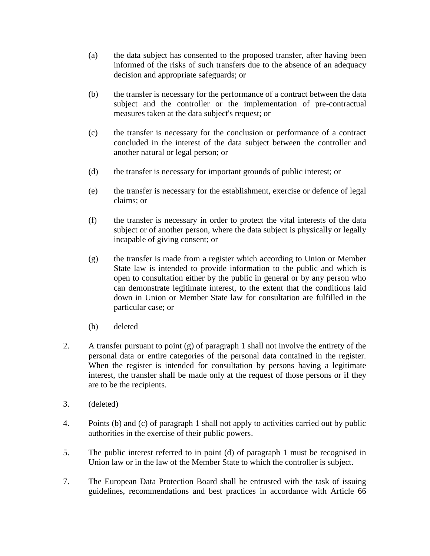- (a) the data subject has consented to the proposed transfer, after having been informed of the risks of such transfers due to the absence of an adequacy decision and appropriate safeguards; or
- (b) the transfer is necessary for the performance of a contract between the data subject and the controller or the implementation of pre-contractual measures taken at the data subject's request; or
- (c) the transfer is necessary for the conclusion or performance of a contract concluded in the interest of the data subject between the controller and another natural or legal person; or
- (d) the transfer is necessary for important grounds of public interest; or
- (e) the transfer is necessary for the establishment, exercise or defence of legal claims; or
- (f) the transfer is necessary in order to protect the vital interests of the data subject or of another person, where the data subject is physically or legally incapable of giving consent; or
- (g) the transfer is made from a register which according to Union or Member State law is intended to provide information to the public and which is open to consultation either by the public in general or by any person who can demonstrate legitimate interest, to the extent that the conditions laid down in Union or Member State law for consultation are fulfilled in the particular case; or
- (h) deleted
- 2. A transfer pursuant to point (g) of paragraph 1 shall not involve the entirety of the personal data or entire categories of the personal data contained in the register. When the register is intended for consultation by persons having a legitimate interest, the transfer shall be made only at the request of those persons or if they are to be the recipients.
- 3. (deleted)
- 4. Points (b) and (c) of paragraph 1 shall not apply to activities carried out by public authorities in the exercise of their public powers.
- 5. The public interest referred to in point (d) of paragraph 1 must be recognised in Union law or in the law of the Member State to which the controller is subject.
- 7. The European Data Protection Board shall be entrusted with the task of issuing guidelines, recommendations and best practices in accordance with Article 66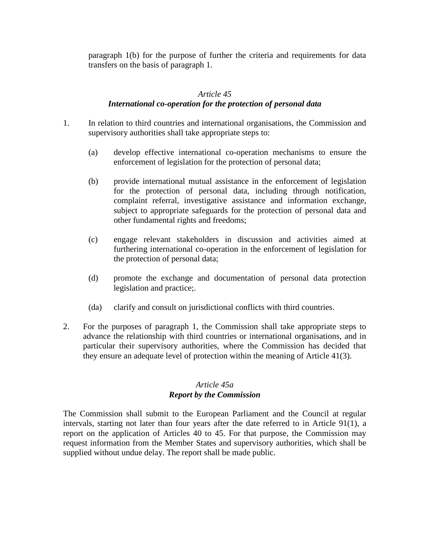paragraph 1(b) for the purpose of further the criteria and requirements for data transfers on the basis of paragraph 1.

### *Article 45 International co-operation for the protection of personal data*

- 1. In relation to third countries and international organisations, the Commission and supervisory authorities shall take appropriate steps to:
	- (a) develop effective international co-operation mechanisms to ensure the enforcement of legislation for the protection of personal data;
	- (b) provide international mutual assistance in the enforcement of legislation for the protection of personal data, including through notification, complaint referral, investigative assistance and information exchange, subject to appropriate safeguards for the protection of personal data and other fundamental rights and freedoms;
	- (c) engage relevant stakeholders in discussion and activities aimed at furthering international co-operation in the enforcement of legislation for the protection of personal data;
	- (d) promote the exchange and documentation of personal data protection legislation and practice;.
	- (da) clarify and consult on jurisdictional conflicts with third countries.
- 2. For the purposes of paragraph 1, the Commission shall take appropriate steps to advance the relationship with third countries or international organisations, and in particular their supervisory authorities, where the Commission has decided that they ensure an adequate level of protection within the meaning of Article 41(3).

#### *Article 45a Report by the Commission*

The Commission shall submit to the European Parliament and the Council at regular intervals, starting not later than four years after the date referred to in Article 91(1), a report on the application of Articles 40 to 45. For that purpose, the Commission may request information from the Member States and supervisory authorities, which shall be supplied without undue delay. The report shall be made public.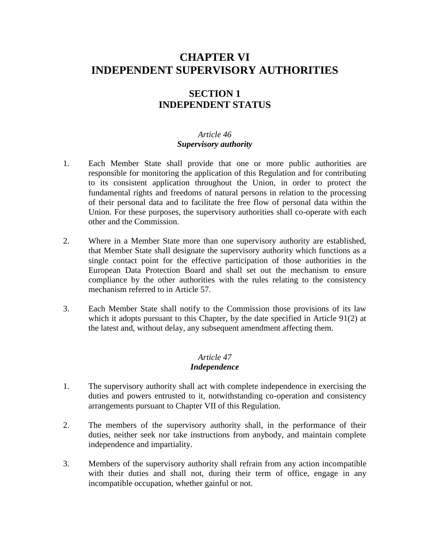# **CHAPTER VI INDEPENDENT SUPERVISORY AUTHORITIES**

# **SECTION 1 INDEPENDENT STATUS**

#### *Article 46 Supervisory authority*

- 1. Each Member State shall provide that one or more public authorities are responsible for monitoring the application of this Regulation and for contributing to its consistent application throughout the Union, in order to protect the fundamental rights and freedoms of natural persons in relation to the processing of their personal data and to facilitate the free flow of personal data within the Union. For these purposes, the supervisory authorities shall co-operate with each other and the Commission.
- 2. Where in a Member State more than one supervisory authority are established, that Member State shall designate the supervisory authority which functions as a single contact point for the effective participation of those authorities in the European Data Protection Board and shall set out the mechanism to ensure compliance by the other authorities with the rules relating to the consistency mechanism referred to in Article 57.
- 3. Each Member State shall notify to the Commission those provisions of its law which it adopts pursuant to this Chapter, by the date specified in Article 91(2) at the latest and, without delay, any subsequent amendment affecting them.

#### *Article 47 Independence*

- 1. The supervisory authority shall act with complete independence in exercising the duties and powers entrusted to it, notwithstanding co-operation and consistency arrangements pursuant to Chapter VII of this Regulation.
- 2. The members of the supervisory authority shall, in the performance of their duties, neither seek nor take instructions from anybody, and maintain complete independence and impartiality.
- 3. Members of the supervisory authority shall refrain from any action incompatible with their duties and shall not, during their term of office, engage in any incompatible occupation, whether gainful or not.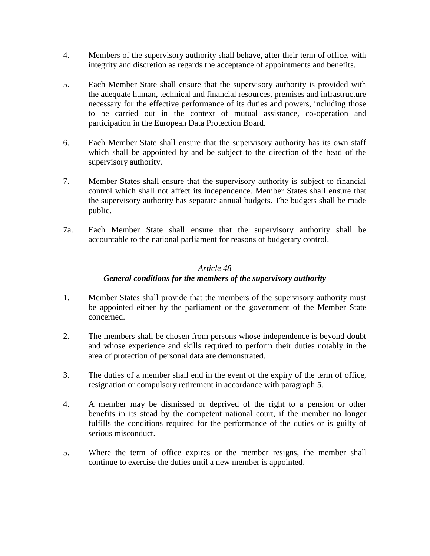- 4. Members of the supervisory authority shall behave, after their term of office, with integrity and discretion as regards the acceptance of appointments and benefits.
- 5. Each Member State shall ensure that the supervisory authority is provided with the adequate human, technical and financial resources, premises and infrastructure necessary for the effective performance of its duties and powers, including those to be carried out in the context of mutual assistance, co-operation and participation in the European Data Protection Board.
- 6. Each Member State shall ensure that the supervisory authority has its own staff which shall be appointed by and be subject to the direction of the head of the supervisory authority.
- 7. Member States shall ensure that the supervisory authority is subject to financial control which shall not affect its independence. Member States shall ensure that the supervisory authority has separate annual budgets. The budgets shall be made public.
- 7a. Each Member State shall ensure that the supervisory authority shall be accountable to the national parliament for reasons of budgetary control.

#### *Article 48 General conditions for the members of the supervisory authority*

- 1. Member States shall provide that the members of the supervisory authority must be appointed either by the parliament or the government of the Member State concerned.
- 2. The members shall be chosen from persons whose independence is beyond doubt and whose experience and skills required to perform their duties notably in the area of protection of personal data are demonstrated.
- 3. The duties of a member shall end in the event of the expiry of the term of office, resignation or compulsory retirement in accordance with paragraph 5.
- 4. A member may be dismissed or deprived of the right to a pension or other benefits in its stead by the competent national court, if the member no longer fulfills the conditions required for the performance of the duties or is guilty of serious misconduct.
- 5. Where the term of office expires or the member resigns, the member shall continue to exercise the duties until a new member is appointed.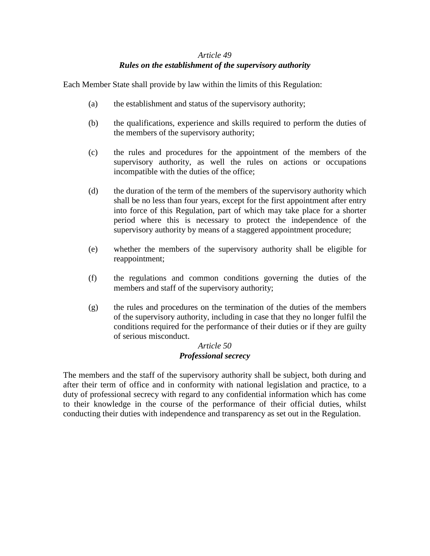### *Article 49 Rules on the establishment of the supervisory authority*

Each Member State shall provide by law within the limits of this Regulation:

- (a) the establishment and status of the supervisory authority;
- (b) the qualifications, experience and skills required to perform the duties of the members of the supervisory authority;
- (c) the rules and procedures for the appointment of the members of the supervisory authority, as well the rules on actions or occupations incompatible with the duties of the office;
- (d) the duration of the term of the members of the supervisory authority which shall be no less than four years, except for the first appointment after entry into force of this Regulation, part of which may take place for a shorter period where this is necessary to protect the independence of the supervisory authority by means of a staggered appointment procedure;
- (e) whether the members of the supervisory authority shall be eligible for reappointment;
- (f) the regulations and common conditions governing the duties of the members and staff of the supervisory authority;
- (g) the rules and procedures on the termination of the duties of the members of the supervisory authority, including in case that they no longer fulfil the conditions required for the performance of their duties or if they are guilty of serious misconduct.

#### *Article 50 Professional secrecy*

The members and the staff of the supervisory authority shall be subject, both during and after their term of office and in conformity with national legislation and practice, to a duty of professional secrecy with regard to any confidential information which has come to their knowledge in the course of the performance of their official duties, whilst conducting their duties with independence and transparency as set out in the Regulation.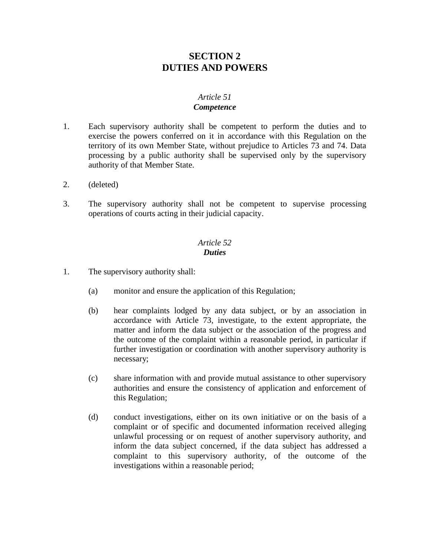# **SECTION 2 DUTIES AND POWERS**

## *Article 51 Competence*

- 1. Each supervisory authority shall be competent to perform the duties and to exercise the powers conferred on it in accordance with this Regulation on the territory of its own Member State, without prejudice to Articles 73 and 74. Data processing by a public authority shall be supervised only by the supervisory authority of that Member State.
- 2. (deleted)
- 3. The supervisory authority shall not be competent to supervise processing operations of courts acting in their judicial capacity.

### *Article 52 Duties*

- 1. The supervisory authority shall:
	- (a) monitor and ensure the application of this Regulation;
	- (b) hear complaints lodged by any data subject, or by an association in accordance with Article 73, investigate, to the extent appropriate, the matter and inform the data subject or the association of the progress and the outcome of the complaint within a reasonable period, in particular if further investigation or coordination with another supervisory authority is necessary;
	- (c) share information with and provide mutual assistance to other supervisory authorities and ensure the consistency of application and enforcement of this Regulation;
	- (d) conduct investigations, either on its own initiative or on the basis of a complaint or of specific and documented information received alleging unlawful processing or on request of another supervisory authority, and inform the data subject concerned, if the data subject has addressed a complaint to this supervisory authority, of the outcome of the investigations within a reasonable period;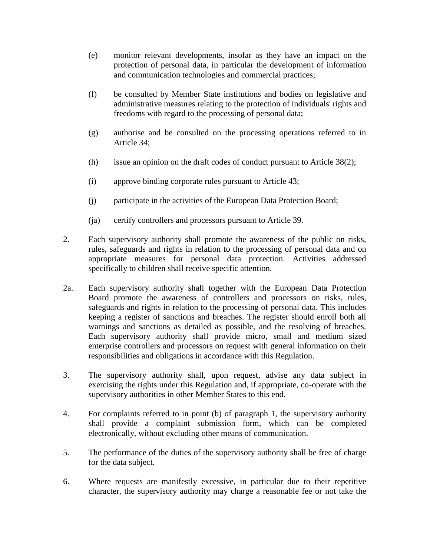- (e) monitor relevant developments, insofar as they have an impact on the protection of personal data, in particular the development of information and communication technologies and commercial practices;
- (f) be consulted by Member State institutions and bodies on legislative and administrative measures relating to the protection of individuals' rights and freedoms with regard to the processing of personal data;
- (g) authorise and be consulted on the processing operations referred to in Article 34;
- (h) issue an opinion on the draft codes of conduct pursuant to Article 38(2);
- (i) approve binding corporate rules pursuant to Article 43;
- (j) participate in the activities of the European Data Protection Board;
- (ja) certify controllers and processors pursuant to Article 39.
- 2. Each supervisory authority shall promote the awareness of the public on risks, rules, safeguards and rights in relation to the processing of personal data and on appropriate measures for personal data protection. Activities addressed specifically to children shall receive specific attention.
- 2a. Each supervisory authority shall together with the European Data Protection Board promote the awareness of controllers and processors on risks, rules, safeguards and rights in relation to the processing of personal data. This includes keeping a register of sanctions and breaches. The register should enroll both all warnings and sanctions as detailed as possible, and the resolving of breaches. Each supervisory authority shall provide micro, small and medium sized enterprise controllers and processors on request with general information on their responsibilities and obligations in accordance with this Regulation.
- 3. The supervisory authority shall, upon request, advise any data subject in exercising the rights under this Regulation and, if appropriate, co-operate with the supervisory authorities in other Member States to this end.
- 4. For complaints referred to in point (b) of paragraph 1, the supervisory authority shall provide a complaint submission form, which can be completed electronically, without excluding other means of communication.
- 5. The performance of the duties of the supervisory authority shall be free of charge for the data subject.
- 6. Where requests are manifestly excessive, in particular due to their repetitive character, the supervisory authority may charge a reasonable fee or not take the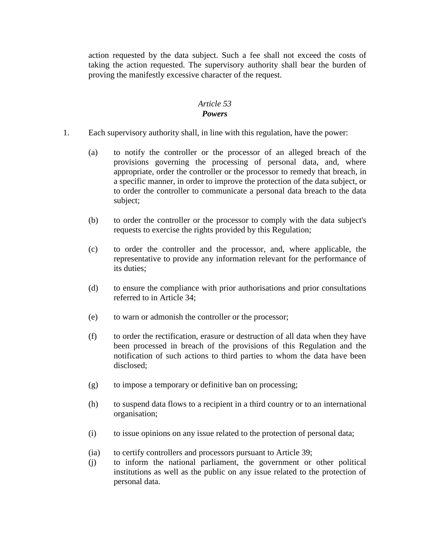action requested by the data subject. Such a fee shall not exceed the costs of taking the action requested. The supervisory authority shall bear the burden of proving the manifestly excessive character of the request.

#### *Article 53 Powers*

# 1. Each supervisory authority shall, in line with this regulation, have the power:

- (a) to notify the controller or the processor of an alleged breach of the provisions governing the processing of personal data, and, where appropriate, order the controller or the processor to remedy that breach, in a specific manner, in order to improve the protection of the data subject, or to order the controller to communicate a personal data breach to the data subject;
- (b) to order the controller or the processor to comply with the data subject's requests to exercise the rights provided by this Regulation;
- (c) to order the controller and the processor, and, where applicable, the representative to provide any information relevant for the performance of its duties;
- (d) to ensure the compliance with prior authorisations and prior consultations referred to in Article 34;
- (e) to warn or admonish the controller or the processor;
- (f) to order the rectification, erasure or destruction of all data when they have been processed in breach of the provisions of this Regulation and the notification of such actions to third parties to whom the data have been disclosed;
- (g) to impose a temporary or definitive ban on processing;
- (h) to suspend data flows to a recipient in a third country or to an international organisation;
- (i) to issue opinions on any issue related to the protection of personal data;
- (ia) to certify controllers and processors pursuant to Article 39;
- (j) to inform the national parliament, the government or other political institutions as well as the public on any issue related to the protection of personal data.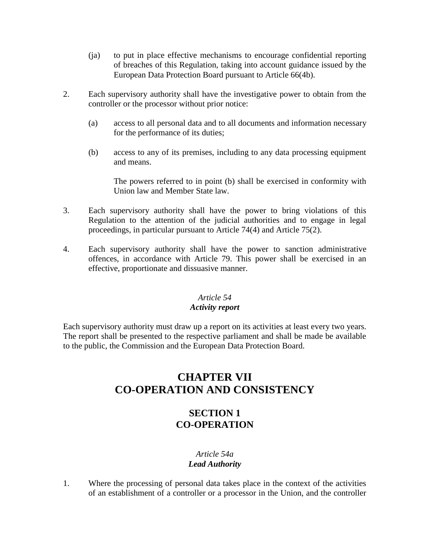- (ja) to put in place effective mechanisms to encourage confidential reporting of breaches of this Regulation, taking into account guidance issued by the European Data Protection Board pursuant to Article 66(4b).
- 2. Each supervisory authority shall have the investigative power to obtain from the controller or the processor without prior notice:
	- (a) access to all personal data and to all documents and information necessary for the performance of its duties;
	- (b) access to any of its premises, including to any data processing equipment and means.

The powers referred to in point (b) shall be exercised in conformity with Union law and Member State law.

- 3. Each supervisory authority shall have the power to bring violations of this Regulation to the attention of the judicial authorities and to engage in legal proceedings, in particular pursuant to Article 74(4) and Article 75(2).
- 4. Each supervisory authority shall have the power to sanction administrative offences, in accordance with Article 79. This power shall be exercised in an effective, proportionate and dissuasive manner.

# *Article 54*

# *Activity report*

Each supervisory authority must draw up a report on its activities at least every two years. The report shall be presented to the respective parliament and shall be made be available to the public, the Commission and the European Data Protection Board.

# **CHAPTER VII CO-OPERATION AND CONSISTENCY**

# **SECTION 1 CO-OPERATION**

# *Article 54a Lead Authority*

1. Where the processing of personal data takes place in the context of the activities of an establishment of a controller or a processor in the Union, and the controller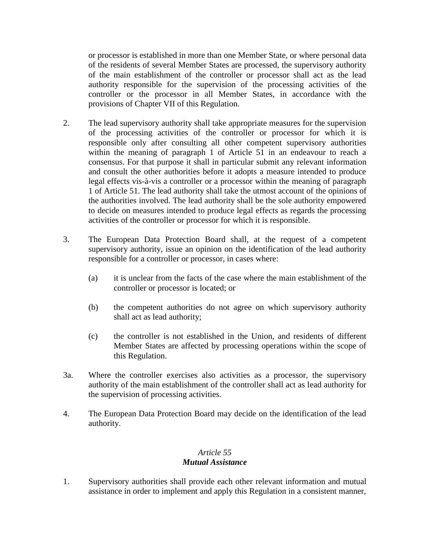or processor is established in more than one Member State, or where personal data of the residents of several Member States are processed, the supervisory authority of the main establishment of the controller or processor shall act as the lead authority responsible for the supervision of the processing activities of the controller or the processor in all Member States, in accordance with the provisions of Chapter VII of this Regulation.

- 2. The lead supervisory authority shall take appropriate measures for the supervision of the processing activities of the controller or processor for which it is responsible only after consulting all other competent supervisory authorities within the meaning of paragraph 1 of Article 51 in an endeavour to reach a consensus. For that purpose it shall in particular submit any relevant information and consult the other authorities before it adopts a measure intended to produce legal effects vis-à-vis a controller or a processor within the meaning of paragraph 1 of Article 51. The lead authority shall take the utmost account of the opinions of the authorities involved. The lead authority shall be the sole authority empowered to decide on measures intended to produce legal effects as regards the processing activities of the controller or processor for which it is responsible.
- 3. The European Data Protection Board shall, at the request of a competent supervisory authority, issue an opinion on the identification of the lead authority responsible for a controller or processor, in cases where:
	- (a) it is unclear from the facts of the case where the main establishment of the controller or processor is located; or
	- (b) the competent authorities do not agree on which supervisory authority shall act as lead authority;
	- (c) the controller is not established in the Union, and residents of different Member States are affected by processing operations within the scope of this Regulation.
- 3a. Where the controller exercises also activities as a processor, the supervisory authority of the main establishment of the controller shall act as lead authority for the supervision of processing activities.
- 4. The European Data Protection Board may decide on the identification of the lead authority.

# *Article 55 Mutual Assistance*

1. Supervisory authorities shall provide each other relevant information and mutual assistance in order to implement and apply this Regulation in a consistent manner,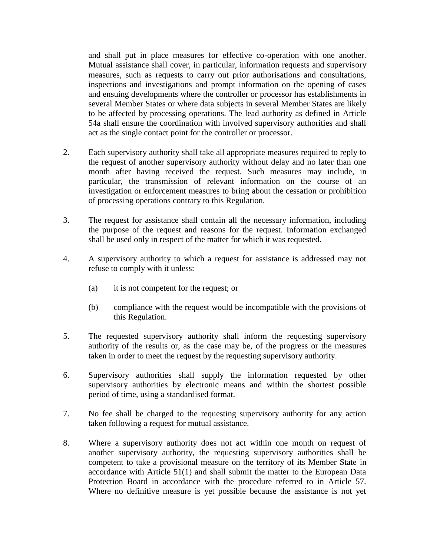and shall put in place measures for effective co-operation with one another. Mutual assistance shall cover, in particular, information requests and supervisory measures, such as requests to carry out prior authorisations and consultations, inspections and investigations and prompt information on the opening of cases and ensuing developments where the controller or processor has establishments in several Member States or where data subjects in several Member States are likely to be affected by processing operations. The lead authority as defined in Article 54a shall ensure the coordination with involved supervisory authorities and shall act as the single contact point for the controller or processor.

- 2. Each supervisory authority shall take all appropriate measures required to reply to the request of another supervisory authority without delay and no later than one month after having received the request. Such measures may include, in particular, the transmission of relevant information on the course of an investigation or enforcement measures to bring about the cessation or prohibition of processing operations contrary to this Regulation.
- 3. The request for assistance shall contain all the necessary information, including the purpose of the request and reasons for the request. Information exchanged shall be used only in respect of the matter for which it was requested.
- 4. A supervisory authority to which a request for assistance is addressed may not refuse to comply with it unless:
	- (a) it is not competent for the request; or
	- (b) compliance with the request would be incompatible with the provisions of this Regulation.
- 5. The requested supervisory authority shall inform the requesting supervisory authority of the results or, as the case may be, of the progress or the measures taken in order to meet the request by the requesting supervisory authority.
- 6. Supervisory authorities shall supply the information requested by other supervisory authorities by electronic means and within the shortest possible period of time, using a standardised format.
- 7. No fee shall be charged to the requesting supervisory authority for any action taken following a request for mutual assistance.
- 8. Where a supervisory authority does not act within one month on request of another supervisory authority, the requesting supervisory authorities shall be competent to take a provisional measure on the territory of its Member State in accordance with Article 51(1) and shall submit the matter to the European Data Protection Board in accordance with the procedure referred to in Article 57. Where no definitive measure is yet possible because the assistance is not yet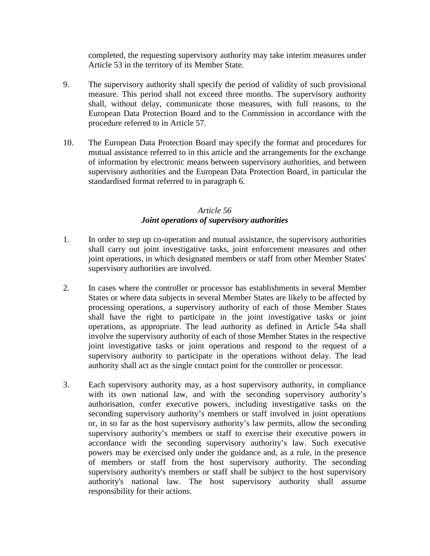completed, the requesting supervisory authority may take interim measures under Article 53 in the territory of its Member State.

- 9. The supervisory authority shall specify the period of validity of such provisional measure. This period shall not exceed three months. The supervisory authority shall, without delay, communicate those measures, with full reasons, to the European Data Protection Board and to the Commission in accordance with the procedure referred to in Article 57.
- 10. The European Data Protection Board may specify the format and procedures for mutual assistance referred to in this article and the arrangements for the exchange of information by electronic means between supervisory authorities, and between supervisory authorities and the European Data Protection Board, in particular the standardised format referred to in paragraph 6.

#### *Article 56 Joint operations of supervisory authorities*

- 1. In order to step up co-operation and mutual assistance, the supervisory authorities shall carry out joint investigative tasks, joint enforcement measures and other joint operations, in which designated members or staff from other Member States' supervisory authorities are involved.
- 2. In cases where the controller or processor has establishments in several Member States or where data subjects in several Member States are likely to be affected by processing operations, a supervisory authority of each of those Member States shall have the right to participate in the joint investigative tasks or joint operations, as appropriate. The lead authority as defined in Article 54a shall involve the supervisory authority of each of those Member States in the respective joint investigative tasks or joint operations and respond to the request of a supervisory authority to participate in the operations without delay. The lead authority shall act as the single contact point for the controller or processor.
- 3. Each supervisory authority may, as a host supervisory authority, in compliance with its own national law, and with the seconding supervisory authority's authorisation, confer executive powers, including investigative tasks on the seconding supervisory authority's members or staff involved in joint operations or, in so far as the host supervisory authority's law permits, allow the seconding supervisory authority's members or staff to exercise their executive powers in accordance with the seconding supervisory authority's law. Such executive powers may be exercised only under the guidance and, as a rule, in the presence of members or staff from the host supervisory authority. The seconding supervisory authority's members or staff shall be subject to the host supervisory authority's national law. The host supervisory authority shall assume responsibility for their actions.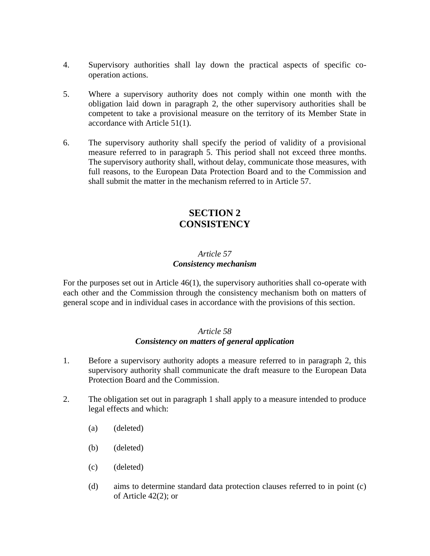- 4. Supervisory authorities shall lay down the practical aspects of specific co operation actions.
- 5. Where a supervisory authority does not comply within one month with the obligation laid down in paragraph 2, the other supervisory authorities shall be competent to take a provisional measure on the territory of its Member State in accordance with Article 51(1).
- 6. The supervisory authority shall specify the period of validity of a provisional measure referred to in paragraph 5. This period shall not exceed three months. The supervisory authority shall, without delay, communicate those measures, with full reasons, to the European Data Protection Board and to the Commission and shall submit the matter in the mechanism referred to in Article 57.

# **SECTION 2 CONSISTENCY**

#### *Article 57 Consistency mechanism*

For the purposes set out in Article 46(1), the supervisory authorities shall co-operate with each other and the Commission through the consistency mechanism both on matters of general scope and in individual cases in accordance with the provisions of this section.

#### *Article 58 Consistency on matters of general application*

- 1. Before a supervisory authority adopts a measure referred to in paragraph 2, this supervisory authority shall communicate the draft measure to the European Data Protection Board and the Commission.
- 2. The obligation set out in paragraph 1 shall apply to a measure intended to produce legal effects and which:
	- (a) (deleted)
	- (b) (deleted)
	- (c) (deleted)
	- (d) aims to determine standard data protection clauses referred to in point (c) of Article 42(2); or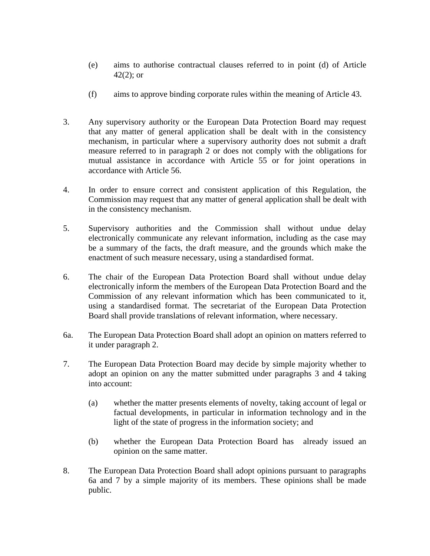- (e) aims to authorise contractual clauses referred to in point (d) of Article  $42(2)$ ; or
- (f) aims to approve binding corporate rules within the meaning of Article 43.
- 3. Any supervisory authority or the European Data Protection Board may request that any matter of general application shall be dealt with in the consistency mechanism, in particular where a supervisory authority does not submit a draft measure referred to in paragraph 2 or does not comply with the obligations for mutual assistance in accordance with Article 55 or for joint operations in accordance with Article 56.
- 4. In order to ensure correct and consistent application of this Regulation, the Commission may request that any matter of general application shall be dealt with in the consistency mechanism.
- 5. Supervisory authorities and the Commission shall without undue delay electronically communicate any relevant information, including as the case may be a summary of the facts, the draft measure, and the grounds which make the enactment of such measure necessary, using a standardised format.
- 6. The chair of the European Data Protection Board shall without undue delay electronically inform the members of the European Data Protection Board and the Commission of any relevant information which has been communicated to it, using a standardised format. The secretariat of the European Data Protection Board shall provide translations of relevant information, where necessary.
- 6a. The European Data Protection Board shall adopt an opinion on matters referred to it under paragraph 2.
- 7. The European Data Protection Board may decide by simple majority whether to adopt an opinion on any the matter submitted under paragraphs 3 and 4 taking into account:
	- (a) whether the matter presents elements of novelty, taking account of legal or factual developments, in particular in information technology and in the light of the state of progress in the information society; and
	- (b) whether the European Data Protection Board has already issued an opinion on the same matter.
- 8. The European Data Protection Board shall adopt opinions pursuant to paragraphs 6a and 7 by a simple majority of its members. These opinions shall be made public.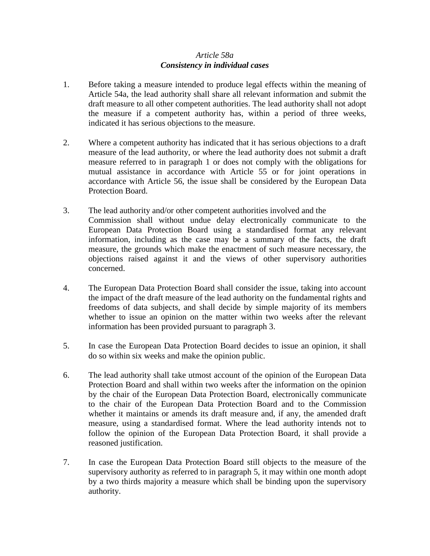#### *Article 58a Consistency in individual cases*

- 1. Before taking a measure intended to produce legal effects within the meaning of Article 54a, the lead authority shall share all relevant information and submit the draft measure to all other competent authorities. The lead authority shall not adopt the measure if a competent authority has, within a period of three weeks, indicated it has serious objections to the measure.
- 2. Where a competent authority has indicated that it has serious objections to a draft measure of the lead authority, or where the lead authority does not submit a draft measure referred to in paragraph 1 or does not comply with the obligations for mutual assistance in accordance with Article 55 or for joint operations in accordance with Article 56, the issue shall be considered by the European Data Protection Board.
- 3. The lead authority and/or other competent authorities involved and the Commission shall without undue delay electronically communicate to the European Data Protection Board using a standardised format any relevant information, including as the case may be a summary of the facts, the draft measure, the grounds which make the enactment of such measure necessary, the objections raised against it and the views of other supervisory authorities concerned.
- 4. The European Data Protection Board shall consider the issue, taking into account the impact of the draft measure of the lead authority on the fundamental rights and freedoms of data subjects, and shall decide by simple majority of its members whether to issue an opinion on the matter within two weeks after the relevant information has been provided pursuant to paragraph 3.
- 5. In case the European Data Protection Board decides to issue an opinion, it shall do so within six weeks and make the opinion public.
- 6. The lead authority shall take utmost account of the opinion of the European Data Protection Board and shall within two weeks after the information on the opinion by the chair of the European Data Protection Board, electronically communicate to the chair of the European Data Protection Board and to the Commission whether it maintains or amends its draft measure and, if any, the amended draft measure, using a standardised format. Where the lead authority intends not to follow the opinion of the European Data Protection Board, it shall provide a reasoned justification.
- 7. In case the European Data Protection Board still objects to the measure of the supervisory authority as referred to in paragraph 5, it may within one month adopt by a two thirds majority a measure which shall be binding upon the supervisory authority.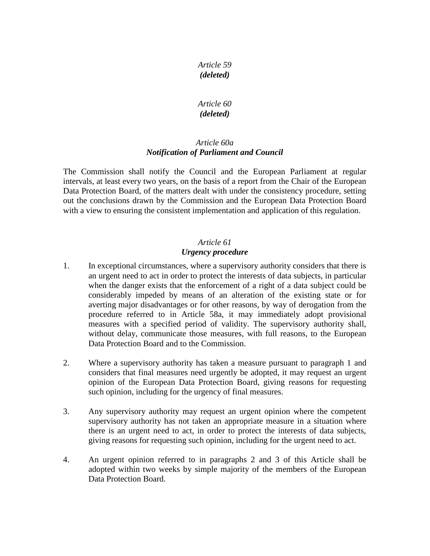*Article 59 (deleted)*

#### *Article 60 (deleted)*

#### *Article 60a Notification of Parliament and Council*

The Commission shall notify the Council and the European Parliament at regular intervals, at least every two years, on the basis of a report from the Chair of the European Data Protection Board, of the matters dealt with under the consistency procedure, setting out the conclusions drawn by the Commission and the European Data Protection Board with a view to ensuring the consistent implementation and application of this regulation.

#### *Article 61 Urgency procedure*

- 1. In exceptional circumstances, where a supervisory authority considers that there is an urgent need to act in order to protect the interests of data subjects, in particular when the danger exists that the enforcement of a right of a data subject could be considerably impeded by means of an alteration of the existing state or for averting major disadvantages or for other reasons, by way of derogation from the procedure referred to in Article 58a, it may immediately adopt provisional measures with a specified period of validity. The supervisory authority shall, without delay, communicate those measures, with full reasons, to the European Data Protection Board and to the Commission.
- 2. Where a supervisory authority has taken a measure pursuant to paragraph 1 and considers that final measures need urgently be adopted, it may request an urgent opinion of the European Data Protection Board, giving reasons for requesting such opinion, including for the urgency of final measures.
- 3. Any supervisory authority may request an urgent opinion where the competent supervisory authority has not taken an appropriate measure in a situation where there is an urgent need to act, in order to protect the interests of data subjects, giving reasons for requesting such opinion, including for the urgent need to act.
- 4. An urgent opinion referred to in paragraphs 2 and 3 of this Article shall be adopted within two weeks by simple majority of the members of the European Data Protection Board.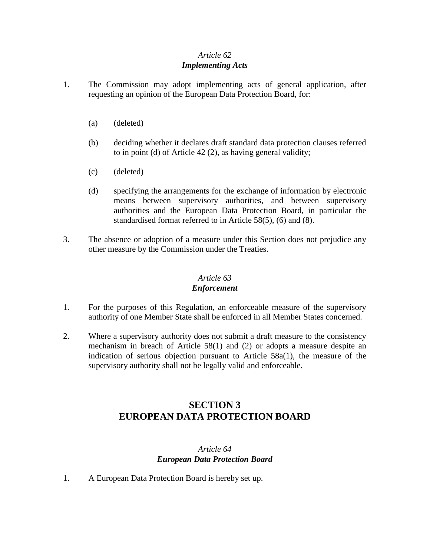### *Article 62 Implementing Acts*

- 1. The Commission may adopt implementing acts of general application, after requesting an opinion of the European Data Protection Board, for:
	- (a) (deleted)
	- (b) deciding whether it declares draft standard data protection clauses referred to in point (d) of Article 42 (2), as having general validity;
	- (c) (deleted)
	- (d) specifying the arrangements for the exchange of information by electronic means between supervisory authorities, and between supervisory authorities and the European Data Protection Board, in particular the standardised format referred to in Article 58(5), (6) and (8).
- 3. The absence or adoption of a measure under this Section does not prejudice any other measure by the Commission under the Treaties.

#### *Article 63 Enforcement*

- 1. For the purposes of this Regulation, an enforceable measure of the supervisory authority of one Member State shall be enforced in all Member States concerned.
- 2. Where a supervisory authority does not submit a draft measure to the consistency mechanism in breach of Article 58(1) and (2) or adopts a measure despite an indication of serious objection pursuant to Article 58a(1), the measure of the supervisory authority shall not be legally valid and enforceable.

# **SECTION 3 EUROPEAN DATA PROTECTION BOARD**

#### *Article 64 European Data Protection Board*

1. A European Data Protection Board is hereby set up.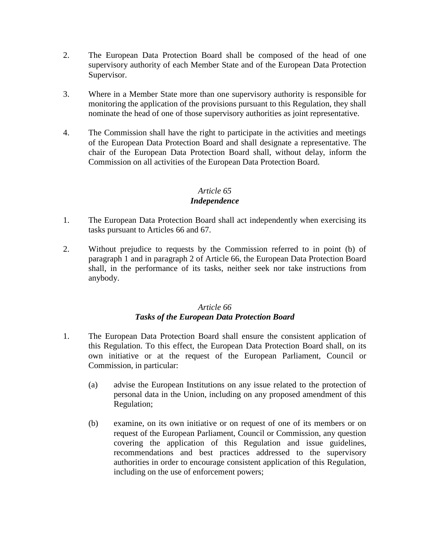- 2. The European Data Protection Board shall be composed of the head of one supervisory authority of each Member State and of the European Data Protection Supervisor.
- 3. Where in a Member State more than one supervisory authority is responsible for monitoring the application of the provisions pursuant to this Regulation, they shall nominate the head of one of those supervisory authorities as joint representative.
- 4. The Commission shall have the right to participate in the activities and meetings of the European Data Protection Board and shall designate a representative. The chair of the European Data Protection Board shall, without delay, inform the Commission on all activities of the European Data Protection Board.

#### *Article 65 Independence*

- 1. The European Data Protection Board shall act independently when exercising its tasks pursuant to Articles 66 and 67.
- 2. Without prejudice to requests by the Commission referred to in point (b) of paragraph 1 and in paragraph 2 of Article 66, the European Data Protection Board shall, in the performance of its tasks, neither seek nor take instructions from anybody.

### *Article 66 Tasks of the European Data Protection Board*

- 1. The European Data Protection Board shall ensure the consistent application of this Regulation. To this effect, the European Data Protection Board shall, on its own initiative or at the request of the European Parliament, Council or Commission, in particular:
	- (a) advise the European Institutions on any issue related to the protection of personal data in the Union, including on any proposed amendment of this Regulation;
	- (b) examine, on its own initiative or on request of one of its members or on request of the European Parliament, Council or Commission, any question covering the application of this Regulation and issue guidelines, recommendations and best practices addressed to the supervisory authorities in order to encourage consistent application of this Regulation, including on the use of enforcement powers;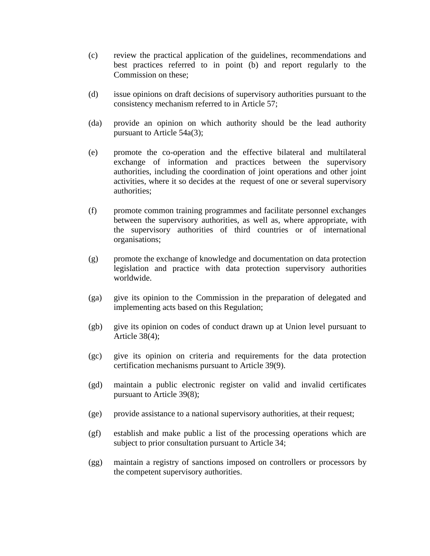- (c) review the practical application of the guidelines, recommendations and best practices referred to in point (b) and report regularly to the Commission on these;
- (d) issue opinions on draft decisions of supervisory authorities pursuant to the consistency mechanism referred to in Article 57;
- (da) provide an opinion on which authority should be the lead authority pursuant to Article 54a(3);
- (e) promote the co-operation and the effective bilateral and multilateral exchange of information and practices between the supervisory authorities, including the coordination of joint operations and other joint activities, where it so decides at the request of one or several supervisory authorities;
- (f) promote common training programmes and facilitate personnel exchanges between the supervisory authorities, as well as, where appropriate, with the supervisory authorities of third countries or of international organisations;
- (g) promote the exchange of knowledge and documentation on data protection legislation and practice with data protection supervisory authorities worldwide.
- (ga) give its opinion to the Commission in the preparation of delegated and implementing acts based on this Regulation;
- (gb) give its opinion on codes of conduct drawn up at Union level pursuant to Article 38(4);
- (gc) give its opinion on criteria and requirements for the data protection certification mechanisms pursuant to Article 39(9).
- (gd) maintain a public electronic register on valid and invalid certificates pursuant to Article 39(8);
- (ge) provide assistance to a national supervisory authorities, at their request;
- (gf) establish and make public a list of the processing operations which are subject to prior consultation pursuant to Article 34;
- (gg) maintain a registry of sanctions imposed on controllers or processors by the competent supervisory authorities.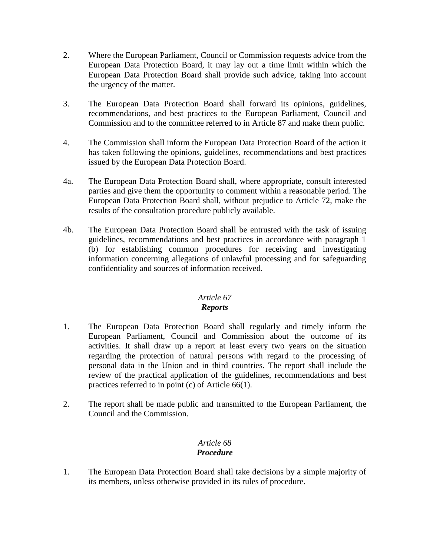- 2. Where the European Parliament, Council or Commission requests advice from the European Data Protection Board, it may lay out a time limit within which the European Data Protection Board shall provide such advice, taking into account the urgency of the matter.
- 3. The European Data Protection Board shall forward its opinions, guidelines, recommendations, and best practices to the European Parliament, Council and Commission and to the committee referred to in Article 87 and make them public.
- 4. The Commission shall inform the European Data Protection Board of the action it has taken following the opinions, guidelines, recommendations and best practices issued by the European Data Protection Board.
- 4a. The European Data Protection Board shall, where appropriate, consult interested parties and give them the opportunity to comment within a reasonable period. The European Data Protection Board shall, without prejudice to Article 72, make the results of the consultation procedure publicly available.
- 4b. The European Data Protection Board shall be entrusted with the task of issuing guidelines, recommendations and best practices in accordance with paragraph 1 (b) for establishing common procedures for receiving and investigating information concerning allegations of unlawful processing and for safeguarding confidentiality and sources of information received.

#### *Article 67 Reports*

# 1. The European Data Protection Board shall regularly and timely inform the European Parliament, Council and Commission about the outcome of its activities. It shall draw up a report at least every two years on the situation regarding the protection of natural persons with regard to the processing of personal data in the Union and in third countries. The report shall include the review of the practical application of the guidelines, recommendations and best

practices referred to in point (c) of Article 66(1).

2. The report shall be made public and transmitted to the European Parliament, the Council and the Commission.

#### *Article 68 Procedure*

1. The European Data Protection Board shall take decisions by a simple majority of its members, unless otherwise provided in its rules of procedure.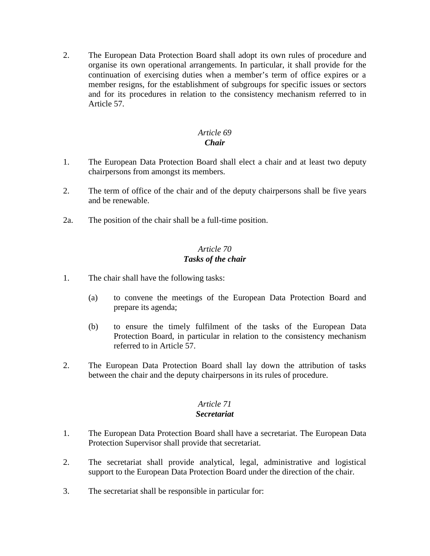2. The European Data Protection Board shall adopt its own rules of procedure and organise its own operational arrangements. In particular, it shall provide for the continuation of exercising duties when a member's term of office expires or a member resigns, for the establishment of subgroups for specific issues or sectors and for its procedures in relation to the consistency mechanism referred to in Article 57.

#### *Article 69 Chair*

- 1. The European Data Protection Board shall elect a chair and at least two deputy chairpersons from amongst its members.
- 2. The term of office of the chair and of the deputy chairpersons shall be five years and be renewable.
- 2a. The position of the chair shall be a full-time position.

### *Article 70 Tasks of the chair*

- 1. The chair shall have the following tasks:
	- (a) to convene the meetings of the European Data Protection Board and prepare its agenda;
	- (b) to ensure the timely fulfilment of the tasks of the European Data Protection Board, in particular in relation to the consistency mechanism referred to in Article 57.
- 2. The European Data Protection Board shall lay down the attribution of tasks between the chair and the deputy chairpersons in its rules of procedure.

#### *Article 71 Secretariat*

- 1. The European Data Protection Board shall have a secretariat. The European Data Protection Supervisor shall provide that secretariat.
- 2. The secretariat shall provide analytical, legal, administrative and logistical support to the European Data Protection Board under the direction of the chair.
- 3. The secretariat shall be responsible in particular for: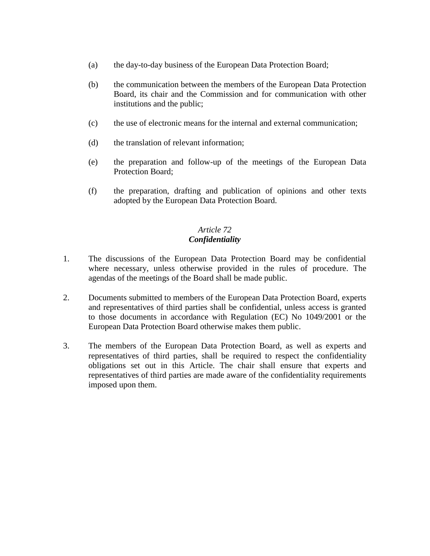- (a) the day-to-day business of the European Data Protection Board;
- (b) the communication between the members of the European Data Protection Board, its chair and the Commission and for communication with other institutions and the public;
- (c) the use of electronic means for the internal and external communication;
- (d) the translation of relevant information;
- (e) the preparation and follow-up of the meetings of the European Data Protection Board;
- (f) the preparation, drafting and publication of opinions and other texts adopted by the European Data Protection Board.

#### *Article 72 Confidentiality*

- 1. The discussions of the European Data Protection Board may be confidential where necessary, unless otherwise provided in the rules of procedure. The agendas of the meetings of the Board shall be made public.
- 2. Documents submitted to members of the European Data Protection Board, experts and representatives of third parties shall be confidential, unless access is granted to those documents in accordance with Regulation (EC) No 1049/2001 or the European Data Protection Board otherwise makes them public.
- 3. The members of the European Data Protection Board, as well as experts and representatives of third parties, shall be required to respect the confidentiality obligations set out in this Article. The chair shall ensure that experts and representatives of third parties are made aware of the confidentiality requirements imposed upon them.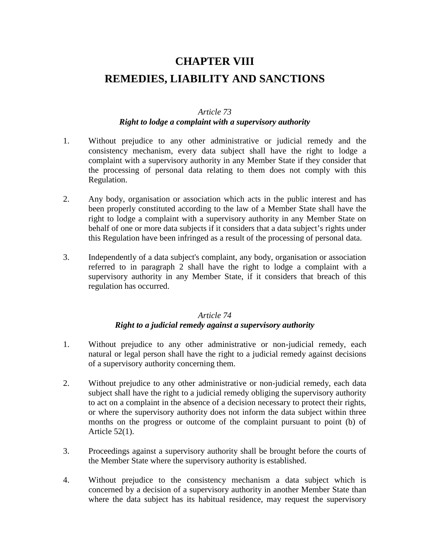# **CHAPTER VIII REMEDIES, LIABILITY AND SANCTIONS**

## *Article 73 Right to lodge a complaint with a supervisory authority*

- 1. Without prejudice to any other administrative or judicial remedy and the consistency mechanism, every data subject shall have the right to lodge a complaint with a supervisory authority in any Member State if they consider that the processing of personal data relating to them does not comply with this Regulation.
- 2. Any body, organisation or association which acts in the public interest and has been properly constituted according to the law of a Member State shall have the right to lodge a complaint with a supervisory authority in any Member State on behalf of one or more data subjects if it considers that a data subject's rights under this Regulation have been infringed as a result of the processing of personal data.
- 3. Independently of a data subject's complaint, any body, organisation or association referred to in paragraph 2 shall have the right to lodge a complaint with a supervisory authority in any Member State, if it considers that breach of this regulation has occurred.

### *Article 74 Right to a judicial remedy against a supervisory authority*

- 1. Without prejudice to any other administrative or non-judicial remedy, each natural or legal person shall have the right to a judicial remedy against decisions of a supervisory authority concerning them.
- 2. Without prejudice to any other administrative or non-judicial remedy, each data subject shall have the right to a judicial remedy obliging the supervisory authority to act on a complaint in the absence of a decision necessary to protect their rights, or where the supervisory authority does not inform the data subject within three months on the progress or outcome of the complaint pursuant to point (b) of Article 52(1).
- 3. Proceedings against a supervisory authority shall be brought before the courts of the Member State where the supervisory authority is established.
- 4. Without prejudice to the consistency mechanism a data subject which is concerned by a decision of a supervisory authority in another Member State than where the data subject has its habitual residence, may request the supervisory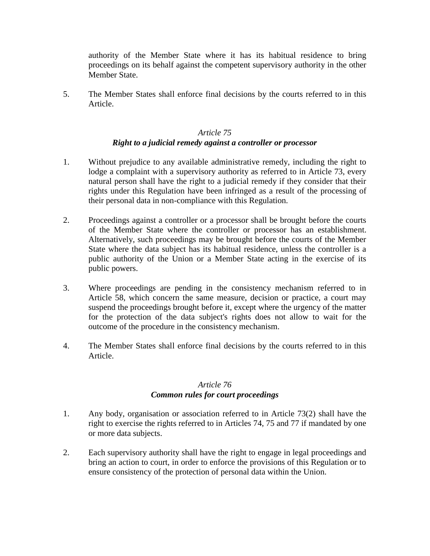authority of the Member State where it has its habitual residence to bring proceedings on its behalf against the competent supervisory authority in the other Member State.

5. The Member States shall enforce final decisions by the courts referred to in this Article.

### *Article 75 Right to a judicial remedy against a controller or processor*

- 1. Without prejudice to any available administrative remedy, including the right to lodge a complaint with a supervisory authority as referred to in Article 73, every natural person shall have the right to a judicial remedy if they consider that their rights under this Regulation have been infringed as a result of the processing of their personal data in non-compliance with this Regulation.
- 2. Proceedings against a controller or a processor shall be brought before the courts of the Member State where the controller or processor has an establishment. Alternatively, such proceedings may be brought before the courts of the Member State where the data subject has its habitual residence, unless the controller is a public authority of the Union or a Member State acting in the exercise of its public powers.
- 3. Where proceedings are pending in the consistency mechanism referred to in Article 58, which concern the same measure, decision or practice, a court may suspend the proceedings brought before it, except where the urgency of the matter for the protection of the data subject's rights does not allow to wait for the outcome of the procedure in the consistency mechanism.
- 4. The Member States shall enforce final decisions by the courts referred to in this Article.

#### *Article 76 Common rules for court proceedings*

- 1. Any body, organisation or association referred to in Article 73(2) shall have the right to exercise the rights referred to in Articles 74, 75 and 77 if mandated by one or more data subjects.
- 2. Each supervisory authority shall have the right to engage in legal proceedings and bring an action to court, in order to enforce the provisions of this Regulation or to ensure consistency of the protection of personal data within the Union.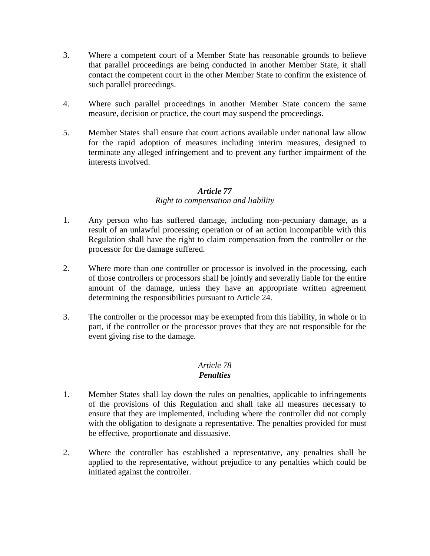- 3. Where a competent court of a Member State has reasonable grounds to believe that parallel proceedings are being conducted in another Member State, it shall contact the competent court in the other Member State to confirm the existence of such parallel proceedings.
- 4. Where such parallel proceedings in another Member State concern the same measure, decision or practice, the court may suspend the proceedings.
- 5. Member States shall ensure that court actions available under national law allow for the rapid adoption of measures including interim measures, designed to terminate any alleged infringement and to prevent any further impairment of the interests involved.

## *Article 77*

#### *Right to compensation and liability*

- 1. Any person who has suffered damage, including non-pecuniary damage, as a result of an unlawful processing operation or of an action incompatible with this Regulation shall have the right to claim compensation from the controller or the processor for the damage suffered.
- 2. Where more than one controller or processor is involved in the processing, each of those controllers or processors shall be jointly and severally liable for the entire amount of the damage, unless they have an appropriate written agreement determining the responsibilities pursuant to Article 24.
- 3. The controller or the processor may be exempted from this liability, in whole or in part, if the controller or the processor proves that they are not responsible for the event giving rise to the damage.

#### *Article 78 Penalties*

- 1. Member States shall lay down the rules on penalties, applicable to infringements of the provisions of this Regulation and shall take all measures necessary to ensure that they are implemented, including where the controller did not comply with the obligation to designate a representative. The penalties provided for must be effective, proportionate and dissuasive.
- 2. Where the controller has established a representative, any penalties shall be applied to the representative, without prejudice to any penalties which could be initiated against the controller.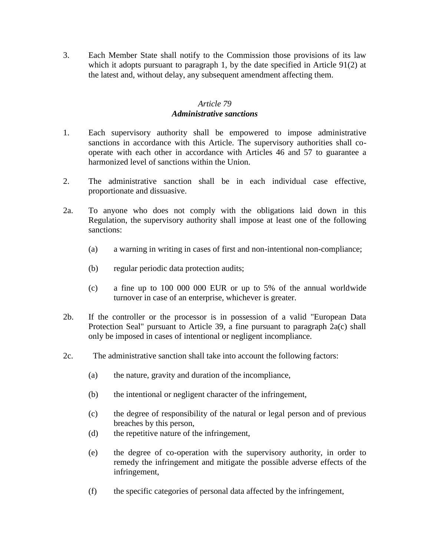3. Each Member State shall notify to the Commission those provisions of its law which it adopts pursuant to paragraph 1, by the date specified in Article 91(2) at the latest and, without delay, any subsequent amendment affecting them.

### *Article 79 Administrative sanctions*

- 1. Each supervisory authority shall be empowered to impose administrative sanctions in accordance with this Article. The supervisory authorities shall co operate with each other in accordance with Articles 46 and 57 to guarantee a harmonized level of sanctions within the Union.
- 2. The administrative sanction shall be in each individual case effective, proportionate and dissuasive.
- 2a. To anyone who does not comply with the obligations laid down in this Regulation, the supervisory authority shall impose at least one of the following sanctions:
	- (a) a warning in writing in cases of first and non-intentional non-compliance;
	- (b) regular periodic data protection audits;
	- (c) a fine up to 100 000 000 EUR or up to 5% of the annual worldwide turnover in case of an enterprise, whichever is greater.
- 2b. If the controller or the processor is in possession of a valid "European Data Protection Seal" pursuant to Article 39, a fine pursuant to paragraph 2a(c) shall only be imposed in cases of intentional or negligent incompliance.
- 2c. The administrative sanction shall take into account the following factors:
	- (a) the nature, gravity and duration of the incompliance,
	- (b) the intentional or negligent character of the infringement,
	- (c) the degree of responsibility of the natural or legal person and of previous breaches by this person,
	- (d) the repetitive nature of the infringement,
	- (e) the degree of co-operation with the supervisory authority, in order to remedy the infringement and mitigate the possible adverse effects of the infringement,
	- (f) the specific categories of personal data affected by the infringement,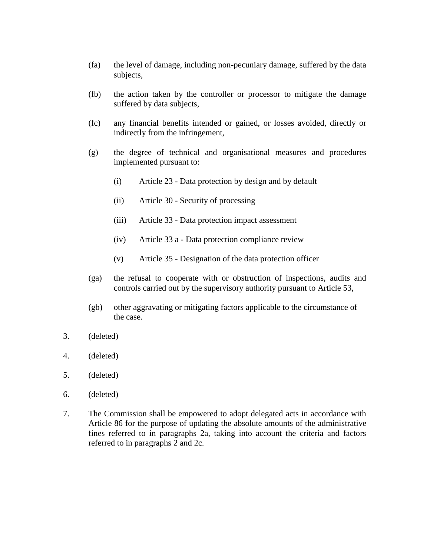- (fa) the level of damage, including non-pecuniary damage, suffered by the data subjects,
- (fb) the action taken by the controller or processor to mitigate the damage suffered by data subjects,
- (fc) any financial benefits intended or gained, or losses avoided, directly or indirectly from the infringement,
- (g) the degree of technical and organisational measures and procedures implemented pursuant to:
	- (i) Article 23 Data protection by design and by default
	- (ii) Article 30 Security of processing
	- (iii) Article 33 Data protection impact assessment
	- (iv) Article 33 a Data protection compliance review
	- (v) Article 35 Designation of the data protection officer
- (ga) the refusal to cooperate with or obstruction of inspections, audits and controls carried out by the supervisory authority pursuant to Article 53,
- (gb) other aggravating or mitigating factors applicable to the circumstance of the case.
- 3. (deleted)
- 4. (deleted)
- 5. (deleted)
- 6. (deleted)
- 7. The Commission shall be empowered to adopt delegated acts in accordance with Article 86 for the purpose of updating the absolute amounts of the administrative fines referred to in paragraphs 2a, taking into account the criteria and factors referred to in paragraphs 2 and 2c.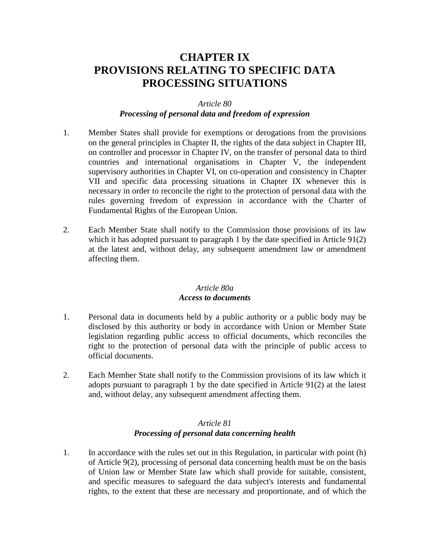# **CHAPTER IX PROVISIONS RELATING TO SPECIFIC DATA PROCESSING SITUATIONS**

#### *Article 80 Processing of personal data and freedom of expression*

- 1. Member States shall provide for exemptions or derogations from the provisions on the general principles in Chapter II, the rights of the data subject in Chapter III, on controller and processor in Chapter IV, on the transfer of personal data to third countries and international organisations in Chapter V, the independent supervisory authorities in Chapter VI, on co-operation and consistency in Chapter VII and specific data processing situations in Chapter IX whenever this is necessary in order to reconcile the right to the protection of personal data with the rules governing freedom of expression in accordance with the Charter of Fundamental Rights of the European Union.
- 2. Each Member State shall notify to the Commission those provisions of its law which it has adopted pursuant to paragraph 1 by the date specified in Article 91(2) at the latest and, without delay, any subsequent amendment law or amendment affecting them.

### *Article 80a Access to documents*

- 1. Personal data in documents held by a public authority or a public body may be disclosed by this authority or body in accordance with Union or Member State legislation regarding public access to official documents, which reconciles the right to the protection of personal data with the principle of public access to official documents.
- 2. Each Member State shall notify to the Commission provisions of its law which it adopts pursuant to paragraph 1 by the date specified in Article 91(2) at the latest and, without delay, any subsequent amendment affecting them.

#### *Article 81 Processing of personal data concerning health*

1. In accordance with the rules set out in this Regulation, in particular with point (h) of Article 9(2), processing of personal data concerning health must be on the basis of Union law or Member State law which shall provide for suitable, consistent, and specific measures to safeguard the data subject's interests and fundamental rights, to the extent that these are necessary and proportionate, and of which the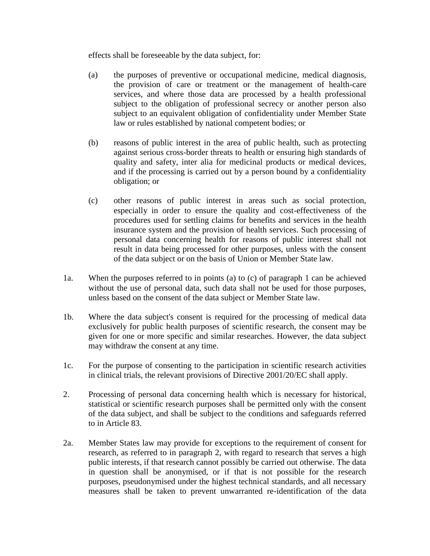effects shall be foreseeable by the data subject, for:

- (a) the purposes of preventive or occupational medicine, medical diagnosis, the provision of care or treatment or the management of health-care services, and where those data are processed by a health professional subject to the obligation of professional secrecy or another person also subject to an equivalent obligation of confidentiality under Member State law or rules established by national competent bodies; or
- (b) reasons of public interest in the area of public health, such as protecting against serious cross-border threats to health or ensuring high standards of quality and safety, inter alia for medicinal products or medical devices, and if the processing is carried out by a person bound by a confidentiality obligation; or
- (c) other reasons of public interest in areas such as social protection, especially in order to ensure the quality and cost-effectiveness of the procedures used for settling claims for benefits and services in the health insurance system and the provision of health services. Such processing of personal data concerning health for reasons of public interest shall not result in data being processed for other purposes, unless with the consent of the data subject or on the basis of Union or Member State law.
- 1a. When the purposes referred to in points (a) to (c) of paragraph 1 can be achieved without the use of personal data, such data shall not be used for those purposes, unless based on the consent of the data subject or Member State law.
- 1b. Where the data subject's consent is required for the processing of medical data exclusively for public health purposes of scientific research, the consent may be given for one or more specific and similar researches. However, the data subject may withdraw the consent at any time.
- 1c. For the purpose of consenting to the participation in scientific research activities in clinical trials, the relevant provisions of Directive 2001/20/EC shall apply.
- 2. Processing of personal data concerning health which is necessary for historical, statistical or scientific research purposes shall be permitted only with the consent of the data subject, and shall be subject to the conditions and safeguards referred to in Article 83.
- 2a. Member States law may provide for exceptions to the requirement of consent for research, as referred to in paragraph 2, with regard to research that serves a high public interests, if that research cannot possibly be carried out otherwise. The data in question shall be anonymised, or if that is not possible for the research purposes, pseudonymised under the highest technical standards, and all necessary measures shall be taken to prevent unwarranted re-identification of the data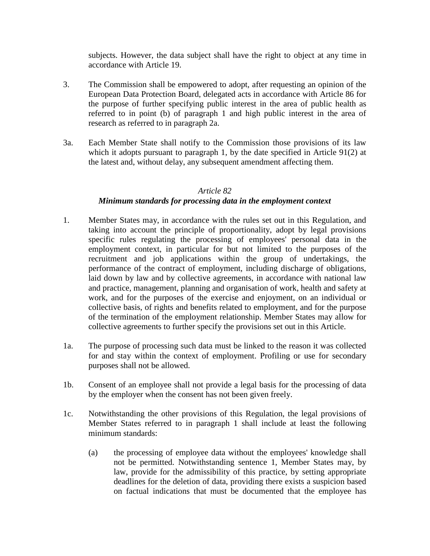subjects. However, the data subject shall have the right to object at any time in accordance with Article 19.

- 3. The Commission shall be empowered to adopt, after requesting an opinion of the European Data Protection Board, delegated acts in accordance with Article 86 for the purpose of further specifying public interest in the area of public health as referred to in point (b) of paragraph 1 and high public interest in the area of research as referred to in paragraph 2a.
- 3a. Each Member State shall notify to the Commission those provisions of its law which it adopts pursuant to paragraph 1, by the date specified in Article 91(2) at the latest and, without delay, any subsequent amendment affecting them.

#### *Article 82*

#### *Minimum standards for processing data in the employment context*

- 1. Member States may, in accordance with the rules set out in this Regulation, and taking into account the principle of proportionality, adopt by legal provisions specific rules regulating the processing of employees' personal data in the employment context, in particular for but not limited to the purposes of the recruitment and job applications within the group of undertakings, the performance of the contract of employment, including discharge of obligations, laid down by law and by collective agreements, in accordance with national law and practice, management, planning and organisation of work, health and safety at work, and for the purposes of the exercise and enjoyment, on an individual or collective basis, of rights and benefits related to employment, and for the purpose of the termination of the employment relationship. Member States may allow for collective agreements to further specify the provisions set out in this Article.
- 1a. The purpose of processing such data must be linked to the reason it was collected for and stay within the context of employment. Profiling or use for secondary purposes shall not be allowed.
- 1b. Consent of an employee shall not provide a legal basis for the processing of data by the employer when the consent has not been given freely.
- 1c. Notwithstanding the other provisions of this Regulation, the legal provisions of Member States referred to in paragraph 1 shall include at least the following minimum standards:
	- (a) the processing of employee data without the employees' knowledge shall not be permitted. Notwithstanding sentence 1, Member States may, by law, provide for the admissibility of this practice, by setting appropriate deadlines for the deletion of data, providing there exists a suspicion based on factual indications that must be documented that the employee has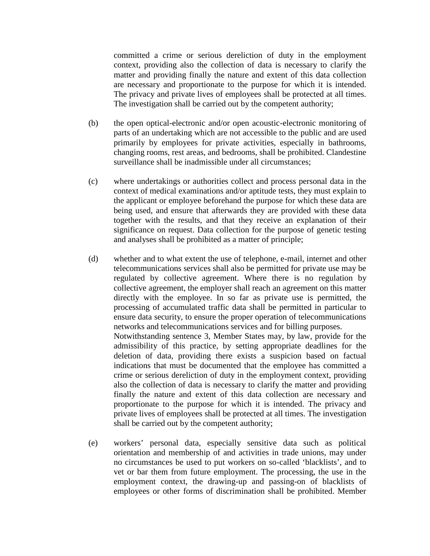committed a crime or serious dereliction of duty in the employment context, providing also the collection of data is necessary to clarify the matter and providing finally the nature and extent of this data collection are necessary and proportionate to the purpose for which it is intended. The privacy and private lives of employees shall be protected at all times. The investigation shall be carried out by the competent authority;

- (b) the open optical-electronic and/or open acoustic-electronic monitoring of parts of an undertaking which are not accessible to the public and are used primarily by employees for private activities, especially in bathrooms, changing rooms, rest areas, and bedrooms, shall be prohibited. Clandestine surveillance shall be inadmissible under all circumstances;
- (c) where undertakings or authorities collect and process personal data in the context of medical examinations and/or aptitude tests, they must explain to the applicant or employee beforehand the purpose for which these data are being used, and ensure that afterwards they are provided with these data together with the results, and that they receive an explanation of their significance on request. Data collection for the purpose of genetic testing and analyses shall be prohibited as a matter of principle;
- (d) whether and to what extent the use of telephone, e-mail, internet and other telecommunications services shall also be permitted for private use may be regulated by collective agreement. Where there is no regulation by collective agreement, the employer shall reach an agreement on this matter directly with the employee. In so far as private use is permitted, the processing of accumulated traffic data shall be permitted in particular to ensure data security, to ensure the proper operation of telecommunications networks and telecommunications services and for billing purposes. Notwithstanding sentence 3, Member States may, by law, provide for the admissibility of this practice, by setting appropriate deadlines for the deletion of data, providing there exists a suspicion based on factual indications that must be documented that the employee has committed a crime or serious dereliction of duty in the employment context, providing also the collection of data is necessary to clarify the matter and providing finally the nature and extent of this data collection are necessary and proportionate to the purpose for which it is intended. The privacy and private lives of employees shall be protected at all times. The investigation shall be carried out by the competent authority;
- (e) workers' personal data, especially sensitive data such as political orientation and membership of and activities in trade unions, may under no circumstances be used to put workers on so-called 'blacklists', and to vet or bar them from future employment. The processing, the use in the employment context, the drawing-up and passing-on of blacklists of employees or other forms of discrimination shall be prohibited. Member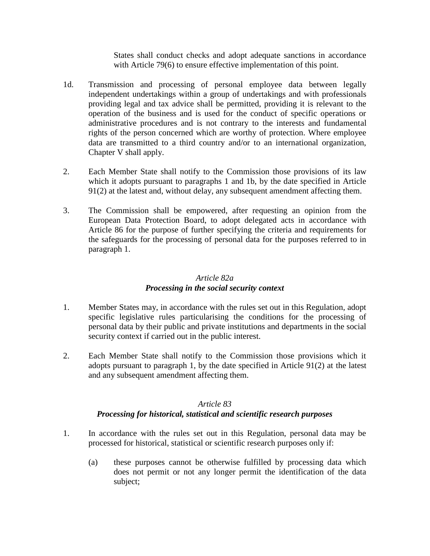States shall conduct checks and adopt adequate sanctions in accordance with Article 79(6) to ensure effective implementation of this point.

- 1d. Transmission and processing of personal employee data between legally independent undertakings within a group of undertakings and with professionals providing legal and tax advice shall be permitted, providing it is relevant to the operation of the business and is used for the conduct of specific operations or administrative procedures and is not contrary to the interests and fundamental rights of the person concerned which are worthy of protection. Where employee data are transmitted to a third country and/or to an international organization, Chapter V shall apply.
- 2. Each Member State shall notify to the Commission those provisions of its law which it adopts pursuant to paragraphs 1 and 1b, by the date specified in Article 91(2) at the latest and, without delay, any subsequent amendment affecting them.
- 3. The Commission shall be empowered, after requesting an opinion from the European Data Protection Board, to adopt delegated acts in accordance with Article 86 for the purpose of further specifying the criteria and requirements for the safeguards for the processing of personal data for the purposes referred to in paragraph 1.

# *Article 82a Processing in the social security context*

- 1. Member States may, in accordance with the rules set out in this Regulation, adopt specific legislative rules particularising the conditions for the processing of personal data by their public and private institutions and departments in the social security context if carried out in the public interest.
- 2. Each Member State shall notify to the Commission those provisions which it adopts pursuant to paragraph 1, by the date specified in Article 91(2) at the latest and any subsequent amendment affecting them.

# *Article 83*

# *Processing for historical, statistical and scientific research purposes*

- 1. In accordance with the rules set out in this Regulation, personal data may be processed for historical, statistical or scientific research purposes only if:
	- (a) these purposes cannot be otherwise fulfilled by processing data which does not permit or not any longer permit the identification of the data subject;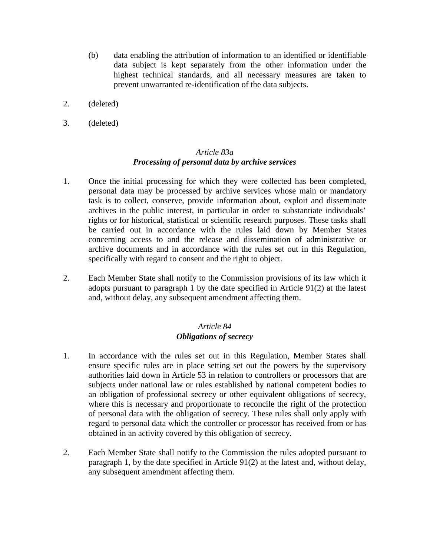- (b) data enabling the attribution of information to an identified or identifiable data subject is kept separately from the other information under the highest technical standards, and all necessary measures are taken to prevent unwarranted re-identification of the data subjects.
- 2. (deleted)
- 3. (deleted)

# *Article 83a Processing of personal data by archive services*

- 1. Once the initial processing for which they were collected has been completed, personal data may be processed by archive services whose main or mandatory task is to collect, conserve, provide information about, exploit and disseminate archives in the public interest, in particular in order to substantiate individuals' rights or for historical, statistical or scientific research purposes. These tasks shall be carried out in accordance with the rules laid down by Member States concerning access to and the release and dissemination of administrative or archive documents and in accordance with the rules set out in this Regulation, specifically with regard to consent and the right to object.
- 2. Each Member State shall notify to the Commission provisions of its law which it adopts pursuant to paragraph 1 by the date specified in Article 91(2) at the latest and, without delay, any subsequent amendment affecting them.

## *Article 84 Obligations of secrecy*

- 1. In accordance with the rules set out in this Regulation, Member States shall ensure specific rules are in place setting set out the powers by the supervisory authorities laid down in Article 53 in relation to controllers or processors that are subjects under national law or rules established by national competent bodies to an obligation of professional secrecy or other equivalent obligations of secrecy, where this is necessary and proportionate to reconcile the right of the protection of personal data with the obligation of secrecy. These rules shall only apply with regard to personal data which the controller or processor has received from or has obtained in an activity covered by this obligation of secrecy.
- 2. Each Member State shall notify to the Commission the rules adopted pursuant to paragraph 1, by the date specified in Article 91(2) at the latest and, without delay, any subsequent amendment affecting them.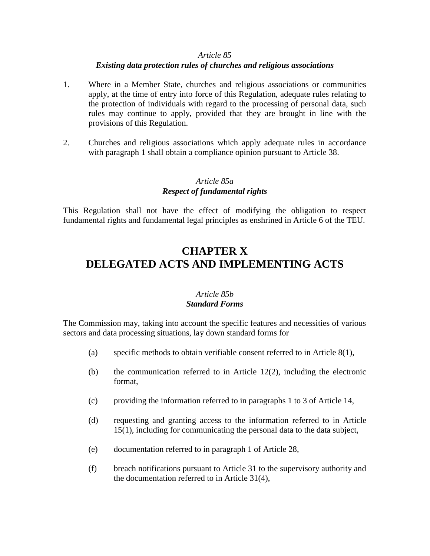#### *Article 85*

#### *Existing data protection rules of churches and religious associations*

- 1. Where in a Member State, churches and religious associations or communities apply, at the time of entry into force of this Regulation, adequate rules relating to the protection of individuals with regard to the processing of personal data, such rules may continue to apply, provided that they are brought in line with the provisions of this Regulation.
- 2. Churches and religious associations which apply adequate rules in accordance with paragraph 1 shall obtain a compliance opinion pursuant to Article 38.

# *Article 85a Respect of fundamental rights*

This Regulation shall not have the effect of modifying the obligation to respect fundamental rights and fundamental legal principles as enshrined in Article 6 of the TEU.

# **CHAPTER X DELEGATED ACTS AND IMPLEMENTING ACTS**

# *Article 85b Standard Forms*

The Commission may, taking into account the specific features and necessities of various sectors and data processing situations, lay down standard forms for

- (a) specific methods to obtain verifiable consent referred to in Article 8(1),
- (b) the communication referred to in Article 12(2), including the electronic format,
- (c) providing the information referred to in paragraphs 1 to 3 of Article 14,
- (d) requesting and granting access to the information referred to in Article 15(1), including for communicating the personal data to the data subject,
- (e) documentation referred to in paragraph 1 of Article 28,
- (f) breach notifications pursuant to Article 31 to the supervisory authority and the documentation referred to in Article 31(4),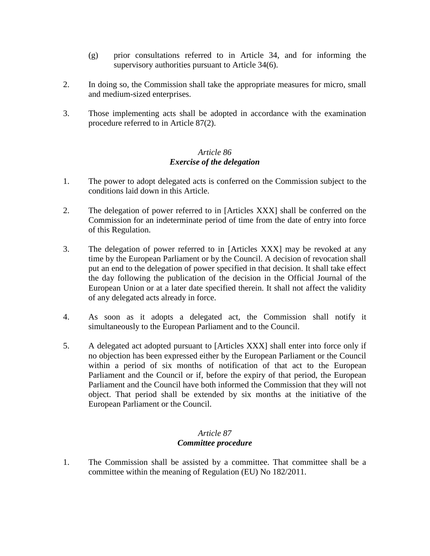- (g) prior consultations referred to in Article 34, and for informing the supervisory authorities pursuant to Article 34(6).
- 2. In doing so, the Commission shall take the appropriate measures for micro, small and medium-sized enterprises.
- 3. Those implementing acts shall be adopted in accordance with the examination procedure referred to in Article 87(2).

## *Article 86 Exercise of the delegation*

- 1. The power to adopt delegated acts is conferred on the Commission subject to the conditions laid down in this Article.
- 2. The delegation of power referred to in [Articles XXX] shall be conferred on the Commission for an indeterminate period of time from the date of entry into force of this Regulation.
- 3. The delegation of power referred to in [Articles XXX] may be revoked at any time by the European Parliament or by the Council. A decision of revocation shall put an end to the delegation of power specified in that decision. It shall take effect the day following the publication of the decision in the Official Journal of the European Union or at a later date specified therein. It shall not affect the validity of any delegated acts already in force.
- 4. As soon as it adopts a delegated act, the Commission shall notify it simultaneously to the European Parliament and to the Council.
- 5. A delegated act adopted pursuant to [Articles XXX] shall enter into force only if no objection has been expressed either by the European Parliament or the Council within a period of six months of notification of that act to the European Parliament and the Council or if, before the expiry of that period, the European Parliament and the Council have both informed the Commission that they will not object. That period shall be extended by six months at the initiative of the European Parliament or the Council.

# *Article 87 Committee procedure*

1. The Commission shall be assisted by a committee. That committee shall be a committee within the meaning of Regulation (EU) No 182/2011.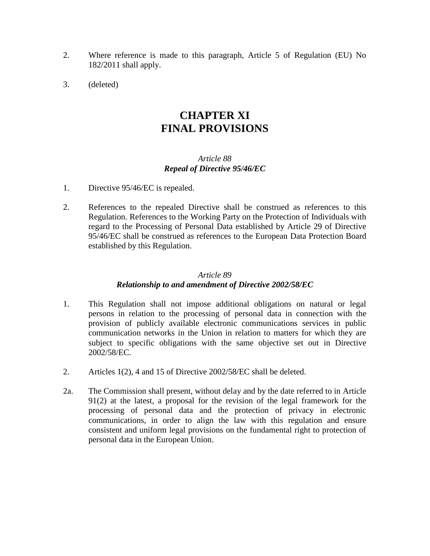- 2. Where reference is made to this paragraph, Article 5 of Regulation (EU) No 182/2011 shall apply.
- 3. (deleted)

# **CHAPTER XI FINAL PROVISIONS**

## *Article 88 Repeal of Directive 95/46/EC*

- 1. Directive 95/46/EC is repealed.
- 2. References to the repealed Directive shall be construed as references to this Regulation. References to the Working Party on the Protection of Individuals with regard to the Processing of Personal Data established by Article 29 of Directive 95/46/EC shall be construed as references to the European Data Protection Board established by this Regulation.

#### *Article 89*

# *Relationship to and amendment of Directive 2002/58/EC*

- 1. This Regulation shall not impose additional obligations on natural or legal persons in relation to the processing of personal data in connection with the provision of publicly available electronic communications services in public communication networks in the Union in relation to matters for which they are subject to specific obligations with the same objective set out in Directive 2002/58/EC.
- 2. Articles 1(2), 4 and 15 of Directive 2002/58/EC shall be deleted.
- 2a. The Commission shall present, without delay and by the date referred to in Article 91(2) at the latest, a proposal for the revision of the legal framework for the processing of personal data and the protection of privacy in electronic communications, in order to align the law with this regulation and ensure consistent and uniform legal provisions on the fundamental right to protection of personal data in the European Union.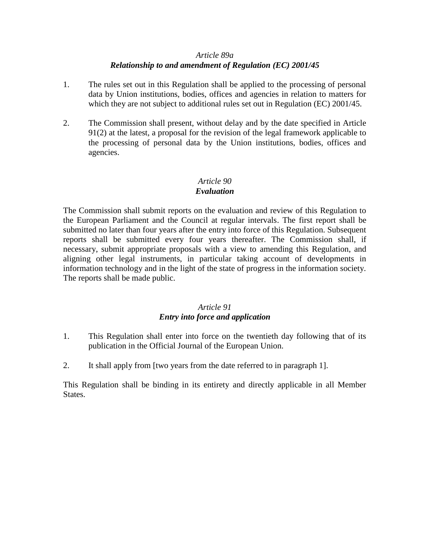# *Article 89a Relationship to and amendment of Regulation (EC) 2001/45*

- 1. The rules set out in this Regulation shall be applied to the processing of personal data by Union institutions, bodies, offices and agencies in relation to matters for which they are not subject to additional rules set out in Regulation (EC) 2001/45.
- 2. The Commission shall present, without delay and by the date specified in Article 91(2) at the latest, a proposal for the revision of the legal framework applicable to the processing of personal data by the Union institutions, bodies, offices and agencies.

#### *Article 90 Evaluation*

The Commission shall submit reports on the evaluation and review of this Regulation to the European Parliament and the Council at regular intervals. The first report shall be submitted no later than four years after the entry into force of this Regulation. Subsequent reports shall be submitted every four years thereafter. The Commission shall, if necessary, submit appropriate proposals with a view to amending this Regulation, and aligning other legal instruments, in particular taking account of developments in information technology and in the light of the state of progress in the information society. The reports shall be made public.

# *Article 91 Entry into force and application*

- 1. This Regulation shall enter into force on the twentieth day following that of its publication in the Official Journal of the European Union.
- 2. It shall apply from [two years from the date referred to in paragraph 1].

This Regulation shall be binding in its entirety and directly applicable in all Member States.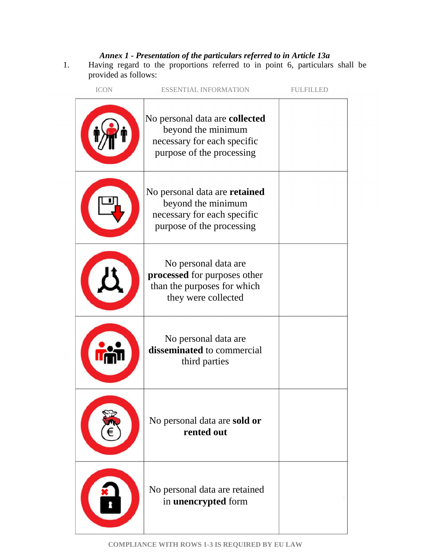# *Annex 1 - Presentation of the particulars referred to in Article 13a*

1. Having regard to the proportions referred to in point 6, particulars shall be provided as follows:

| <b>ICON</b> | <b>ESSENTIAL INFORMATION</b>                                                                                     | <b>FULFILLED</b> |
|-------------|------------------------------------------------------------------------------------------------------------------|------------------|
|             | No personal data are collected<br>beyond the minimum<br>necessary for each specific<br>purpose of the processing |                  |
|             | No personal data are retained<br>beyond the minimum<br>necessary for each specific<br>purpose of the processing  |                  |
|             | No personal data are<br>processed for purposes other<br>than the purposes for which<br>they were collected       |                  |
|             | No personal data are<br>disseminated to commercial<br>third parties                                              |                  |
|             | No personal data are sold or<br>rented out                                                                       |                  |
|             | No personal data are retained<br>in unencrypted form                                                             |                  |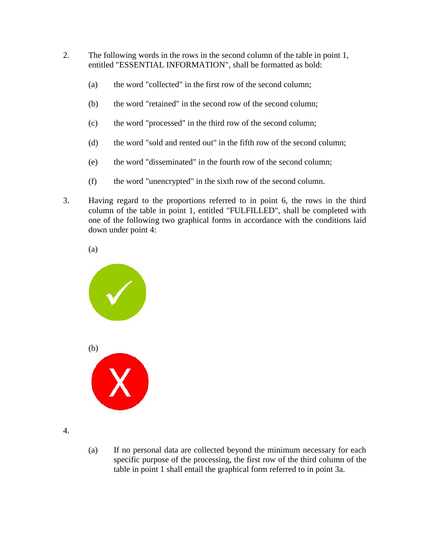- 2. The following words in the rows in the second column of the table in point 1, entitled "ESSENTIAL INFORMATION", shall be formatted as bold:
	- (a) the word "collected" in the first row of the second column;
	- (b) the word "retained" in the second row of the second column;
	- (c) the word "processed" in the third row of the second column;
	- (d) the word "sold and rented out" in the fifth row of the second column;
	- (e) the word "disseminated" in the fourth row of the second column;
	- (f) the word "unencrypted" in the sixth row of the second column.
- 3. Having regard to the proportions referred to in point 6, the rows in the third column of the table in point 1, entitled "FULFILLED", shall be completed with one of the following two graphical forms in accordance with the conditions laid down under point 4:

(a)



4.

(a) If no personal data are collected beyond the minimum necessary for each specific purpose of the processing, the first row of the third column of the table in point 1 shall entail the graphical form referred to in point 3a.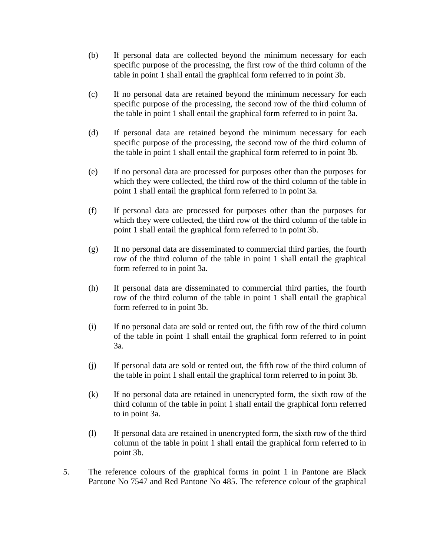- (b) If personal data are collected beyond the minimum necessary for each specific purpose of the processing, the first row of the third column of the table in point 1 shall entail the graphical form referred to in point 3b.
- (c) If no personal data are retained beyond the minimum necessary for each specific purpose of the processing, the second row of the third column of the table in point 1 shall entail the graphical form referred to in point 3a.
- (d) If personal data are retained beyond the minimum necessary for each specific purpose of the processing, the second row of the third column of the table in point 1 shall entail the graphical form referred to in point 3b.
- (e) If no personal data are processed for purposes other than the purposes for which they were collected, the third row of the third column of the table in point 1 shall entail the graphical form referred to in point 3a.
- (f) If personal data are processed for purposes other than the purposes for which they were collected, the third row of the third column of the table in point 1 shall entail the graphical form referred to in point 3b.
- (g) If no personal data are disseminated to commercial third parties, the fourth row of the third column of the table in point 1 shall entail the graphical form referred to in point 3a.
- (h) If personal data are disseminated to commercial third parties, the fourth row of the third column of the table in point 1 shall entail the graphical form referred to in point 3b.
- (i) If no personal data are sold or rented out, the fifth row of the third column of the table in point 1 shall entail the graphical form referred to in point 3a.
- (j) If personal data are sold or rented out, the fifth row of the third column of the table in point 1 shall entail the graphical form referred to in point 3b.
- (k) If no personal data are retained in unencrypted form, the sixth row of the third column of the table in point 1 shall entail the graphical form referred to in point 3a.
- (l) If personal data are retained in unencrypted form, the sixth row of the third column of the table in point 1 shall entail the graphical form referred to in point 3b.
- 5. The reference colours of the graphical forms in point 1 in Pantone are Black Pantone No 7547 and Red Pantone No 485. The reference colour of the graphical